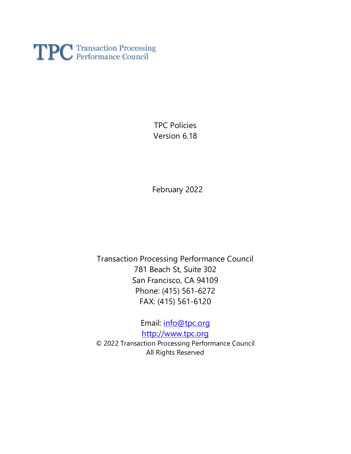

TPC Policies Version 6.18

February 2022

Transaction Processing Performance Council 781 Beach St, Suite 302 San Francisco, CA 94109 Phone: (415) 561-6272 FAX: (415) 561-6120

Email: [info@tpc.org](mailto:info@tpc.org) [http://www.tpc.org](http://www.tpc.org/) © 2022 Transaction Processing Performance Council All Rights Reserved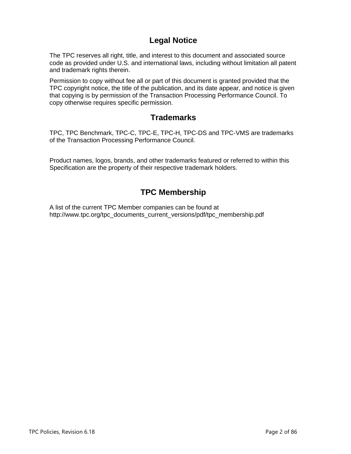# **Legal Notice**

The TPC reserves all right, title, and interest to this document and associated source code as provided under U.S. and international laws, including without limitation all patent and trademark rights therein.

Permission to copy without fee all or part of this document is granted provided that the TPC copyright notice, the title of the publication, and its date appear, and notice is given that copying is by permission of the Transaction Processing Performance Council. To copy otherwise requires specific permission.

# **Trademarks**

TPC, TPC Benchmark, TPC-C, TPC-E, TPC-H, TPC-DS and TPC-VMS are trademarks of the Transaction Processing Performance Council.

Product names, logos, brands, and other trademarks featured or referred to within this Specification are the property of their respective trademark holders.

# **TPC Membership**

A list of the current TPC Member companies can be found at http://www.tpc.org/tpc\_documents\_current\_versions/pdf/tpc\_membership.pdf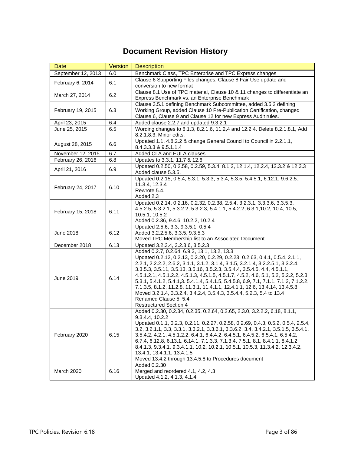# **Document Revision History**

| Date                                                                                                                | Version | <b>Description</b>                                                                                                                                               |
|---------------------------------------------------------------------------------------------------------------------|---------|------------------------------------------------------------------------------------------------------------------------------------------------------------------|
| September 12, 2013<br>6.0                                                                                           |         | Benchmark Class, TPC Enterprise and TPC Express changes                                                                                                          |
| February 6, 2014<br>6.1                                                                                             |         | Clause 6 Supporting Files changes, Clause 8 Fair Use update and                                                                                                  |
|                                                                                                                     |         | conversion to new format                                                                                                                                         |
| March 27, 2014                                                                                                      | 6.2     | Clause 8.1 Use of TPC material, Clause 10 & 11 changes to differentiate an                                                                                       |
| Express Benchmark vs. an Enterprise Benchmark<br>Clause 3.5.1 defining Benchmark Subcommittee, added 3.5.2 defining |         |                                                                                                                                                                  |
| February 19, 2015                                                                                                   | 6.3     | Working Group, added Clause 10 Pre-Publication Certification, changed                                                                                            |
|                                                                                                                     |         | Clause 6, Clause 9 and Clause 12 for new Express Audit rules.                                                                                                    |
| April 23, 2015                                                                                                      | 6.4     | Added clause 2.2.7 and updated 9.3.2.1                                                                                                                           |
| June 25, 2015                                                                                                       | 6.5     | Wording changes to 8.1.3, 8.2.1.6, 11.2,4 and 12.2.4. Delete 8.2.1.8.1, Add                                                                                      |
| 8.2.1.8.3. Minor edits.                                                                                             |         |                                                                                                                                                                  |
| August 28, 2015                                                                                                     | 6.6     | Updated 1.1, 4.8.2.2 & change General Council to Council in 2.2.1.1,                                                                                             |
|                                                                                                                     |         | 8.4.3.3.3 & 9.5.1.1.4                                                                                                                                            |
| November 12, 2015                                                                                                   | 6.7     | Added CLA and EULA clauses                                                                                                                                       |
| February 26, 2016                                                                                                   | 6.8     | Updates to 3.3.1, 11.7 & 12.6                                                                                                                                    |
| April 21, 2016                                                                                                      | 6.9     | Updated 0.2.50, 0.2.58, 0.2.59, 5.3.4, 8.1.2, 12.1.4, 12.2.4, 12.3.2 & 12.3.3                                                                                    |
|                                                                                                                     |         | Added clause 5.3.5.<br>Updated 0.2.15, 0.5.4, 5.3.1, 5.3,3, 5.3.4, 5.3.5, 5.4.5.1, 6.12.1, 9.6.2.5.                                                              |
|                                                                                                                     |         | 11.3.4, 12.3.4                                                                                                                                                   |
| February 24, 2017                                                                                                   | 6.10    | Rewrote 5.4.                                                                                                                                                     |
|                                                                                                                     |         | Added 2.3                                                                                                                                                        |
|                                                                                                                     |         | Updated 0.2.14, 0.2.16, 0.2.32, 0.2.38, 2.5.4, 3.2.3.1, 3.3.3.6, 3.3.5.3,                                                                                        |
| February 15, 2018                                                                                                   | 6.11    | 4.5.2.5, 5.3.2.1, 5.3.2.2, 5.3.2.3, 5.4.1.1, 5.4.2.2, 6.3.1, 10.2, 10.4, 10.5,                                                                                   |
|                                                                                                                     |         | 10.5.1, 10.5.2                                                                                                                                                   |
|                                                                                                                     |         | Added 0.2.36, 9.4.6, 10.2.2, 10.2.4                                                                                                                              |
|                                                                                                                     | 6.12    | Updated 2.5.6, 3.3, 9.3.5.1, 0.5.4                                                                                                                               |
| <b>June 2018</b>                                                                                                    |         | Added 3.2.2.5.6, 3.3.5, 9.3.5.3<br>Moved TPC Membership list to an Associated Document                                                                           |
| December 2018                                                                                                       | 6.13    | Updated 3.2.3.4, 3.2.3.6, 3.5.2.3                                                                                                                                |
|                                                                                                                     |         | Added 0.2.7, 0.2.64, 6.9.3, 13.1, 13.2, 13.3                                                                                                                     |
|                                                                                                                     |         | Updated 0.2.12, 0.2.13, 0.2.20, 0.2.29, 0.2.23, 0.2.63, 0.4.1, 0.5.4, 2.1.1,                                                                                     |
|                                                                                                                     |         | 2.2.1, 2.2.2.2, 2.6.2, 3.1.1, 3.1.2, 3.1.4, 3.1.5, 3.2.1.4, 3.2.2.5.1, 3.3.2.4,                                                                                  |
|                                                                                                                     |         | 3.3.5.3, 3.5.11, 3.5.13, 3.5.16, 3.5.2.3, 3.5.4.4, 3.5.4.5, 4.4, 4.5.1.1,                                                                                        |
| June 2019                                                                                                           | 6.14    | 4.5.1.2.1, 4.5.1.2.2, 4.5.1.3, 4.5.1.5, 4.5.1.7, 4.5.2, 4.6, 5.1, 5.2, 5.2.2, 5.2.3,                                                                             |
|                                                                                                                     |         | 5.3.1, 5.4.1.2, 5.4.1,3. 5.4.1.4, 5.4.1.5, 5.4.5.8, 6.9, 7.1, 7.1.1, 7.1.2, 7.1.2.2,                                                                             |
|                                                                                                                     |         | 7.1.3.5, 8.1.2, 11.2.8, 11.3.1, 11.4.1.1, 12.4.1.1, 12.6, 13.4.14, 13.4.5.8<br>Moved 3.2.1.4, 3.3.2.4, 3.4.2.4, 3.5.4.3, 3.5.4.4, 5.2.3, 5.4 to 13.4             |
|                                                                                                                     |         | Renamed Clause 5, 5.4                                                                                                                                            |
|                                                                                                                     |         | <b>Restructured Section 4</b>                                                                                                                                    |
|                                                                                                                     |         | Added 0.2.30, 0.2.34, 0.2.35, 0.2.64, 0.2.65, 2.3.0, 3.2.2.2, 6.18, 8.1.1,                                                                                       |
|                                                                                                                     |         | 9.3.4.4.10.2.2                                                                                                                                                   |
|                                                                                                                     |         | Updated 0.1.1, 0.2.3, 0.2.11, 0.2.27, 0.2.58, 0.2.69, 0.4.3, 0.5.2, 0.5.4, 2.5.4,                                                                                |
|                                                                                                                     |         | 3.2, 3.2.1.1, 3.3, 3.3.1, 3.3.2.1, 3.3.6.1, 3.3.6.2, 3.4, 3.4.2.1, 3.5.1.5, 3.5.4.1,                                                                             |
| February 2020                                                                                                       | 6.15    | 3.5.4.2, 4.2.1, 4.5.1.2.2, 6.4.1, 6.4.4.2, 6.4.5.1, 6.4.5.2, 6.5.4.1, 6.5.4.2,<br>6.7.4, 6.12.8, 6.13.1, 6.14.1, 7.1.3.3, 7.1.3.4, 7.5.1, 8.1, 8.4.1.1, 8.4.1.2, |
|                                                                                                                     |         | 8.4.1.3, 9.3.4.1, 9.3.4.1.1, 10.2, 10.2.1, 10.5.1, 10.5.3, 11.3.4.2, 12.3.4.2,                                                                                   |
|                                                                                                                     |         | 13.4.1, 13.4.1.1, 13.4.1.5                                                                                                                                       |
|                                                                                                                     |         | Moved 13.4.2 through 13.4.5.8 to Procedures document                                                                                                             |
|                                                                                                                     |         | Added 0.2.30                                                                                                                                                     |
| March 2020                                                                                                          | 6.16    | Merged and reordered 4.1, 4.2, 4.3                                                                                                                               |
|                                                                                                                     |         | Updated 4.1.2, 4.1.3, 4.1.4                                                                                                                                      |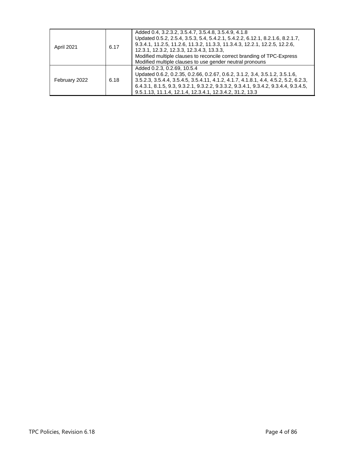| April 2021            | 6.17 | Added 0.4, 3.2.3.2, 3.5.4.7, 3.5.4.8, 3.5.4.9, 4.1.8<br>Updated 0.5.2, 2.5.4, 3.5.3, 5.4, 5.4.2.1, 5.4.2.2, 6.12.1, 8.2.1.6, 8.2.1.7,<br>9.3.4.1, 11.2.5, 11.2.6, 11.3.2, 11.3.3, 11.3.4.3, 12.2.1, 12.2.5, 12.2.6,<br>12.3.1, 12.3.2, 12.3.3, 12.3.4.3, 13.3.3,<br>Modified multiple clauses to reconcile correct branding of TPC-Express<br>Modified multiple clauses to use gender neutral pronouns |
|-----------------------|------|--------------------------------------------------------------------------------------------------------------------------------------------------------------------------------------------------------------------------------------------------------------------------------------------------------------------------------------------------------------------------------------------------------|
| 6.18<br>February 2022 |      | Added 0.2.3, 0.2.69, 10.5.4<br>Updated 0.6.2, 0.2.35, 0.2.66, 0.2.67, 0.6.2, 3.1.2, 3.4, 3.5.1.2, 3.5.1.6,<br>3.5.2.3, 3.5.4.4, 3.5.4.5, 3.5.4.11, 4.1.2, 4.1.7, 4.1.8.1, 4.4, 4.5.2, 5.2, 6.2.3,<br>6.4.3.1, 8.1.5, 9.3, 9.3.2.1, 9.3.2.2, 9.3.3.2, 9.3.4.1, 9.3.4.2, 9.3.4.4, 9.3.4.5,<br>9.5.1.13, 11.1.4, 12.1.4, 12.3.4.1, 12.3.4.2, 31.2, 13.3                                                   |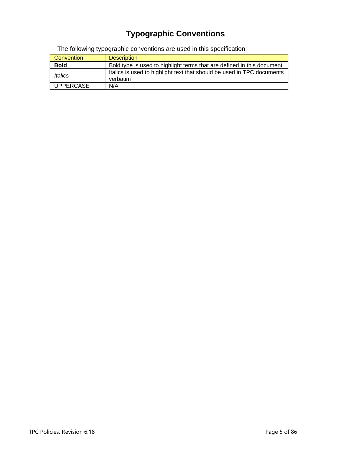# **Typographic Conventions**

The following typographic conventions are used in this specification:

| Convention                                                                            | <b>Description</b>                                                                 |
|---------------------------------------------------------------------------------------|------------------------------------------------------------------------------------|
| Bold type is used to highlight terms that are defined in this document<br><b>Bold</b> |                                                                                    |
| Italics                                                                               | Italics is used to highlight text that should be used in TPC documents<br>verbatim |
| <b>UPPERCASE</b>                                                                      | N/A                                                                                |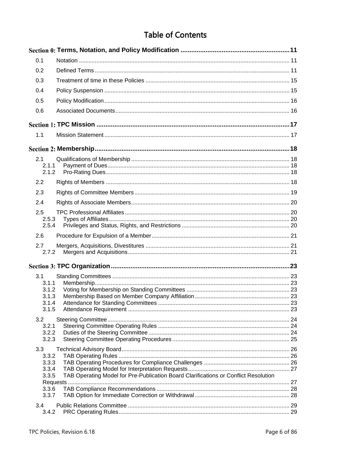# **Table of Contents**

| 0.1            |                                                                                     |  |
|----------------|-------------------------------------------------------------------------------------|--|
| 0.2            |                                                                                     |  |
| 0.3            |                                                                                     |  |
| 0.4            |                                                                                     |  |
| 0.5            |                                                                                     |  |
| 0.6            |                                                                                     |  |
|                |                                                                                     |  |
| 1.1            |                                                                                     |  |
|                |                                                                                     |  |
| 2.1            |                                                                                     |  |
| 2.1.1<br>2.1.2 |                                                                                     |  |
| 2.2            |                                                                                     |  |
| 2.3            |                                                                                     |  |
|                |                                                                                     |  |
| 2.4            |                                                                                     |  |
| 2.5<br>2.5.3   |                                                                                     |  |
| 2.5.4          |                                                                                     |  |
| 2.6            |                                                                                     |  |
| 2.7            |                                                                                     |  |
| 2.7.2          |                                                                                     |  |
|                |                                                                                     |  |
| 3.1            |                                                                                     |  |
| 3.1.1<br>3.1.2 |                                                                                     |  |
| 3.1.3          |                                                                                     |  |
| 3.1.4          |                                                                                     |  |
| 3.1.5          |                                                                                     |  |
| 3.2<br>3.2.1   |                                                                                     |  |
| 3.2.2          |                                                                                     |  |
| 3.2.3          |                                                                                     |  |
| 3.3            |                                                                                     |  |
| 3.3.2<br>3.3.3 |                                                                                     |  |
| 3.3.4          |                                                                                     |  |
| 3.3.5          | TAB Operating Model for Pre-Publication Board Clarifications or Conflict Resolution |  |
| 3.3.6          |                                                                                     |  |
| 3.3.7          |                                                                                     |  |
| 3.4            |                                                                                     |  |
| 3.4.2          |                                                                                     |  |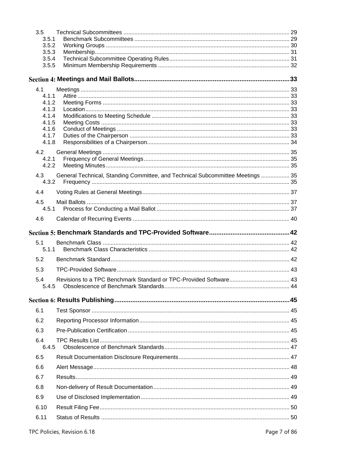| 3.5            |                                                                                |  |
|----------------|--------------------------------------------------------------------------------|--|
| 3.5.1          |                                                                                |  |
| 3.5.2<br>3.5.3 |                                                                                |  |
| 3.5.4          |                                                                                |  |
| 3.5.5          |                                                                                |  |
|                |                                                                                |  |
|                |                                                                                |  |
| 4.1            |                                                                                |  |
| 4.1.1          |                                                                                |  |
| 4.1.2          |                                                                                |  |
| 4.1.3<br>4.1.4 |                                                                                |  |
| 4.1.5          |                                                                                |  |
| 4.1.6          |                                                                                |  |
| 4.1.7          |                                                                                |  |
| 4.1.8          |                                                                                |  |
| 4.2            |                                                                                |  |
| 4.2.1          |                                                                                |  |
| 4.2.2          |                                                                                |  |
| 4.3            | General Technical, Standing Committee, and Technical Subcommittee Meetings  35 |  |
| 4.3.2          |                                                                                |  |
| 4.4            |                                                                                |  |
| 4.5            |                                                                                |  |
|                |                                                                                |  |
| 4.6            |                                                                                |  |
|                |                                                                                |  |
|                |                                                                                |  |
|                |                                                                                |  |
| 5.1            |                                                                                |  |
| 5.1.1          |                                                                                |  |
| 5.2            |                                                                                |  |
| 5.3            |                                                                                |  |
| 5.4            |                                                                                |  |
|                |                                                                                |  |
|                |                                                                                |  |
|                |                                                                                |  |
| 6.1            |                                                                                |  |
| 6.2            |                                                                                |  |
| 6.3            |                                                                                |  |
| 6.4            |                                                                                |  |
| 6.4.5          |                                                                                |  |
| 6.5            |                                                                                |  |
| 6.6            |                                                                                |  |
| 6.7            |                                                                                |  |
| 6.8            |                                                                                |  |
| 6.9            |                                                                                |  |
| 6.10           |                                                                                |  |
| 6.11           |                                                                                |  |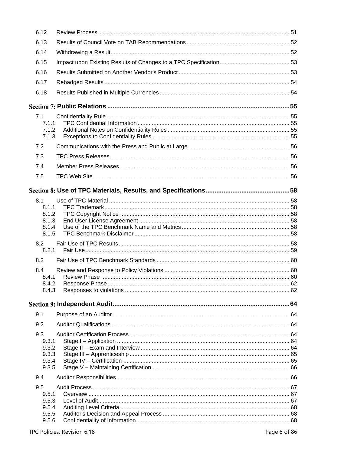| 6.12           |  |
|----------------|--|
| 6.13           |  |
| 6.14           |  |
| 6.15           |  |
| 6.16           |  |
| 6.17           |  |
| 6.18           |  |
|                |  |
| 7.1            |  |
| 7.1.1          |  |
| 7.1.2<br>7.1.3 |  |
| 7.2            |  |
| 7.3            |  |
|                |  |
| 7.4            |  |
| 7.5            |  |
|                |  |
| 8.1            |  |
| 8.1.1          |  |
| 8.1.2<br>8.1.3 |  |
| 8.1.4          |  |
| 8.1.5          |  |
| 8.2            |  |
| 8.2.1          |  |
| 8.3            |  |
| 8.4<br>8.4.1   |  |
| 8.4.2          |  |
| 8.4.3          |  |
|                |  |
| 9.1            |  |
| 9.2            |  |
| 9.3            |  |
| 9.3.1          |  |
| 9.3.2<br>9.3.3 |  |
| 9.3.4          |  |
| 9.3.5          |  |
| 9.4            |  |
| 9.5            |  |
| 9.5.1<br>9.5.3 |  |
| 9.5.4          |  |
| 9.5.5          |  |
| 9.5.6          |  |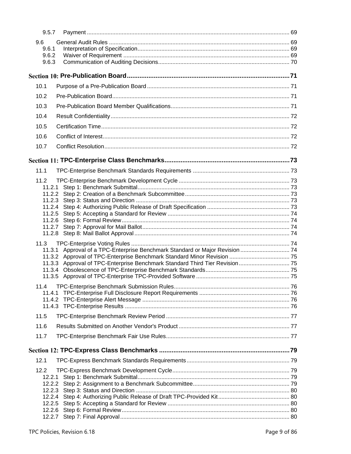| 9.5.7                 |                                                                              |  |
|-----------------------|------------------------------------------------------------------------------|--|
| 9.6<br>9.6.1<br>9.6.2 |                                                                              |  |
| 9.6.3                 |                                                                              |  |
|                       |                                                                              |  |
| 10.1                  |                                                                              |  |
| 10.2                  |                                                                              |  |
| 10.3                  |                                                                              |  |
| 10.4                  |                                                                              |  |
| 10.5                  |                                                                              |  |
| 10.6                  |                                                                              |  |
| 10.7                  |                                                                              |  |
|                       |                                                                              |  |
| 11.1                  |                                                                              |  |
|                       |                                                                              |  |
| 11.2                  |                                                                              |  |
|                       |                                                                              |  |
| 11.2.4                |                                                                              |  |
|                       |                                                                              |  |
|                       |                                                                              |  |
| 11.2.7                |                                                                              |  |
| 11.3                  |                                                                              |  |
|                       | 11.3.1 Approval of a TPC-Enterprise Benchmark Standard or Major Revision  74 |  |
|                       |                                                                              |  |
| 11.3.3<br>11.3.4      | Approval of TPC-Enterprise Benchmark Standard Third Tier Revision 75         |  |
|                       |                                                                              |  |
|                       |                                                                              |  |
|                       |                                                                              |  |
|                       |                                                                              |  |
| 11.5                  |                                                                              |  |
| 11.6                  |                                                                              |  |
| 11.7                  |                                                                              |  |
|                       |                                                                              |  |
|                       |                                                                              |  |
| 12.1                  |                                                                              |  |
| 12.2<br>12.2.1        |                                                                              |  |
| 12.2.2                |                                                                              |  |
| 12.2.3                |                                                                              |  |
| 12.2.4                |                                                                              |  |
|                       |                                                                              |  |
|                       |                                                                              |  |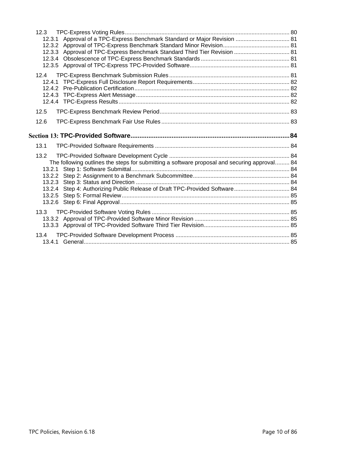| 12.3              |                                                                                                        |  |
|-------------------|--------------------------------------------------------------------------------------------------------|--|
|                   | 12.3.1 Approval of a TPC-Express Benchmark Standard or Major Revision  81                              |  |
|                   |                                                                                                        |  |
|                   | 12.3.3 Approval of TPC-Express Benchmark Standard Third Tier Revision  81                              |  |
|                   |                                                                                                        |  |
|                   |                                                                                                        |  |
| 12.4              |                                                                                                        |  |
|                   |                                                                                                        |  |
|                   |                                                                                                        |  |
|                   |                                                                                                        |  |
|                   |                                                                                                        |  |
| 12.5              |                                                                                                        |  |
| 12.6              |                                                                                                        |  |
|                   |                                                                                                        |  |
|                   |                                                                                                        |  |
|                   |                                                                                                        |  |
| 13.1              |                                                                                                        |  |
| 13.2              |                                                                                                        |  |
|                   |                                                                                                        |  |
|                   | The following outlines the steps for submitting a software proposal and securing approval 84<br>13.2.1 |  |
|                   |                                                                                                        |  |
|                   |                                                                                                        |  |
|                   | Step 4: Authorizing Public Release of Draft TPC-Provided Software 84<br>13.2.4                         |  |
|                   | 13.2.5                                                                                                 |  |
|                   |                                                                                                        |  |
| 13.3 <sub>1</sub> |                                                                                                        |  |
|                   |                                                                                                        |  |
|                   |                                                                                                        |  |
| 13.4              |                                                                                                        |  |
|                   |                                                                                                        |  |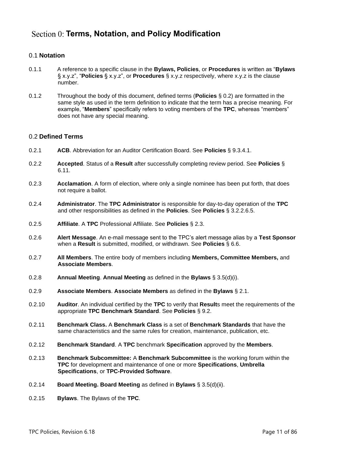# <span id="page-10-0"></span>**Section 0: Terms, Notation, and Policy Modification**

# <span id="page-10-1"></span>0.1 **Notation**

- 0.1.1 A reference to a specific clause in the **Bylaws, Policies**, or **Procedures** is written as "**Bylaws** § x.y.z", "**Policies** § x.y.z", or **Procedures** § x.y.z respectively, where x.y.z is the clause number.
- 0.1.2 Throughout the body of this document, defined terms (**Policies** § [0.2\)](#page-10-2) are formatted in the same style as used in the term definition to indicate that the term has a precise meaning. For example, "**Members**" specifically refers to voting members of the **TPC**, whereas "members" does not have any special meaning.

# <span id="page-10-2"></span>0.2 **Defined Terms**

- 0.2.1 **ACB**. Abbreviation for an Auditor Certification Board. See **Policies** § [9.3.4.1.](#page-64-2)
- 0.2.2 **Accepted**. Status of a **Result** after successfully completing review period. See **Policies** § [6.11.](#page-49-1)
- 0.2.3 **Acclamation**. A form of election, where only a single nominee has been put forth, that does not require a ballot.
- 0.2.4 **Administrator**. The **TPC Administrator** is responsible for day-to-day operation of the **TPC** and other responsibilities as defined in the **Policies**. See **Policies** § [3.2.2.6.5.](#page-24-1)
- 0.2.5 **Affiliate**. A **TPC** Professional Affiliate. See **Policies** § [2.3.](#page-18-0)
- 0.2.6 **Alert Message**. An e-mail message sent to the TPC's alert message alias by a **Test Sponsor** when a **Result** is submitted, modified, or withdrawn. See **Policies** § [6.6.](#page-47-0)
- 0.2.7 **All Members**. The entire body of members including **Members, Committee Members,** and **Associate Members**.
- 0.2.8 **Annual Meeting**. **Annual Meeting** as defined in the **Bylaws** § 3.5(d)(i).
- 0.2.9 **Associate Members**. **Associate Members** as defined in the **Bylaws** § 2.1.
- 0.2.10 **Auditor**. An individual certified by the **TPC** to verify that **Result**s meet the requirements of the appropriate **TPC Benchmark Standard**. See **Policies** § [9.2.](#page-63-2)
- 0.2.11 **Benchmark Class.** A **Benchmark Class** is a set of **Benchmark Standards** that have the same characteristics and the same rules for creation, maintenance, publication, etc.
- <span id="page-10-3"></span>0.2.12 **Benchmark Standard**. A **TPC** benchmark **Specification** approved by the **Members**.
- 0.2.13 **Benchmark Subcommittee:** A **Benchmark Subcommittee** is the working forum within the **TPC** for development and maintenance of one or more **Specifications**, **Umbrella Specifications**, or **TPC-Provided Software**.
- 0.2.14 **Board Meeting. Board Meeting** as defined in **Bylaws** § 3.5(d)(ii).
- 0.2.15 **Bylaws**. The Bylaws of the **TPC**.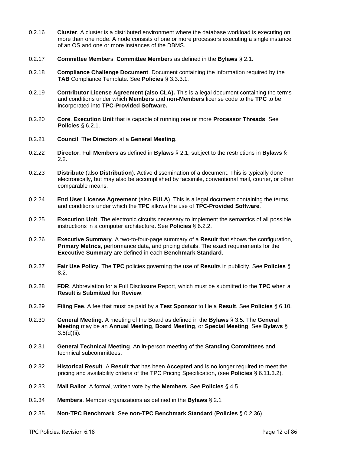- 0.2.16 **Cluster**. A cluster is a distributed environment where the database workload is executing on more than one node. A node consists of one or more processors executing a single instance of an OS and one or more instances of the DBMS.
- 0.2.17 **Committee Member**s. **Committee Member**s as defined in the **Bylaws** § 2.1.
- 0.2.18 **Compliance Challenge Document**. Document containing the information required by the **TAB** Compliance Template. See **Policies** § [3.3.3.1.](#page-25-3)
- 0.2.19 **Contributor License Agreement (also CLA).** This is a legal document containing the terms and conditions under which **Members** and **non-Members** license code to the **TPC** to be incorporated into **TPC-Provided Software.**
- 0.2.20 **Core**. **Execution Unit** that is capable of running one or more **Processor Threads**. See **Policies** § [6.2.1.](#page-44-5)
- 0.2.21 **Council**. The **Director**s at a **General Meeting**.
- 0.2.22 **Director**. Full **Members** as defined in **Bylaws** § 2.1, subject to the restrictions in **Bylaws** § 2.2.
- 0.2.23 **Distribute** (also **Distribution**). Active dissemination of a document. This is typically done electronically, but may also be accomplished by facsimile, conventional mail, courier, or other comparable means.
- 0.2.24 **End User License Agreement** (also **EULA**). This is a legal document containing the terms and conditions under which the **TPC** allows the use of **TPC-Provided Software**.
- 0.2.25 **Execution Unit**. The electronic circuits necessary to implement the semantics of all possible instructions in a computer architecture. See **Policies** § [6.2.2.](#page-44-6)
- 0.2.26 **Executive Summary**. A two-to-four-page summary of a **Result** that shows the configuration, **Primary Metrics**, performance data, and pricing details. The exact requirements for the **Executive Summary** are defined in each **Benchmark Standard**.
- 0.2.27 **Fair Use Policy**. The **TPC** policies governing the use of **Result**s in publicity. See **Policies** § [8.2.](#page-57-7)
- 0.2.28 **FDR**. Abbreviation for a Full Disclosure Report, which must be submitted to the **TPC** when a **Result** is **Submitted for Review**.
- 0.2.29 **Filing Fee**. A fee that must be paid by a **Test Sponsor** to file a **Result**. See **Policies** [§ 6.10.](#page-49-0)
- 0.2.30 **General Meeting.** A meeting of the Board as defined in the **Bylaws** § 3.5**.** The **General Meeting** may be an **Annual Meeting**, **Board Meeting**, or **Special Meeting**. See **Bylaws** § 3.5(d)(ii)**.**
- 0.2.31 **General Technical Meeting**. An in-person meeting of the **Standing Committees** and technical subcommittees.
- 0.2.32 **Historical Result**. A **Result** that has been **Accepted** and is no longer required to meet the pricing and availability criteria of the TPC Pricing Specification, (see **Policies** § [6.11.3.2\)](#page-49-2).
- 0.2.33 **Mail Ballot**. A formal, written vote by the **Members**. See **Policies** § [4.5.](#page-36-1)
- 0.2.34 **Members**. Member organizations as defined in the **Bylaws** § 2.1
- 0.2.35 **Non-TPC Benchmark**. See **non-TPC Benchmark Standard** (**Policies** § [0.2.36\)](#page-12-0)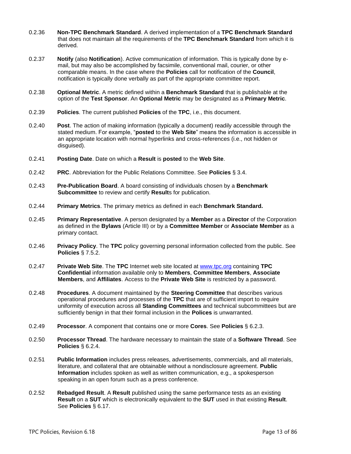- <span id="page-12-0"></span>0.2.36 **Non-TPC Benchmark Standard**. A derived implementation of a **TPC Benchmark Standard** that does not maintain all the requirements of the **TPC Benchmark Standard** from which it is derived.
- 0.2.37 **Notify** (also **Notification**). Active communication of information. This is typically done by email, but may also be accomplished by facsimile, conventional mail, courier, or other comparable means. In the case where the **Policies** call for notification of the **Council**, notification is typically done verbally as part of the appropriate committee report.
- 0.2.38 **Optional Metric**. A metric defined within a **Benchmark Standard** that is publishable at the option of the **Test Sponsor**. An **Optional Metric** may be designated as a **Primary Metric**.
- 0.2.39 **Policies**. The current published **Policies** of the **TPC**, i.e., this document.
- 0.2.40 **Post**. The action of making information (typically a document) readily accessible through the stated medium. For example, "**posted** to the **Web Site**" means the information is accessible in an appropriate location with normal hyperlinks and cross-references (i.e., not hidden or disguised).
- 0.2.41 **Posting Date**. Date on which a **Result** is **posted** to the **Web Site**.
- 0.2.42 **PRC**. Abbreviation for the Public Relations Committee. See **Policies** § [3.4.](#page-28-0)
- 0.2.43 **Pre-Publication Board**. A board consisting of individuals chosen by a **Benchmark Subcommittee** to review and certify **Result**s for publication.
- 0.2.44 **Primary Metrics**. The primary metrics as defined in each **Benchmark Standard.**
- 0.2.45 **Primary Representative**. A person designated by a **Member** as a **Director** of the Corporation as defined in the **Bylaws** (Article III) or by a **Committee Member** or **Associate Member** as a primary contact.
- 0.2.46 **Privacy Policy**. The **TPC** policy governing personal information collected from the public. See **Policies** § [7.5.2.](#page-56-0)
- 0.2.47 **Private Web Site**. The **TPC** Internet web site located at [www.tpc.org](http://www.tpc.org/) containing **TPC Confidential** information available only to **Members**, **Committee Members**, **Associate Members**, and **Affiliates**. Access to the **Private Web Site** is restricted by a password.
- 0.2.48 **Procedures**. A document maintained by the **Steering Committee** that describes various operational procedures and processes of the **TPC** that are of sufficient import to require uniformity of execution across all **Standing Committees** and technical subcommittees but are sufficiently benign in that their formal inclusion in the **Polices** is unwarranted.
- 0.2.49 **Processor**. A component that contains one or more **Cores**. See **Policies** § [6.2.3.](#page-44-7)
- 0.2.50 **Processor Thread**. The hardware necessary to maintain the state of a **Software Thread**. See **Policies** § [6.2.4.](#page-44-8)
- 0.2.51 **Public Information** includes press releases, advertisements, commercials, and all materials, literature, and collateral that are obtainable without a nondisclosure agreement. **Public Information** includes spoken as well as written communication, e.g., a spokesperson speaking in an open forum such as a press conference.
- 0.2.52 **Rebadged Result**. A **Result** published using the same performance tests as an existing **Result** on a **SUT** which is electronically equivalent to the **SUT** used in that existing **Result**. See **Policies** § [6.17.](#page-53-0)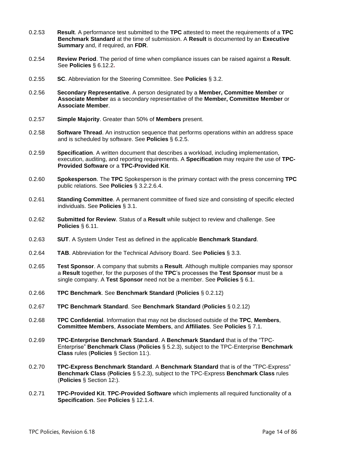- 0.2.53 **Result**. A performance test submitted to the **TPC** attested to meet the requirements of a **TPC Benchmark Standard** at the time of submission. A **Result** is documented by an **Executive Summary** and, if required, an **FDR**.
- 0.2.54 **Review Period**. The period of time when compliance issues can be raised against a **Result**. See **Policies** § [6.12.2](#page-50-1)**.**
- 0.2.55 **SC**. Abbreviation for the Steering Committee. See **Policies** § [3.2.](#page-23-0)
- 0.2.56 **Secondary Representative**. A person designated by a **Member, Committee Member** or **Associate Member** as a secondary representative of the **Member, Committee Member** or **Associate Member**.
- 0.2.57 **Simple Majority**. Greater than 50% of **Members** present.
- 0.2.58 **Software Thread**. An instruction sequence that performs operations within an address space and is scheduled by software. See **Policies** § [6.2.5.](#page-44-9)
- 0.2.59 **Specification**. A written document that describes a workload, including implementation, execution, auditing, and reporting requirements. A **Specification** may require the use of **TPC-Provided Software** or a **TPC-Provided Kit**.
- 0.2.60 **Spokesperson**. The **TPC** Spokesperson is the primary contact with the press concerning **TPC** public relations. See **Policies** § [3.2.2.6.4.](#page-24-2)
- 0.2.61 **Standing Committee**. A permanent committee of fixed size and consisting of specific elected individuals. See **Policies** § [3.1.](#page-22-1)
- 0.2.62 **Submitted for Review**. Status of a **Result** while subject to review and challenge. See **Policies** § [6.11.](#page-49-1)
- 0.2.63 **SUT**. A System Under Test as defined in the applicable **Benchmark Standard**.
- 0.2.64 **TAB**. Abbreviation for the Technical Advisory Board. See **Policies** § [3.3.](#page-25-0)
- 0.2.65 **Test Sponsor**. A company that submits a **Result**. Although multiple companies may sponsor a **Result** together, for the purposes of the **TPC**'s processes the **Test Sponsor** must be a single company. A **Test Sponsor** need not be a member. See **Policies** § [6.1.](#page-44-1)
- 0.2.66 **TPC Benchmark**. See **Benchmark Standard** (**Policies** § [0.2.12\)](#page-10-3)
- 0.2.67 **TPC Benchmark Standard**. See **Benchmark Standard** (**Policies** § [0.2.12\)](#page-10-3)
- 0.2.68 **TPC Confidential**. Information that may not be disclosed outside of the **TPC**, **Members**, **Committee Members**, **Associate Members**, and **Affiliates**. See **Policies** § [7.1.](#page-54-1)
- 0.2.69 **TPC-Enterprise Benchmark Standard**. A **Benchmark Standard** that is of the "TPC-Enterprise" **Benchmark Class** (**Policies** § [5.2.3\)](#page-41-4), subject to the TPC-Enterprise **Benchmark Class** rules (**Policies** § [Section 11:\)](#page-72-0).
- 0.2.70 **TPC-Express Benchmark Standard**. A **Benchmark Standard** that is of the "TPC-Express" **Benchmark Class** (**Policies** § [5.2.3\)](#page-41-4), subject to the TPC-Express **Benchmark Class** rules (**Policies** § [Section 12:\)](#page-78-0).
- 0.2.71 **TPC-Provided Kit**. **TPC-Provided Software** which implements all required functionality of a **Specification**. See **Policies** § [12.1.4.](#page-78-5)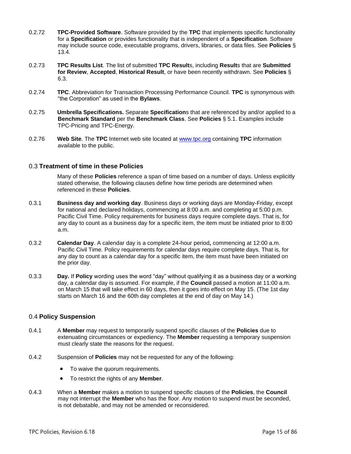- 0.2.72 **TPC-Provided Software**. Software provided by the **TPC** that implements specific functionality for a **Specification** or provides functionality that is independent of a **Specification**. Software may include source code, executable programs, drivers, libraries, or data files. See **Policies** § [13.4.](#page-84-5)
- 0.2.73 **TPC Results List**. The list of submitted **TPC Result**s, including **Result**s that are **Submitted for Review**, **Accepted**, **Historical Result**, or have been recently withdrawn. See **Policies** § [6.3.](#page-44-3)
- 0.2.74 **TPC**. Abbreviation for Transaction Processing Performance Council. **TPC** is synonymous with "the Corporation" as used in the **Bylaws**.
- 0.2.75 **Umbrella Specifications.** Separate **Specification**s that are referenced by and/or applied to a **Benchmark Standard** per the **Benchmark Class**. See **Policies** § [5.1.](#page-41-1) Examples include TPC-Pricing and TPC-Energy.
- 0.2.76 **Web Site**. The **TPC** Internet web site located at [www.tpc.org](http://www.tpc.org/) containing **TPC** information available to the public.

# <span id="page-14-0"></span>0.3 **Treatment of time in these Policies**

Many of these **Policies** reference a span of time based on a number of days. Unless explicitly stated otherwise, the following clauses define how time periods are determined when referenced in these **Policies**.

- 0.3.1 **Business day and working day**. Business days or working days are Monday-Friday, except for national and declared holidays, commencing at 8:00 a.m. and completing at 5:00 p.m. Pacific Civil Time. Policy requirements for business days require complete days. That is, for any day to count as a business day for a specific item, the item must be initiated prior to 8:00 a.m.
- 0.3.2 **Calendar Day**. A calendar day is a complete 24-hour period**,** commencing at 12:00 a.m. Pacific Civil Time. Policy requirements for calendar days require complete days. That is, for any day to count as a calendar day for a specific item, the item must have been initiated on the prior day.
- 0.3.3 **Day.** If **Policy** wording uses the word "day" without qualifying it as a business day or a working day, a calendar day is assumed. For example, if the **Council** passed a motion at 11:00 a.m. on March 15 that will take effect in 60 days, then it goes into effect on May 15. (The 1st day starts on March 16 and the 60th day completes at the end of day on May 14.)

# <span id="page-14-1"></span>0.4 **Policy Suspension**

- 0.4.1 A **Member** may request to temporarily suspend specific clauses of the **Policies** due to extenuating circumstances or expediency. The **Member** requesting a temporary suspension must clearly state the reasons for the request.
- 0.4.2 Suspension of **Policies** may not be requested for any of the following:
	- To waive the quorum requirements.
	- To restrict the rights of any **Member**.
- 0.4.3 When a **Member** makes a motion to suspend specific clauses of the **Policies**, the **Council** may not interrupt the **Member** who has the floor. Any motion to suspend must be seconded, is not debatable, and may not be amended or reconsidered.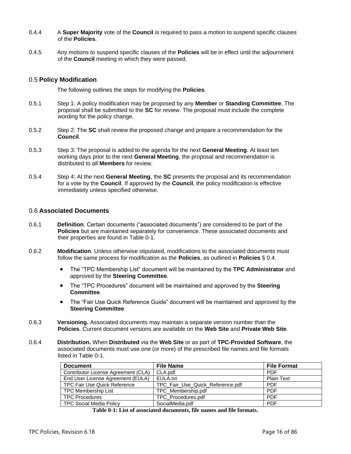- 0.4.4 A **Super Majority** vote of the **Council** is required to pass a motion to suspend specific clauses of the **Policies**.
- 0.4.5 Any motions to suspend specific clauses of the **Policies** will be in effect until the adjournment of the **Council** meeting in which they were passed.

# <span id="page-15-0"></span>0.5 **Policy Modification**

The following outlines the steps for modifying the **Policies**.

- 0.5.1 Step 1: A policy modification may be proposed by any **Member** or **Standing Committee**. The proposal shall be submitted to the **SC** for review. The proposal must include the complete wording for the policy change.
- 0.5.2 Step 2: The **SC** shall review the proposed change and prepare a recommendation for the **Council**.
- 0.5.3 Step 3: The proposal is added to the agenda for the next **General Meeting**. At least ten working days prior to the next **General Meeting**, the proposal and recommendation is distributed to all **Members** for review.
- 0.5.4 Step 4: At the next **General Meeting**, the **SC** presents the proposal and its recommendation for a vote by the **Council**. If approved by the **Council**, the policy modification is effective immediately unless specified otherwise.

# <span id="page-15-1"></span>0.6 **Associated Documents**

- 0.6.1 **Definition**. Certain documents ("associated documents") are considered to be part of the **Policies** but are maintained separately for convenience. These associated documents and their properties are found in Table 0-1.
- 0.6.2 **Modification**. Unless otherwise stipulated, modifications to the associated documents must follow the same process for modification as the **Policies**, as outlined in **Policies** § 0.4.
	- The "TPC Membership List" document will be maintained by the **TPC Administrator** and approved by the **Steering Committee**.
	- The "TPC Procedures" document will be maintained and approved by the **Steering Committee**.
	- The "Fair Use Quick Reference Guide" document will be maintained and approved by the **Steering Committee**
- 0.6.3 **Versioning.** Associated documents may maintain a separate version number than the **Policies**. Current document versions are available on the **Web Site** and **Private Web Site**.
- 0.6.4 **Distribution.** When **Distributed** via the **Web Site** or as part of **TPC-Provided Software**, the associated documents must use one (or more) of the prescribed file names and file formats listed in Table 0-1.

| <b>Document</b>                     | <b>File Name</b>                 | <b>File Format</b> |
|-------------------------------------|----------------------------------|--------------------|
| Contributor License Agreement (CLA) | CLA.pdf                          | <b>PDF</b>         |
| End User License Agreement (EULA)   | EULA.txt                         | <b>Plain Text</b>  |
| TPC Fair Use Quick Reference        | TPC Fair Use Quick Reference.pdf | <b>PDF</b>         |
| <b>TPC Membership List</b>          | TPC Membership.pdf               | <b>PDF</b>         |
| <b>TPC Procedures</b>               | TPC_Procedures.pdf               | <b>PDF</b>         |
| <b>TPC Social Media Policy</b>      | SocialMedia.pdf                  | <b>PDF</b>         |

**Table 0-1: List of associated documents, file names and file formats.**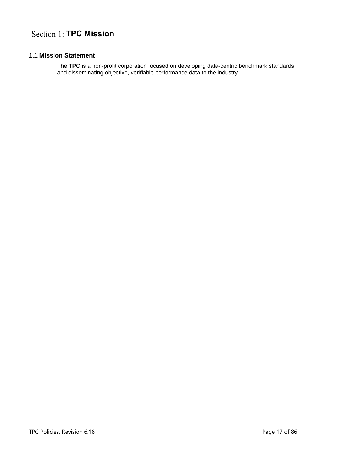# <span id="page-16-1"></span><span id="page-16-0"></span>1.1 **Mission Statement**

The **TPC** is a non-profit corporation focused on developing data-centric benchmark standards and disseminating objective, verifiable performance data to the industry.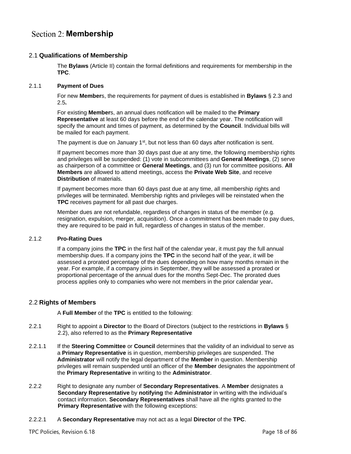# <span id="page-17-1"></span><span id="page-17-0"></span>2.1 **Qualifications of Membership**

The **Bylaws** (Article II) contain the formal definitions and requirements for membership in the **TPC**.

# <span id="page-17-2"></span>2.1.1 **Payment of Dues**

For new **Member**s, the requirements for payment of dues is established in **Bylaws** § 2.3 and 2.5**.**

For existing **Member**s, an annual dues notification will be mailed to the **Primary Representative** at least 60 days before the end of the calendar year. The notification will specify the amount and times of payment, as determined by the **Council**. Individual bills will be mailed for each payment.

The payment is due on January  $1<sup>st</sup>$ , but not less than 60 days after notification is sent.

If payment becomes more than 30 days past due at any time, the following membership rights and privileges will be suspended: (1) vote in subcommittees and **General Meetings**, (2) serve as chairperson of a committee or **General Meetings**, and (3) run for committee positions. **All Members** are allowed to attend meetings, access the **Private Web Site**, and receive **Distribution** of materials.

If payment becomes more than 60 days past due at any time, all membership rights and privileges will be terminated. Membership rights and privileges will be reinstated when the **TPC** receives payment for all past due charges.

Member dues are not refundable, regardless of changes in status of the member (e.g. resignation, expulsion, merger, acquisition). Once a commitment has been made to pay dues, they are required to be paid in full, regardless of changes in status of the member.

# <span id="page-17-3"></span>2.1.2 **Pro-Rating Dues**

If a company joins the **TPC** in the first half of the calendar year, it must pay the full annual membership dues. If a company joins the **TPC** in the second half of the year, it will be assessed a prorated percentage of the dues depending on how many months remain in the year. For example, if a company joins in September, they will be assessed a prorated or proportional percentage of the annual dues for the months Sept-Dec. The prorated dues process applies only to companies who were not members in the prior calendar year**.**

# <span id="page-17-4"></span>2.2 **Rights of Members**

A **Full Member** of the **TPC** is entitled to the following:

- 2.2.1 Right to appoint a **Director** to the Board of Directors (subject to the restrictions in **Bylaws** § 2.2), also referred to as the **Primary Representative**
- <span id="page-17-5"></span>2.2.1.1 If the **Steering Committee** or **Council** determines that the validity of an individual to serve as a **Primary Representative** is in question, membership privileges are suspended. The **Administrator** will notify the legal department of the **Member** in question. Membership privileges will remain suspended until an officer of the **Member** designates the appointment of the **Primary Representative** in writing to the **Administrator**.
- 2.2.2 Right to designate any number of **Secondary Representatives**. A **Member** designates a **Secondary Representative** by **notifying** the **Administrator** in writing with the individual's contact information. **Secondary Representatives** shall have all the rights granted to the **Primary Representative** with the following exceptions:
- 2.2.2.1 A **Secondary Representative** may not act as a legal **Director** of the **TPC**.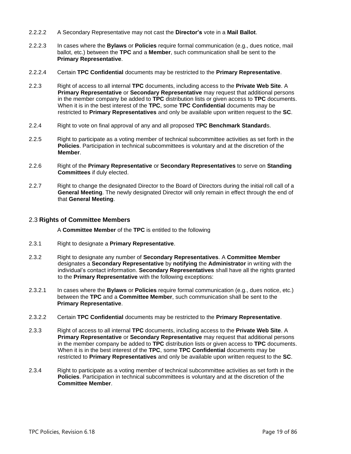- 2.2.2.2 A Secondary Representative may not cast the **Director's** vote in a **Mail Ballot**.
- 2.2.2.3 In cases where the **Bylaws** or **Policies** require formal communication (e.g., dues notice, mail ballot, etc.) between the **TPC** and a **Member**, such communication shall be sent to the **Primary Representative**.
- 2.2.2.4 Certain **TPC Confidential** documents may be restricted to the **Primary Representative**.
- 2.2.3 Right of access to all internal **TPC** documents, including access to the **Private Web Site**. A **Primary Representative** or **Secondary Representative** may request that additional persons in the member company be added to **TPC** distribution lists or given access to **TPC** documents. When it is in the best interest of the **TPC**, some **TPC Confidential** documents may be restricted to **Primary Representatives** and only be available upon written request to the **SC**.
- 2.2.4 Right to vote on final approval of any and all proposed **TPC Benchmark Standard**s.
- 2.2.5 Right to participate as a voting member of technical subcommittee activities as set forth in the **Policies**. Participation in technical subcommittees is voluntary and at the discretion of the **Member**.
- 2.2.6 Right of the **Primary Representative** or **Secondary Representatives** to serve on **Standing Committees** if duly elected.
- 2.2.7 Right to change the designated Director to the Board of Directors during the initial roll call of a **General Meeting**. The newly designated Director will only remain in effect through the end of that **General Meeting**.

# <span id="page-18-0"></span>2.3 **Rights of Committee Members**

A **Committee Member** of the **TPC** is entitled to the following

- 2.3.1 Right to designate a **Primary Representative**.
- 2.3.2 Right to designate any number of **Secondary Representatives**. A **Committee Member** designates a **Secondary Representative** by **notifying** the **Administrator** in writing with the individual's contact information. **Secondary Representatives** shall have all the rights granted to the **Primary Representative** with the following exceptions:
- 2.3.2.1 In cases where the **Bylaws** or **Policies** require formal communication (e.g., dues notice, etc.) between the **TPC** and a **Committee Member**, such communication shall be sent to the **Primary Representative**.
- 2.3.2.2 Certain **TPC Confidential** documents may be restricted to the **Primary Representative**.
- 2.3.3 Right of access to all internal **TPC** documents, including access to the **Private Web Site**. A **Primary Representative** or **Secondary Representative** may request that additional persons in the member company be added to **TPC** distribution lists or given access to **TPC** documents. When it is in the best interest of the **TPC**, some **TPC Confidential** documents may be restricted to **Primary Representatives** and only be available upon written request to the **SC**.
- 2.3.4 Right to participate as a voting member of technical subcommittee activities as set forth in the **Policies**. Participation in technical subcommittees is voluntary and at the discretion of the **Committee Member**.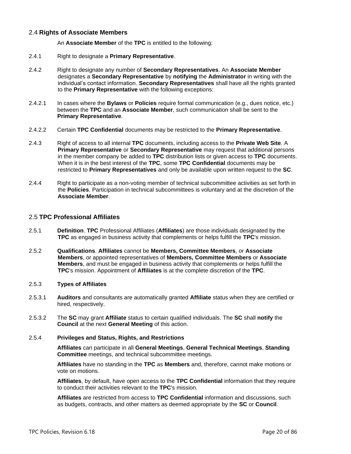# <span id="page-19-0"></span>2.4 **Rights of Associate Members**

An **Associate Member** of the **TPC** is entitled to the following:

- 2.4.1 Right to designate a **Primary Representative**.
- 2.4.2 Right to designate any number of **Secondary Representatives**. An **Associate Member** designates a **Secondary Representative** by **notifying** the **Administrator** in writing with the individual's contact information. **Secondary Representatives** shall have all the rights granted to the **Primary Representative** with the following exceptions:
- 2.4.2.1 In cases where the **Bylaws** or **Policies** require formal communication (e.g., dues notice, etc.) between the **TPC** and an **Associate Member**, such communication shall be sent to the **Primary Representative**.
- 2.4.2.2 Certain **TPC Confidential** documents may be restricted to the **Primary Representative**.
- 2.4.3 Right of access to all internal **TPC** documents, including access to the **Private Web Site**. A **Primary Representative** or **Secondary Representative** may request that additional persons in the member company be added to **TPC** distribution lists or given access to **TPC** documents. When it is in the best interest of the **TPC**, some **TPC Confidential** documents may be restricted to **Primary Representatives** and only be available upon written request to the **SC**.
- 2.4.4 Right to participate as a non-voting member of technical subcommittee activities as set forth in the **Policies**. Participation in technical subcommittees is voluntary and at the discretion of the **Associate Member**.

# <span id="page-19-1"></span>2.5 **TPC Professional Affiliates**

- 2.5.1 **Definition**. **TPC** Professional Affiliates (**Affiliates**) are those individuals designated by the **TPC** as engaged in business activity that complements or helps fulfill the **TPC**'s mission.
- 2.5.2 **Qualifications**. **Affiliates** cannot be **Members, Committee Members**, or **Associate Members**, or appointed representatives of **Members, Committee Members** or **Associate Members**, and must be engaged in business activity that complements or helps fulfill the **TPC**'s mission. Appointment of **Affiliates** is at the complete discretion of the **TPC**.

# <span id="page-19-2"></span>2.5.3 **Types of Affiliates**

- 2.5.3.1 **Auditors** and consultants are automatically granted **Affiliate** status when they are certified or hired, respectively.
- 2.5.3.2 The **SC** may grant **Affiliate** status to certain qualified individuals. The **SC** shall **notify** the **Council** at the next **General Meeting** of this action.

#### <span id="page-19-3"></span>2.5.4 **Privileges and Status, Rights, and Restrictions**

**Affiliates** can participate in all **General Meetings**, **General Technical Meetings**, **Standing Committee** meetings, and technical subcommittee meetings.

**Affiliates** have no standing in the **TPC** as **Members** and, therefore, cannot make motions or vote on motions.

**Affiliates**, by default, have open access to the **TPC Confidential** information that they require to conduct their activities relevant to the **TPC**'s mission.

**Affiliates** are restricted from access to **TPC Confidential** information and discussions, such as budgets, contracts, and other matters as deemed appropriate by the **SC** or **Council**.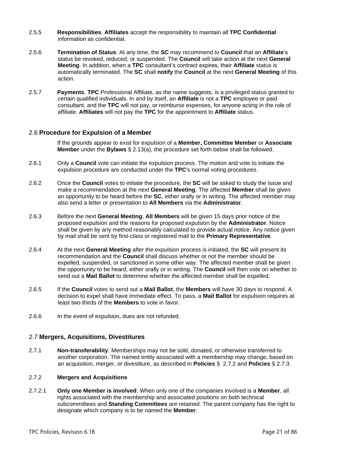- 2.5.5 **Responsibilities**. **Affiliates** accept the responsibility to maintain all **TPC Confidential**  information as confidential.
- 2.5.6 **Termination of Status**. At any time, the **SC** may recommend to **Council** that an **Affiliate**'s status be revoked, reduced, or suspended. The **Council** will take action at the next **General Meeting**. In addition, when a **TPC** consultant's contract expires, their **Affiliate** status is automatically terminated. The **SC** shall **notify** the **Council** at the next **General Meeting** of this action.
- 2.5.7 **Payments**. **TPC** Professional Affiliate, as the name suggests, is a privileged status granted to certain qualified individuals. In and by itself, an **Affiliate** is not a **TPC** employee or paid consultant, and the **TPC** will not pay, or reimburse expenses, for anyone acting in the role of affiliate. **Affiliates** will not pay the **TPC** for the appointment to **Affiliate** status.

# <span id="page-20-0"></span>2.6 **Procedure for Expulsion of a Member**

If the grounds appear to exist for expulsion of a **Member, Committee Member** or **Associate Member** under the **Bylaws** § 2.13(a), the procedure set forth below shall be followed.

- 2.6.1 Only a **Council** vote can initiate the expulsion process. The motion and vote to initiate the expulsion procedure are conducted under the **TPC**'s normal voting procedures.
- 2.6.2 Once the **Council** votes to initiate the procedure, the **SC** will be asked to study the issue and make a recommendation at the next **General Meeting**. The affected **Member** shall be given an opportunity to be heard before the **SC**, either orally or in writing. The affected member may also send a letter or presentation to **All Members** via the **Administrator**.
- 2.6.3 Before the next **General Meeting**, **All Members** will be given 15 days prior notice of the proposed expulsion and the reasons for proposed expulsion by the **Administrator**. Notice shall be given by any method reasonably calculated to provide actual notice. Any notice given by mail shall be sent by first-class or registered mail to the **Primary Representative**.
- 2.6.4 At the next **General Meeting** after the expulsion process is initiated, the **SC** will present its recommendation and the **Council** shall discuss whether or not the member should be expelled, suspended, or sanctioned in some other way. The affected member shall be given the opportunity to be heard, either orally or in writing. The **Council** will then vote on whether to send out a **Mail Ballot** to determine whether the affected member shall be expelled.
- 2.6.5 If the **Council** votes to send out a **Mail Ballot**, the **Members** will have 30 days to respond. A decision to expel shall have immediate effect. To pass, a **Mail Ballot** for expulsion requires at least two-thirds of the **Members** to vote in favor.
- <span id="page-20-1"></span>2.6.6 In the event of expulsion, dues are not refunded.

# 2.7 **Mergers, Acquisitions, Divestitures**

2.7.1 **Non-transferability**. Memberships may not be sold, donated, or otherwise transferred to another corporation. The named entity associated with a membership may change, based on an acquisition, merger, or divestiture, as described in **Policies** § [2.7.2](#page-20-2) and **Policies** § [2.7.3.](#page-21-0)

# <span id="page-20-2"></span>2.7.2 **Mergers and Acquisitions**

2.7.2.1 **Only one Member is involved**: When only one of the companies involved is a **Member**, all rights associated with the membership and associated positions on both technical subcommittees and **Standing Committees** are retained. The parent company has the right to designate which company is to be named the **Member**.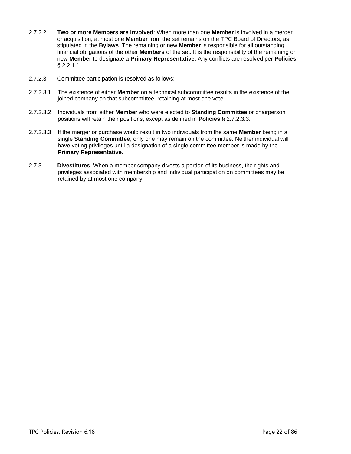- 2.7.2.2 **Two or more Members are involved**: When more than one **Member** is involved in a merger or acquisition, at most one **Member** from the set remains on the TPC Board of Directors, as stipulated in the **Bylaws**. The remaining or new **Member** is responsible for all outstanding financial obligations of the other **Members** of the set. It is the responsibility of the remaining or new **Member** to designate a **Primary Representative**. Any conflicts are resolved per **Policies** § [2.2.1.1.](#page-17-5)
- 2.7.2.3 Committee participation is resolved as follows:
- 2.7.2.3.1 The existence of either **Member** on a technical subcommittee results in the existence of the joined company on that subcommittee, retaining at most one vote.
- 2.7.2.3.2 Individuals from either **Member** who were elected to **Standing Committee** or chairperson positions will retain their positions, except as defined in **Policies** § [2.7.2.3.3.](#page-21-1)
- <span id="page-21-1"></span>2.7.2.3.3 If the merger or purchase would result in two individuals from the same **Member** being in a single **Standing Committee**, only one may remain on the committee. Neither individual will have voting privileges until a designation of a single committee member is made by the **Primary Representative**.
- <span id="page-21-0"></span>2.7.3 **Divestitures**. When a member company divests a portion of its business, the rights and privileges associated with membership and individual participation on committees may be retained by at most one company.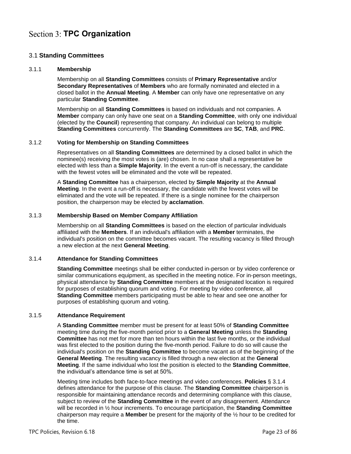# <span id="page-22-0"></span>**Section 3: TPC Organization**

# <span id="page-22-1"></span>3.1 **Standing Committees**

# <span id="page-22-2"></span>3.1.1 **Membership**

Membership on all **Standing Committees** consists of **Primary Representative** and/or **Secondary Representatives** of **Members** who are formally nominated and elected in a closed ballot in the **Annual Meeting**. A **Member** can only have one representative on any particular **Standing Committee**.

Membership on all **Standing Committees** is based on individuals and not companies. A **Member** company can only have one seat on a **Standing Committee**, with only one individual (elected by the **Council**) representing that company. An individual can belong to multiple **Standing Committees** concurrently. The **Standing Committees** are **SC**, **TAB**, and **PRC**.

# <span id="page-22-3"></span>3.1.2 **Voting for Membership on Standing Committees**

Representatives on all **Standing Committees** are determined by a closed ballot in which the nominee(s) receiving the most votes is (are) chosen. In no case shall a representative be elected with less than a **Simple Majority**. In the event a run-off is necessary, the candidate with the fewest votes will be eliminated and the vote will be repeated.

A **Standing Committee** has a chairperson, elected by **Simple Majority** at the **Annual Meeting**. In the event a run-off is necessary, the candidate with the fewest votes will be eliminated and the vote will be repeated. If there is a single nominee for the chairperson position, the chairperson may be elected by **acclamation**.

# <span id="page-22-4"></span>3.1.3 **Membership Based on Member Company Affiliation**

Membership on all **Standing Committees** is based on the election of particular individuals affiliated with the **Members**. If an individual's affiliation with a **Member** terminates, the individual's position on the committee becomes vacant. The resulting vacancy is filled through a new election at the next **General Meeting**.

# <span id="page-22-5"></span>3.1.4 **Attendance for Standing Committees**

**Standing Committee** meetings shall be either conducted in-person or by video conference or similar communications equipment, as specified in the meeting notice. For in-person meetings, physical attendance by **Standing Committee** members at the designated location is required for purposes of establishing quorum and voting. For meeting by video conference, all **Standing Committee** members participating must be able to hear and see one another for purposes of establishing quorum and voting.

# <span id="page-22-6"></span>3.1.5 **Attendance Requirement**

A **Standing Committee** member must be present for at least 50% of **Standing Committee** meeting time during the five-month period prior to a **General Meeting** unless the **Standing Committee** has not met for more than ten hours within the last five months, or the individual was first elected to the position during the five-month period. Failure to do so will cause the individual's position on the **Standing Committee** to become vacant as of the beginning of the **General Meeting**. The resulting vacancy is filled through a new election at the **General Meeting**. If the same individual who lost the position is elected to the **Standing Committee**, the individual's attendance time is set at 50%.

Meeting time includes both face-to-face meetings and video conferences. **Policies** [§ 3.1.4](#page-22-5) defines attendance for the purpose of this clause. The **Standing Committee** chairperson is responsible for maintaining attendance records and determining compliance with this clause, subject to review of the **Standing Committee** in the event of any disagreement. Attendance will be recorded in ½ hour increments. To encourage participation, the **Standing Committee** chairperson may require a **Member** be present for the majority of the ½ hour to be credited for the time.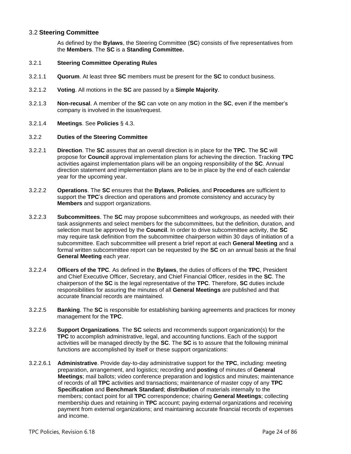# <span id="page-23-0"></span>3.2 **Steering Committee**

As defined by the **Bylaws**, the Steering Committee (**SC**) consists of five representatives from the **Members**. The **SC** is a **Standing Committee.**

# <span id="page-23-1"></span>3.2.1 **Steering Committee Operating Rules**

- 3.2.1.1 **Quorum**. At least three **SC** members must be present for the **SC** to conduct business.
- 3.2.1.2 **Voting**. All motions in the **SC** are passed by a **Simple Majority**.
- 3.2.1.3 **Non-recusal**. A member of the **SC** can vote on any motion in the **SC**, even if the member's company is involved in the issue/request.
- 3.2.1.4 **Meetings**. See **Policies** § [4.3.](#page-34-3)

#### <span id="page-23-2"></span>3.2.2 **Duties of the Steering Committee**

- 3.2.2.1 **Direction**. The **SC** assures that an overall direction is in place for the **TPC**. The **SC** will propose for **Council** approval implementation plans for achieving the direction. Tracking **TPC** activities against implementation plans will be an ongoing responsibility of the **SC**. Annual direction statement and implementation plans are to be in place by the end of each calendar year for the upcoming year.
- 3.2.2.2 **Operations**. The **SC** ensures that the **Bylaws**, **Policies**, and **Procedures** are sufficient to support the **TPC**'s direction and operations and promote consistency and accuracy by **Members** and support organizations.
- 3.2.2.3 **Subcommittees**. The **SC** may propose subcommittees and workgroups, as needed with their task assignments and select members for the subcommittees, but the definition, duration, and selection must be approved by the **Council**. In order to drive subcommittee activity, the **SC** may require task definition from the subcommittee chairperson within 30 days of initiation of a subcommittee. Each subcommittee will present a brief report at each **General Meeting** and a formal written subcommittee report can be requested by the **SC** on an annual basis at the final **General Meeting** each year.
- 3.2.2.4 **Officers of the TPC**. As defined in the **Bylaws**, the duties of officers of the **TPC**, President and Chief Executive Officer, Secretary, and Chief Financial Officer, resides in the **SC**. The chairperson of the **SC** is the legal representative of the **TPC**. Therefore, **SC** duties include responsibilities for assuring the minutes of all **General Meetings** are published and that accurate financial records are maintained.
- 3.2.2.5 **Banking**. The **SC** is responsible for establishing banking agreements and practices for money management for the **TPC**.
- 3.2.2.6 **Support Organizations**. The **SC** selects and recommends support organization(s) for the **TPC** to accomplish administrative, legal, and accounting functions. Each of the support activities will be managed directly by the **SC**. The **SC** is to assure that the following minimal functions are accomplished by itself or these support organizations:
- 3.2.2.6.1 **Administrative**. Provide day-to-day administrative support for the **TPC**, including: meeting preparation, arrangement, and logistics; recording and **posting** of minutes of **General Meetings**; mail ballots; video conference preparation and logistics and minutes; maintenance of records of all **TPC** activities and transactions; maintenance of master copy of any **TPC Specification** and **Benchmark Standard**; **distribution** of materials internally to the members; contact point for all **TPC** correspondence; chairing **General Meetings**; collecting membership dues and retaining in **TPC** account; paying external organizations and receiving payment from external organizations; and maintaining accurate financial records of expenses and income.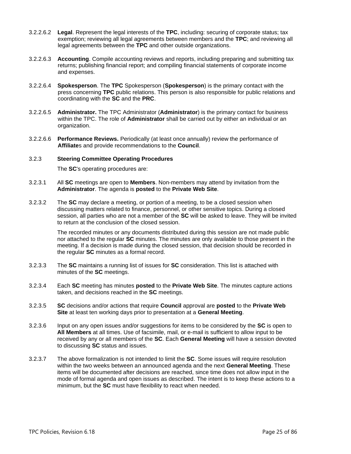- 3.2.2.6.2 **Legal**. Represent the legal interests of the **TPC**, including: securing of corporate status; tax exemption; reviewing all legal agreements between members and the **TPC**; and reviewing all legal agreements between the **TPC** and other outside organizations.
- 3.2.2.6.3 **Accounting**. Compile accounting reviews and reports, including preparing and submitting tax returns; publishing financial report; and compiling financial statements of corporate income and expenses.
- <span id="page-24-2"></span>3.2.2.6.4 **Spokesperson**. The **TPC** Spokesperson (**Spokesperson**) is the primary contact with the press concerning **TPC** public relations. This person is also responsible for public relations and coordinating with the **SC** and the **PRC**.
- <span id="page-24-1"></span>3.2.2.6.5 **Administrator.** The TPC Administrator (**Administrator**) is the primary contact for business within the TPC. The role of **Administrator** shall be carried out by either an individual or an organization.
- 3.2.2.6.6 **Performance Reviews.** Periodically (at least once annually) review the performance of **Affiliate**s and provide recommendations to the **Council**.

# <span id="page-24-0"></span>3.2.3 **Steering Committee Operating Procedures**

The **SC**'s operating procedures are:

- 3.2.3.1 All **SC** meetings are open to **Members**. Non-members may attend by invitation from the **Administrator**. The agenda is **posted** to the **Private Web Site**.
- 3.2.3.2 The **SC** may declare a meeting, or portion of a meeting, to be a closed session when discussing matters related to finance, personnel, or other sensitive topics. During a closed session, all parties who are not a member of the **SC** will be asked to leave. They will be invited to return at the conclusion of the closed session.

The recorded minutes or any documents distributed during this session are not made public nor attached to the regular **SC** minutes. The minutes are only available to those present in the meeting. If a decision is made during the closed session, that decision should be recorded in the regular **SC** minutes as a formal record.

- 3.2.3.3 The **SC** maintains a running list of issues for **SC** consideration. This list is attached with minutes of the **SC** meetings.
- 3.2.3.4 Each **SC** meeting has minutes **posted** to the **Private Web Site**. The minutes capture actions taken, and decisions reached in the **SC** meetings.
- 3.2.3.5 **SC** decisions and/or actions that require **Council** approval are **posted** to the **Private Web Site** at least ten working days prior to presentation at a **General Meeting**.
- 3.2.3.6 Input on any open issues and/or suggestions for items to be considered by the **SC** is open to **All Members** at all times. Use of facsimile, mail, or e-mail is sufficient to allow input to be received by any or all members of the **SC**. Each **General Meeting** will have a session devoted to discussing **SC** status and issues.
- 3.2.3.7 The above formalization is not intended to limit the **SC**. Some issues will require resolution within the two weeks between an announced agenda and the next **General Meeting**. These items will be documented after decisions are reached, since time does not allow input in the mode of formal agenda and open issues as described. The intent is to keep these actions to a minimum, but the **SC** must have flexibility to react when needed.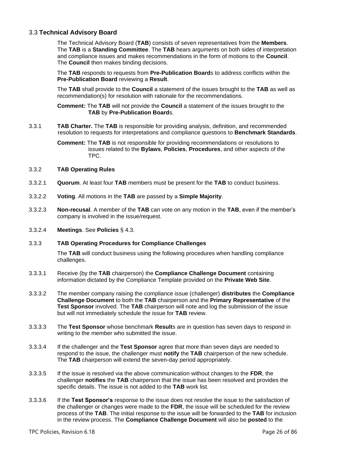# <span id="page-25-0"></span>3.3 **Technical Advisory Board**

The Technical Advisory Board (**TAB**) consists of seven representatives from the **Members**. The **TAB** is a **Standing Committee**. The **TAB** hears arguments on both sides of interpretation and compliance issues and makes recommendations in the form of motions to the **Council**. The **Council** then makes binding decisions.

The **TAB** responds to requests from **Pre-Publication Board**s to address conflicts within the **Pre-Publication Board** reviewing a **Result**.

The **TAB** shall provide to the **Council** a statement of the issues brought to the **TAB** as well as recommendation(s) for resolution with rationale for the recommendations.

**Comment:** The **TAB** will not provide the **Council** a statement of the issues brought to the **TAB** by **Pre-Publication Board**s.

3.3.1 **TAB Charter.** The **TAB** is responsible for providing analysis, definition, and recommended resolution to requests for interpretations and compliance questions to **Benchmark Standards**.

> **Comment:** The **TAB** is not responsible for providing recommendations or resolutions to issues related to the **Bylaws**, **Policies**, **Procedures**, and other aspects of the TPC.

#### <span id="page-25-1"></span>3.3.2 **TAB Operating Rules**

- 3.3.2.1 **Quorum**. At least four **TAB** members must be present for the **TAB** to conduct business.
- 3.3.2.2 **Voting**. All motions in the **TAB** are passed by a **Simple Majority**.
- 3.3.2.3 **Non-recusal**. A member of the **TAB** can vote on any motion in the **TAB**, even if the member's company is involved in the issue/request.
- 3.3.2.4 **Meetings**. See **Policies** § [4.3.](#page-34-3)

# <span id="page-25-2"></span>3.3.3 **TAB Operating Procedures for Compliance Challenges**

The **TAB** will conduct business using the following procedures when handling compliance challenges.

- <span id="page-25-3"></span>3.3.3.1 Receive (by the **TAB** chairperson) the **Compliance Challenge Document** containing information dictated by the Compliance Template provided on the **Private Web Site**.
- 3.3.3.2 The member company raising the compliance issue (challenger) **distributes** the **Compliance Challenge Document** to both the **TAB** chairperson and the **Primary Representative** of the **Test Sponsor** involved. The **TAB** chairperson will note and log the submission of the issue but will not immediately schedule the issue for **TAB** review.
- <span id="page-25-4"></span>3.3.3.3 The **Test Sponsor** whose benchmark **Result**s are in question has seven days to respond in writing to the member who submitted the issue.
- <span id="page-25-5"></span>3.3.3.4 If the challenger and the **Test Sponsor** agree that more than seven days are needed to respond to the issue, the challenger must **notify** the **TAB** chairperson of the new schedule. The **TAB** chairperson will extend the seven-day period appropriately.
- 3.3.3.5 If the issue is resolved via the above communication without changes to the **FDR**, the challenger **notifies** the **TAB** chairperson that the issue has been resolved and provides the specific details. The issue is not added to the **TAB** work list.
- 3.3.3.6 If the **Test Sponsor's** response to the issue does not resolve the issue to the satisfaction of the challenger or changes were made to the **FDR**, the issue will be scheduled for the review process of the **TAB**. The initial response to the issue will be forwarded to the **TAB** for inclusion in the review process. The **Compliance Challenge Document** will also be **posted** to the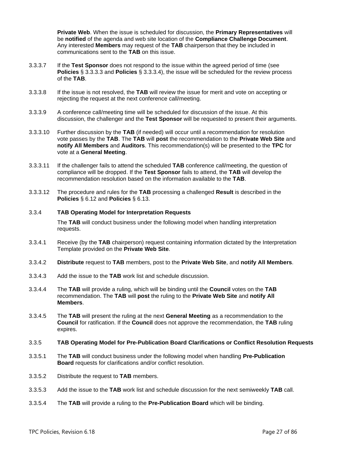**Private Web**. When the issue is scheduled for discussion, the **Primary Representatives** will be **notified** of the agenda and web site location of the **Compliance Challenge Document**. Any interested **Members** may request of the **TAB** chairperson that they be included in communications sent to the **TAB** on this issue.

- 3.3.3.7 If the **Test Sponsor** does not respond to the issue within the agreed period of time (see **Policies** § [3.3.3.3](#page-25-4) and **Policies** § [3.3.3.4\)](#page-25-5), the issue will be scheduled for the review process of the **TAB**.
- 3.3.3.8 If the issue is not resolved, the **TAB** will review the issue for merit and vote on accepting or rejecting the request at the next conference call/meeting.
- 3.3.3.9 A conference call/meeting time will be scheduled for discussion of the issue. At this discussion, the challenger and the **Test Sponsor** will be requested to present their arguments.
- 3.3.3.10 Further discussion by the **TAB** (if needed) will occur until a recommendation for resolution vote passes by the **TAB**. The **TAB** will **post** the recommendation to the **Private Web Site** and **notify All Members** and **Auditors**. This recommendation(s) will be presented to the **TPC** for vote at a **General Meeting**.
- 3.3.3.11 If the challenger fails to attend the scheduled **TAB** conference call/meeting, the question of compliance will be dropped. If the **Test Sponsor** fails to attend, the **TAB** will develop the recommendation resolution based on the information available to the **TAB**.
- 3.3.3.12 The procedure and rules for the **TAB** processing a challenged **Result** is described in the **Policies** § [6.12](#page-50-0) and **Policies** § [6.13.](#page-51-0)

# <span id="page-26-0"></span>3.3.4 **TAB Operating Model for Interpretation Requests**

The **TAB** will conduct business under the following model when handling interpretation requests.

- 3.3.4.1 Receive (by the **TAB** chairperson) request containing information dictated by the Interpretation Template provided on the **Private Web Site**.
- 3.3.4.2 **Distribute** request to **TAB** members, post to the **Private Web Site**, and **notify All Members**.
- 3.3.4.3 Add the issue to the **TAB** work list and schedule discussion.
- 3.3.4.4 The **TAB** will provide a ruling, which will be binding until the **Council** votes on the **TAB** recommendation. The **TAB** will **post** the ruling to the **Private Web Site** and **notify All Members**.
- 3.3.4.5 The **TAB** will present the ruling at the next **General Meeting** as a recommendation to the **Council** for ratification. If the **Council** does not approve the recommendation, the **TAB** ruling expires.

#### <span id="page-26-1"></span>3.3.5 **TAB Operating Model for Pre-Publication Board Clarifications or Conflict Resolution Requests**

- 3.3.5.1 The **TAB** will conduct business under the following model when handling **Pre-Publication Board** requests for clarifications and/or conflict resolution.
- 3.3.5.2 Distribute the request to **TAB** members.
- 3.3.5.3 Add the issue to the **TAB** work list and schedule discussion for the next semiweekly **TAB** call.
- 3.3.5.4 The **TAB** will provide a ruling to the **Pre-Publication Board** which will be binding.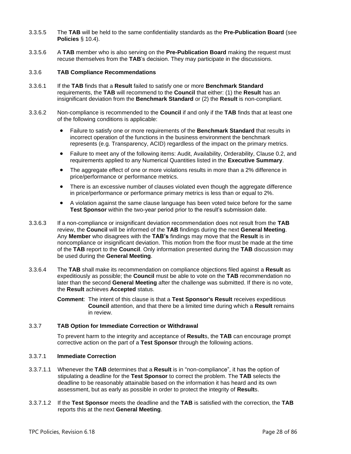- 3.3.5.5 The **TAB** will be held to the same confidentiality standards as the **Pre-Publication Board** (see **Policies** § 10.4).
- 3.3.5.6 A **TAB** member who is also serving on the **Pre-Publication Board** making the request must recuse themselves from the **TAB**'s decision. They may participate in the discussions.

#### <span id="page-27-0"></span>3.3.6 **TAB Compliance Recommendations**

- 3.3.6.1 If the **TAB** finds that a **Result** failed to satisfy one or more **Benchmark Standard** requirements, the **TAB** will recommend to the **Council** that either: (1) the **Result** has an insignificant deviation from the **Benchmark Standard** or (2) the **Result** is non-compliant.
- 3.3.6.2 Non-compliance is recommended to the **Council** if and only if the **TAB** finds that at least one of the following conditions is applicable:
	- Failure to satisfy one or more requirements of the **Benchmark Standard** that results in incorrect operation of the functions in the business environment the benchmark represents (e.g. Transparency, ACID) regardless of the impact on the primary metrics.
	- Failure to meet any of the following items: Audit, Availability, Orderability, Clause 0.2, and requirements applied to any Numerical Quantities listed in the **Executive Summary**.
	- The aggregate effect of one or more violations results in more than a 2% difference in price/performance or performance metrics.
	- There is an excessive number of clauses violated even though the aggregate difference in price/performance or performance primary metrics is less than or equal to 2%.
	- A violation against the same clause language has been voted twice before for the same **Test Sponsor** within the two-year period prior to the result's submission date.
- 3.3.6.3 If a non-compliance or insignificant deviation recommendation does not result from the **TAB** review, the **Council** will be informed of the **TAB** findings during the next **General Meeting**. Any **Member** who disagrees with the **TAB's** findings may move that the **Result** is in noncompliance or insignificant deviation. This motion from the floor must be made at the time of the **TAB** report to the **Council**. Only information presented during the **TAB** discussion may be used during the **General Meeting**.
- 3.3.6.4 The **TAB** shall make its recommendation on compliance objections filed against a **Result** as expeditiously as possible; the **Council** must be able to vote on the **TAB** recommendation no later than the second **General Meeting** after the challenge was submitted. If there is no vote, the **Result** achieves **Accepted** status.
	- **Comment**: The intent of this clause is that a **Test Sponsor's Result** receives expeditious **Council** attention, and that there be a limited time during which a **Result** remains in review.

#### <span id="page-27-1"></span>3.3.7 **TAB Option for Immediate Correction or Withdrawal**

To prevent harm to the integrity and acceptance of **Result**s, the **TAB** can encourage prompt corrective action on the part of a **Test Sponsor** through the following actions.

#### 3.3.7.1 **Immediate Correction**

- 3.3.7.1.1 Whenever the **TAB** determines that a **Result** is in "non-compliance", it has the option of stipulating a deadline for the **Test Sponsor** to correct the problem. The **TAB** selects the deadline to be reasonably attainable based on the information it has heard and its own assessment, but as early as possible in order to protect the integrity of **Result**s.
- 3.3.7.1.2 If the **Test Sponsor** meets the deadline and the **TAB** is satisfied with the correction, the **TAB** reports this at the next **General Meeting**.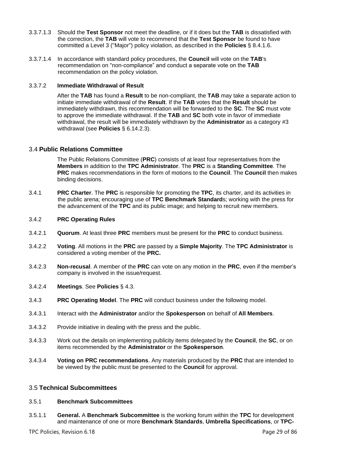- 3.3.7.1.3 Should the **Test Sponsor** not meet the deadline, or if it does but the **TAB** is dissatisfied with the correction, the **TAB** will vote to recommend that the **Test Sponsor** be found to have committed a Level 3 ("Major") policy violation, as described in the **Policies** § [8.4.1.6.](#page-61-2)
- 3.3.7.1.4 In accordance with standard policy procedures, the **Council** will vote on the **TAB**'s recommendation on "non-compliance" and conduct a separate vote on the **TAB** recommendation on the policy violation.

#### 3.3.7.2 **Immediate Withdrawal of Result**

After the **TAB** has found a **Result** to be non-compliant, the **TAB** may take a separate action to initiate immediate withdrawal of the **Result**. If the **TAB** votes that the **Result** should be immediately withdrawn, this recommendation will be forwarded to the **SC**. The **SC** must vote to approve the immediate withdrawal. If the **TAB** and **SC** both vote in favor of immediate withdrawal, the result will be immediately withdrawn by the **Administrator** as a category #3 withdrawal (see **Policies** § [6.14.2.3\)](#page-51-2).

# <span id="page-28-0"></span>3.4 **Public Relations Committee**

The Public Relations Committee (**PRC**) consists of at least four representatives from the **Members** in addition to the **TPC Administrator**. The **PRC** is a **Standing Committee**. The **PRC** makes recommendations in the form of motions to the **Council**. The **Council** then makes binding decisions.

3.4.1 **PRC Charter**. The **PRC** is responsible for promoting the **TPC**, its charter, and its activities in the public arena; encouraging use of **TPC Benchmark Standard**s; working with the press for the advancement of the **TPC** and its public image; and helping to recruit new members.

# <span id="page-28-1"></span>3.4.2 **PRC Operating Rules**

- 3.4.2.1 **Quorum**. At least three **PRC** members must be present for the **PRC** to conduct business.
- 3.4.2.2 **Voting**. All motions in the **PRC** are passed by a **Simple Majority**. The **TPC Administrator** is considered a voting member of the **PRC.**
- 3.4.2.3 **Non-recusal**. A member of the **PRC** can vote on any motion in the **PRC**, even if the member's company is involved in the issue/request.
- 3.4.2.4 **Meetings**. See **Policies** § [4.3.](#page-34-3)
- 3.4.3 **PRC Operating Model**. The **PRC** will conduct business under the following model.
- 3.4.3.1 Interact with the **Administrator** and/or the **Spokesperson** on behalf of **All Members**.
- 3.4.3.2 Provide initiative in dealing with the press and the public.
- 3.4.3.3 Work out the details on implementing publicity items delegated by the **Council**, the **SC**, or on items recommended by the **Administrator** or the **Spokesperson**.
- 3.4.3.4 **Voting on PRC recommendations**. Any materials produced by the **PRC** that are intended to be viewed by the public must be presented to the **Council** for approval.

# <span id="page-28-2"></span>3.5 **Technical Subcommittees**

# <span id="page-28-3"></span>3.5.1 **Benchmark Subcommittees**

3.5.1.1 **General.** A **Benchmark Subcommittee** is the working forum within the **TPC** for development and maintenance of one or more **Benchmark Standards**, **Umbrella Specifications**, or **TPC-**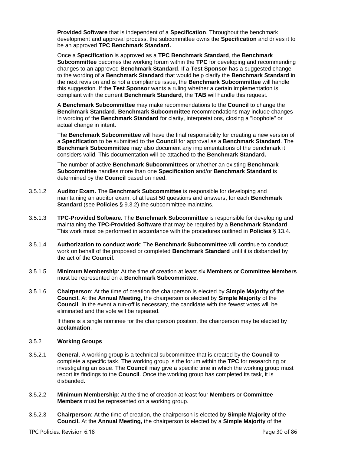**Provided Software** that is independent of a **Specification**. Throughout the benchmark development and approval process, the subcommittee owns the **Specification** and drives it to be an approved **TPC Benchmark Standard.** 

Once a **Specification** is approved as a **TPC Benchmark Standard**, the **Benchmark Subcommittee** becomes the working forum within the **TPC** for developing and recommending changes to an approved **Benchmark Standard**. If a **Test Sponsor** has a suggested change to the wording of a **Benchmark Standard** that would help clarify the **Benchmark Standard** in the next revision and is not a compliance issue, the **Benchmark Subcommittee** will handle this suggestion. If the **Test Sponsor** wants a ruling whether a certain implementation is compliant with the current **Benchmark Standard**, the **TAB** will handle this request.

A **Benchmark Subcommittee** may make recommendations to the **Council** to change the **Benchmark Standard**. **Benchmark Subcommittee** recommendations may include changes in wording of the **Benchmark Standard** for clarity, interpretations, closing a "loophole" or actual change in intent.

The **Benchmark Subcommittee** will have the final responsibility for creating a new version of a **Specification** to be submitted to the **Council** for approval as a **Benchmark Standard**. The **Benchmark Subcommittee** may also document any implementations of the benchmark it considers valid. This documentation will be attached to the **Benchmark Standard.**

The number of active **Benchmark Subcommittees** or whether an existing **Benchmark Subcommittee** handles more than one **Specification** and/or **Benchmark Standard** is determined by the **Council** based on need.

- 3.5.1.2 **Auditor Exam.** The **Benchmark Subcommittee** is responsible for developing and maintaining an auditor exam, of at least 50 questions and answers, for each **Benchmark Standard** (see **Policies** § [9.3.2\)](#page-63-5) the subcommittee maintains.
- 3.5.1.3 **TPC-Provided Software.** The **Benchmark Subcommittee** is responsible for developing and maintaining the **TPC-Provided Software** that may be required by a **Benchmark Standard**. This work must be performed in accordance with the procedures outlined in **Policies** § [13.4.](#page-84-5)
- 3.5.1.4 **Authorization to conduct work**: The **Benchmark Subcommittee** will continue to conduct work on behalf of the proposed or completed **Benchmark Standard** until it is disbanded by the act of the **Council**.
- 3.5.1.5 **Minimum Membership**: At the time of creation at least six **Members** or **Committee Members** must be represented on a **Benchmark Subcommittee**.
- 3.5.1.6 **Chairperson**: At the time of creation the chairperson is elected by **Simple Majority** of the **Council.** At the **Annual Meeting,** the chairperson is elected by **Simple Majority** of the **Council**. In the event a run-off is necessary, the candidate with the fewest votes will be eliminated and the vote will be repeated.

If there is a single nominee for the chairperson position, the chairperson may be elected by **acclamation**.

# <span id="page-29-0"></span>3.5.2 **Working Groups**

- 3.5.2.1 **General**. A working group is a technical subcommittee that is created by the **Council** to complete a specific task. The working group is the forum within the **TPC** for researching or investigating an issue. The **Council** may give a specific time in which the working group must report its findings to the **Council**. Once the working group has completed its task, it is disbanded.
- 3.5.2.2 **Minimum Membership**: At the time of creation at least four **Members** or **Committee Members** must be represented on a working group.
- 3.5.2.3 **Chairperson**: At the time of creation, the chairperson is elected by **Simple Majority** of the **Council.** At the **Annual Meeting,** the chairperson is elected by a **Simple Majority** of the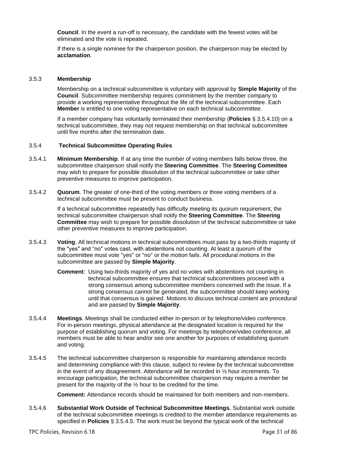**Council**. In the event a run-off is necessary, the candidate with the fewest votes will be eliminated and the vote is repeated.

If there is a single nominee for the chairperson position, the chairperson may be elected by **acclamation**.

#### <span id="page-30-0"></span>3.5.3 **Membership**

Membership on a technical subcommittee is voluntary with approval by **Simple Majority** of the **Council**. Subcommittee membership requires commitment by the member company to provide a working representative throughout the life of the technical subcommittee. Each **Member** is entitled to one voting representative on each technical subcommittee.

<span id="page-30-1"></span>If a member company has voluntarily terminated their membership (**Policies** § [3.5.4.10\)](#page-31-1) on a technical subcommittee, they may not request membership on that technical subcommittee until five months after the termination date.

#### 3.5.4 **Technical Subcommittee Operating Rules**

- 3.5.4.1 **Minimum Membership**. If at any time the number of voting members falls below three, the subcommittee chairperson shall notify the **Steering Committee**. The **Steering Committee** may wish to prepare for possible [dissolution](https://nam06.safelinks.protection.outlook.com/?url=https%3A%2F%2Fwww.spec.org%2Fosg%2Fpolicy.html%23s2.2.7&data=02%7C01%7CJamie.Reding%40microsoft.com%7Cad4a742c95964fc2413e08d6f410718c%7C72f988bf86f141af91ab2d7cd011db47%7C1%7C0%7C636964748788955791&sdata=%2F9LMuPxFndrWEcGjxQlseaK9oySPWpYY8hpzBDZqI0Y%3D&reserved=0) of the technical subcommittee or take other preventive measures to improve participation.
- 3.5.4.2 **Quorum**. The greater of one-third of the voting members or three voting members of a technical subcommittee must be present to conduct business.

If a technical subcommittee repeatedly has difficulty meeting its quorum requirement, the technical subcommittee chairperson shall notify the **Steering Committee**. The **Steering Committee** may wish to prepare for possible [dissolution](https://nam06.safelinks.protection.outlook.com/?url=https%3A%2F%2Fwww.spec.org%2Fosg%2Fpolicy.html%23s2.2.7&data=02%7C01%7CJamie.Reding%40microsoft.com%7Cad4a742c95964fc2413e08d6f410718c%7C72f988bf86f141af91ab2d7cd011db47%7C1%7C0%7C636964748788955791&sdata=%2F9LMuPxFndrWEcGjxQlseaK9oySPWpYY8hpzBDZqI0Y%3D&reserved=0) of the technical subcommittee or take other preventive measures to improve participation.

- 3.5.4.3 **Voting**. All technical motions in technical subcommittees must pass by a two-thirds majority of the "yes" and "no" votes cast, with abstentions not counting. At least a quorum of the subcommittee must vote "yes" or "no" or the motion fails. All procedural motions in the subcommittee are passed by **Simple Majority**.
	- **Comment**: Using two-thirds majority of yes and no votes with abstentions not counting in technical subcommittee ensures that technical subcommittees proceed with a strong consensus among subcommittee members concerned with the issue. If a strong consensus cannot be generated, the subcommittee should keep working until that consensus is gained. Motions to discuss technical content are procedural and are passed by **Simple Majority**.
- 3.5.4.4 **Meetings**. Meetings shall be conducted either in-person or by telephone/video conference. For in-person meetings, physical attendance at the designated location is required for the purpose of establishing quorum and voting. For meetings by telephone/video conference, all members must be able to hear and/or see one another for purposes of establishing quorum and voting.
- <span id="page-30-2"></span>3.5.4.5 The technical subcommittee chairperson is responsible for maintaining attendance records and determining compliance with this clause, subject to review by the technical subcommittee in the event of any disagreement. Attendance will be recorded in ½ hour increments. To encourage participation, the technical subcommittee chairperson may require a member be present for the majority of the ½ hour to be credited for the time.

**Comment:** Attendance records should be maintained for both members and non-members.

3.5.4.6 **Substantial Work Outside of Technical Subcommittee Meetings.** Substantial work outside of the technical subcommittee meetings is credited to the member attendance requirements as specified in **Policies** § [3.5.4.5.](#page-30-2) The work must be beyond the typical work of the technical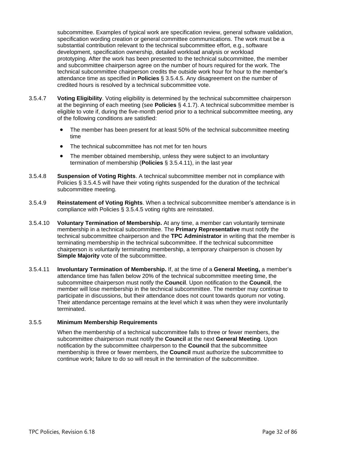subcommittee. Examples of typical work are specification review, general software validation, specification wording creation or general committee communications. The work must be a substantial contribution relevant to the technical subcommittee effort, e.g., software development, specification ownership, detailed workload analysis or workload prototyping. After the work has been presented to the technical subcommittee, the member and subcommittee chairperson agree on the number of hours required for the work. The technical subcommittee chairperson credits the outside work hour for hour to the member's attendance time as specified in **Policies** § [3.5.4.5.](#page-30-2) Any disagreement on the number of credited hours is resolved by a technical subcommittee vote.

- 3.5.4.7 **Voting Eligibility**. Voting eligibility is determined by the technical subcommittee chairperson at the beginning of each meeting (see **Policies** § [4.1.7\)](#page-32-8). A technical subcommittee member is eligible to vote if, during the five-month period prior to a technical subcommittee meeting, any of the following conditions are satisfied:
	- The member has been present for at least 50% of the technical subcommittee meeting time
	- The technical subcommittee has not met for ten hours
	- The member obtained membership, unless they were subject to an involuntary termination of membership (**Policies** § [3.5.4.11\)](#page-31-2), in the last year
- 3.5.4.8 **Suspension of Voting Rights**. A technical subcommittee member not in compliance with Policies § [3.5.4.5](#page-30-2) will have their voting rights suspended for the duration of the technical subcommittee meeting.
- 3.5.4.9 **Reinstatement of Voting Rights**. When a technical subcommittee member's attendance is in compliance with Policies § [3.5.4.5](#page-30-2) voting rights are reinstated.
- <span id="page-31-1"></span>3.5.4.10 **Voluntary Termination of Membership.** At any time, a member can voluntarily terminate membership in a technical subcommittee. The **Primary Representative** must notify the technical subcommittee chairperson and the **TPC Administrator** in writing that the member is terminating membership in the technical subcommittee. If the technical subcommittee chairperson is voluntarily terminating membership, a temporary chairperson is chosen by **Simple Majority** vote of the subcommittee.
- <span id="page-31-2"></span>3.5.4.11 **Involuntary Termination of Membership.** If, at the time of a **General Meeting,** a member's attendance time has fallen below 20% of the technical subcommittee meeting time, the subcommittee chairperson must notify the **Council**. Upon notification to the **Council**, the member will lose membership in the technical subcommittee. The member may continue to participate in discussions, but their attendance does not count towards quorum nor voting. Their attendance percentage remains at the level which it was when they were involuntarily terminated.

#### <span id="page-31-0"></span>3.5.5 **Minimum Membership Requirements**

When the membership of a technical subcommittee falls to three or fewer members, the subcommittee chairperson must notify the **Council** at the next **General Meeting**. Upon notification by the subcommittee chairperson to the **Council** that the subcommittee membership is three or fewer members, the **Council** must authorize the subcommittee to continue work; failure to do so will result in the termination of the subcommittee.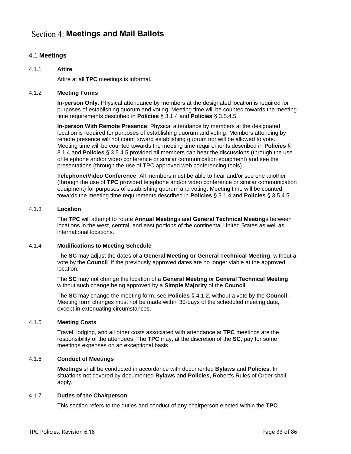# <span id="page-32-0"></span>**Meetings and Mail Ballots**

# <span id="page-32-1"></span>4.1 **Meetings**

# <span id="page-32-2"></span>4.1.1 **Attire**

Attire at all **TPC** meetings is informal.

# <span id="page-32-3"></span>4.1.2 **Meeting Forms**

**In-person Only**: Physical attendance by members at the designated location is required for purposes of establishing quorum and voting. Meeting time will be counted towards the meeting time requirements described in **Policies** § [3.1.4](#page-22-5) and **Policies** § [3.5.4.5.](#page-30-2)

**In-person With Remote Presence**: Physical attendance by members at the designated location is required for purposes of establishing quorum and voting. Members attending by remote presence will not count toward establishing quorum nor will be allowed to vote. Meeting time will be counted towards the meeting time requirements described in **Policies** § [3.1.4](#page-22-5) and **Policies** § [3.5.4.5](#page-30-2) provided all members can hear the discussions (through the use of telephone and/or video conference or similar communication equipment) and see the presentations (through the use of TPC approved web conferencing tools).

**Telephone/Video Conference**: All members must be able to hear and/or see one another (through the use of **TPC** provided telephone and/or video conference or similar communication equipment) for purposes of establishing quorum and voting. Meeting time will be counted towards the meeting time requirements described in **Policies** § [3.1.4](#page-22-5) and **Policies** § [3.5.4.5.](#page-30-2)

# <span id="page-32-4"></span>4.1.3 **Location**

The **TPC** will attempt to rotate **Annual Meeting**s and **General Technical Meeting**s between locations in the west, central, and east portions of the continental United States as well as international locations.

# <span id="page-32-5"></span>4.1.4 **Modifications to Meeting Schedule**

The **SC** may adjust the dates of a **General Meeting or General Technical Meeting**, without a vote by the **Council**, if the previously approved dates are no longer viable at the approved location.

The **SC** may not change the location of a **General Meeting** or **General Technical Meeting** without such change being approved by a **Simple Majority** of the **Council**.

The **SC** may change the meeting form, see **Policies** § [4.1.2,](#page-32-3) without a vote by the **Council**. Meeting form changes must not be made within 30-days of the scheduled meeting date, except in extenuating circumstances.

# <span id="page-32-6"></span>4.1.5 **Meeting Costs**

Travel, lodging, and all other costs associated with attendance at **TPC** meetings are the responsibility of the attendees. The **TPC** may, at the discretion of the **SC**, pay for some meetings expenses on an exceptional basis.

# <span id="page-32-7"></span>4.1.6 **Conduct of Meetings**

**Meetings** shall be conducted in accordance with documented **Bylaws** and **Policies**. In situations not covered by documented **Bylaws** and **Policies**, Robert's Rules of Order shall apply.

# <span id="page-32-8"></span>4.1.7 **Duties of the Chairperson**

This section refers to the duties and conduct of any chairperson elected within the **TPC**.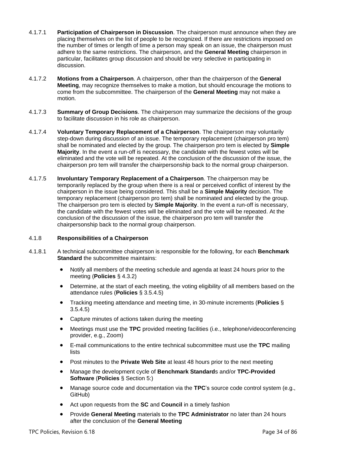- 4.1.7.1 **Participation of Chairperson in Discussion**. The chairperson must announce when they are placing themselves on the list of people to be recognized. If there are restrictions imposed on the number of times or length of time a person may speak on an issue, the chairperson must adhere to the same restrictions. The chairperson, and the **General Meeting** chairperson in particular, facilitates group discussion and should be very selective in participating in discussion.
- 4.1.7.2 **Motions from a Chairperson**. A chairperson, other than the chairperson of the **General Meeting**, may recognize themselves to make a motion, but should encourage the motions to come from the subcommittee. The chairperson of the **General Meeting** may not make a motion.
- 4.1.7.3 **Summary of Group Decisions**. The chairperson may summarize the decisions of the group to facilitate discussion in his role as chairperson.
- 4.1.7.4 **Voluntary Temporary Replacement of a Chairperson**. The chairperson may voluntarily step-down during discussion of an issue. The temporary replacement (chairperson pro tem) shall be nominated and elected by the group. The chairperson pro tem is elected by **Simple Majority**. In the event a run-off is necessary, the candidate with the fewest votes will be eliminated and the vote will be repeated. At the conclusion of the discussion of the issue, the chairperson pro tem will transfer the chairpersonship back to the normal group chairperson.
- 4.1.7.5 **Involuntary Temporary Replacement of a Chairperson**. The chairperson may be temporarily replaced by the group when there is a real or perceived conflict of interest by the chairperson in the issue being considered. This shall be a **Simple Majority** decision. The temporary replacement (chairperson pro tem) shall be nominated and elected by the group. The chairperson pro tem is elected by **Simple Majority**. In the event a run-off is necessary, the candidate with the fewest votes will be eliminated and the vote will be repeated. At the conclusion of the discussion of the issue, the chairperson pro tem will transfer the chairpersonship back to the normal group chairperson.

# <span id="page-33-0"></span>4.1.8 **Responsibilities of a Chairperson**

- 4.1.8.1 A technical subcommittee chairperson is responsible for the following, for each **Benchmark Standard** the subcommittee maintains:
	- Notify all members of the meeting schedule and agenda at least 24 hours prior to the meeting (**Policies** § [4.3.2\)](#page-34-4)
	- Determine, at the start of each meeting, the voting eligibility of all members based on the attendance rules (**Policies** § [3.5.4.5\)](#page-30-2)
	- Tracking meeting attendance and meeting time, in 30-minute increments (**Policies** § [3.5.4.5\)](#page-30-2)
	- Capture minutes of actions taken during the meeting
	- Meetings must use the **TPC** provided meeting facilities (i.e., telephone/videoconferencing provider, e.g., Zoom)
	- E-mail communications to the entire technical subcommittee must use the **TPC** mailing lists
	- Post minutes to the **Private Web Site** at least 48 hours prior to the next meeting
	- Manage the development cycle of **Benchmark Standard**s and/or **TPC-Provided Software** (**Policies** § [Section 5:\)](#page-41-0)
	- Manage source code and documentation via the **TPC**'s source code control system (e.g., GitHub)
	- Act upon requests from the **SC** and **Council** in a timely fashion
	- Provide **General Meeting** materials to the **TPC Administrator** no later than 24 hours after the conclusion of the **General Meeting**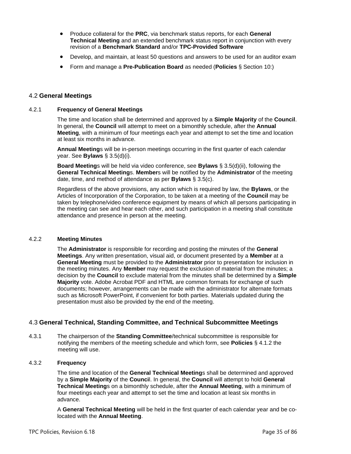- Produce collateral for the **PRC**, via benchmark status reports, for each **General Technical Meeting** and an extended benchmark status report in conjunction with every revision of a **Benchmark Standard** and/or **TPC-Provided Software**
- Develop, and maintain, at least 50 questions and answers to be used for an auditor exam
- Form and manage a **Pre-Publication Board** as needed (**Policies** § [Section 10:\)](#page-70-0)

# <span id="page-34-0"></span>4.2 **General Meetings**

# <span id="page-34-1"></span>4.2.1 **Frequency of General Meetings**

The time and location shall be determined and approved by a **Simple Majority** of the **Council**. In general, the **Council** will attempt to meet on a bimonthly schedule, after the **Annual Meeting**, with a minimum of four meetings each year and attempt to set the time and location at least six months in advance.

**Annual Meeting**s will be in-person meetings occurring in the first quarter of each calendar year. See **Bylaws** § 3.5(d)(i).

**Board Meeting**s will be held via video conference, see **Bylaws** § 3.5(d)(ii), following the **General Technical Meeting**s. **Member**s will be notified by the **Administrator** of the meeting date, time, and method of attendance as per **Bylaws** § 3.5(c).

Regardless of the above provisions, any action which is required by law, the **Bylaws**, or the Articles of Incorporation of the Corporation, to be taken at a meeting of the **Council** may be taken by telephone/video conference equipment by means of which all persons participating in the meeting can see and hear each other, and such participation in a meeting shall constitute attendance and presence in person at the meeting.

#### <span id="page-34-2"></span>4.2.2 **Meeting Minutes**

The **Administrator** is responsible for recording and posting the minutes of the **General Meetings**. Any written presentation, visual aid, or document presented by a **Member** at a **General Meeting** must be provided to the **Administrator** prior to presentation for inclusion in the meeting minutes. Any **Member** may request the exclusion of material from the minutes; a decision by the **Council** to exclude material from the minutes shall be determined by a **Simple Majority** vote. Adobe Acrobat PDF and HTML are common formats for exchange of such documents; however, arrangements can be made with the administrator for alternate formats such as Microsoft PowerPoint, if convenient for both parties. Materials updated during the presentation must also be provided by the end of the meeting.

# <span id="page-34-3"></span>4.3 **General Technical, Standing Committee, and Technical Subcommittee Meetings**

4.3.1 The chairperson of the **Standing Committee**/technical subcommittee is responsible for notifying the members of the meeting schedule and which form, see **Policies** § [4.1.2](#page-32-3) the meeting will use.

# <span id="page-34-4"></span>4.3.2 **Frequency**

The time and location of the **General Technical Meeting**s shall be determined and approved by a **Simple Majority** of the **Counci**l. In general, the **Council** will attempt to hold **General Technical Meeting**s on a bimonthly schedule, after the **Annual Meeting**, with a minimum of four meetings each year and attempt to set the time and location at least six months in advance.

A **General Technical Meeting** will be held in the first quarter of each calendar year and be colocated with the **Annual Meeting**.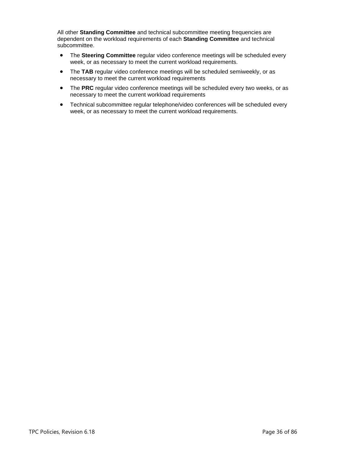All other **Standing Committee** and technical subcommittee meeting frequencies are dependent on the workload requirements of each **Standing Committee** and technical subcommittee.

- The **Steering Committee** regular video conference meetings will be scheduled every week, or as necessary to meet the current workload requirements.
- The **TAB** regular video conference meetings will be scheduled semiweekly, or as necessary to meet the current workload requirements
- The **PRC** regular video conference meetings will be scheduled every two weeks, or as necessary to meet the current workload requirements
- Technical subcommittee regular telephone/video conferences will be scheduled every week, or as necessary to meet the current workload requirements.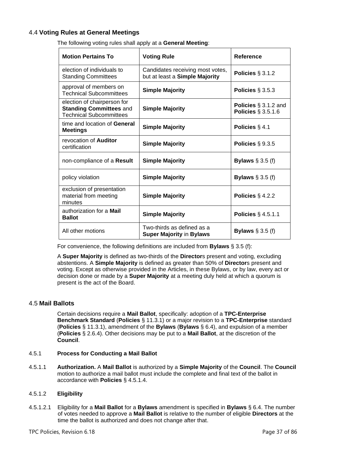# <span id="page-36-1"></span>4.4 **Voting Rules at General Meetings**

The following voting rules shall apply at a **General Meeting**:

| <b>Motion Pertains To</b>                                                                       | <b>Voting Rule</b>                                                 | Reference                                        |
|-------------------------------------------------------------------------------------------------|--------------------------------------------------------------------|--------------------------------------------------|
| election of individuals to<br><b>Standing Committees</b>                                        | Candidates receiving most votes,<br>but at least a Simple Majority | Policies $\S$ 3.1.2                              |
| approval of members on<br><b>Technical Subcommittees</b>                                        | <b>Simple Majority</b>                                             | Policies $\S 3.5.3$                              |
| election of chairperson for<br><b>Standing Committees and</b><br><b>Technical Subcommittees</b> | <b>Simple Majority</b>                                             | Policies $\S$ 3.1.2 and<br>Policies $\S$ 3.5.1.6 |
| time and location of General<br><b>Meetings</b>                                                 | <b>Simple Majority</b>                                             | Policies $\S$ 4.1                                |
| revocation of <b>Auditor</b><br>certification                                                   | <b>Simple Majority</b>                                             | Policies $\S$ 9.3.5                              |
| non-compliance of a Result                                                                      | <b>Simple Majority</b>                                             | Bylaws $\S$ 3.5 (f)                              |
| policy violation                                                                                | <b>Simple Majority</b>                                             | <b>Bylaws</b> $\S$ 3.5 (f)                       |
| exclusion of presentation<br>material from meeting<br>minutes                                   | <b>Simple Majority</b>                                             | Policies $\S$ 4.2.2                              |
| authorization for a Mail<br><b>Ballot</b>                                                       | <b>Simple Majority</b>                                             | Policies $\S$ 4.5.1.1                            |
| All other motions                                                                               | Two-thirds as defined as a<br><b>Super Majority in Bylaws</b>      | Bylaws $\S$ 3.5 (f)                              |

For convenience, the following definitions are included from **Bylaws** § 3.5 (f):

A **Super Majority** is defined as two-thirds of the **Director**s present and voting, excluding abstentions. A **Simple Majority** is defined as greater than 50% of **Director**s present and voting. Except as otherwise provided in the Articles, in these Bylaws, or by law, every act or decision done or made by a **Super Majority** at a meeting duly held at which a quorum is present is the act of the Board.

#### 4.5 **Mail Ballots**

Certain decisions require a **Mail Ballot**, specifically: adoption of a **TPC-Enterprise Benchmark Standard** (**Policies** § [11.3.1\)](#page-73-0) or a major revision to a **TPC-Enterprise** standard (**Policies** § [11.3.1\)](#page-73-0), amendment of the **Bylaws** (**Bylaws** § 6.4), and expulsion of a member (**Policies** § [2.6.4\)](#page-20-0). Other decisions may be put to a **Mail Ballot**, at the discretion of the **Council**.

### 4.5.1 **Process for Conducting a Mail Ballot**

<span id="page-36-0"></span>4.5.1.1 **Authorization.** A **Mail Ballot** is authorized by a **Simple Majority** of the **Council**. The **Council** motion to authorize a mail ballot must include the complete and final text of the ballot in accordance with **Policies** § [4.5.1.4.](#page-38-0)

#### 4.5.1.2 **Eligibility**

4.5.1.2.1 Eligibility for a **Mail Ballot** for a **Bylaws** amendment is specified in **Bylaws** § 6.4. The number of votes needed to approve a **Mail Ballot** is relative to the number of eligible **Directors** at the time the ballot is authorized and does not change after that.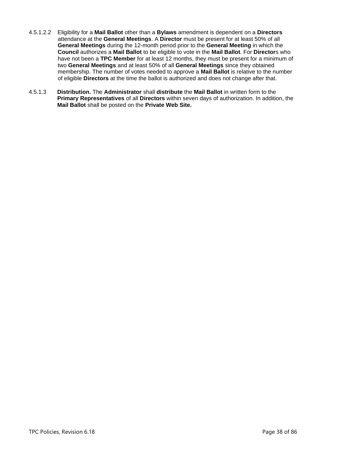- 4.5.1.2.2 Eligibility for a **Mail Ballot** other than a **Bylaws** amendment is dependent on a **Directors** attendance at the **General Meetings**. A **Director** must be present for at least 50% of all **General Meetings** during the 12-month period prior to the **General Meeting** in which the **Council** authorizes a **Mail Ballot** to be eligible to vote in the **Mail Ballot**. For **Director**s who have not been a **TPC Member** for at least 12 months, they must be present for a minimum of two **General Meetings** and at least 50% of all **General Meetings** since they obtained membership. The number of votes needed to approve a **Mail Ballot** is relative to the number of eligible **Directors** at the time the ballot is authorized and does not change after that.
- 4.5.1.3 **Distribution.** The **Administrator** shall **distribute** the **Mail Ballot** in written form to the **Primary Representatives** of all **Directors** within seven days of authorization. In addition, the **Mail Ballot** shall be posted on the **Private Web Site.**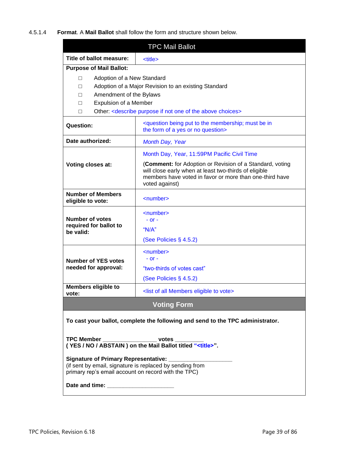<span id="page-38-0"></span>4.5.1.4 **Format**. A **Mail Ballot** shall follow the form and structure shown below.

| <b>TPC Mail Ballot</b>                                                                                                                                                                                                                                                                                                                                                          |                                                                                                                                                                                                |  |  |  |
|---------------------------------------------------------------------------------------------------------------------------------------------------------------------------------------------------------------------------------------------------------------------------------------------------------------------------------------------------------------------------------|------------------------------------------------------------------------------------------------------------------------------------------------------------------------------------------------|--|--|--|
| Title of ballot measure:                                                                                                                                                                                                                                                                                                                                                        | <title></title>                                                                                                                                                                                |  |  |  |
| <b>Purpose of Mail Ballot:</b>                                                                                                                                                                                                                                                                                                                                                  |                                                                                                                                                                                                |  |  |  |
| Adoption of a New Standard<br>П<br>Adoption of a Major Revision to an existing Standard<br>П<br>Amendment of the Bylaws<br>П<br><b>Expulsion of a Member</b><br>П<br>Other: < describe purpose if not one of the above choices><br>П                                                                                                                                            |                                                                                                                                                                                                |  |  |  |
| <b>Question:</b>                                                                                                                                                                                                                                                                                                                                                                | <question be="" being="" in<br="" membership;="" must="" put="" the="" to="">the form of a yes or no question&gt;</question>                                                                   |  |  |  |
| Date authorized:                                                                                                                                                                                                                                                                                                                                                                | <b>Month Day, Year</b>                                                                                                                                                                         |  |  |  |
|                                                                                                                                                                                                                                                                                                                                                                                 | Month Day, Year, 11:59PM Pacific Civil Time                                                                                                                                                    |  |  |  |
| Voting closes at:                                                                                                                                                                                                                                                                                                                                                               | (Comment: for Adoption or Revision of a Standard, voting<br>will close early when at least two-thirds of eligible<br>members have voted in favor or more than one-third have<br>voted against) |  |  |  |
| <b>Number of Members</b><br>eligible to vote:                                                                                                                                                                                                                                                                                                                                   | $\le$ number $\ge$                                                                                                                                                                             |  |  |  |
| <b>Number of votes</b><br>required for ballot to<br>be valid:                                                                                                                                                                                                                                                                                                                   | <number><br/>- or -<br/>"<math>N/A</math>"<br/>(See Policies <math>\S</math> 4.5.2)</number>                                                                                                   |  |  |  |
| <b>Number of YES votes</b><br>needed for approval:                                                                                                                                                                                                                                                                                                                              | <number><br/><math>-</math> or <math>-</math><br/>"two-thirds of votes cast"<br/>(See Policies § 4.5.2)</number>                                                                               |  |  |  |
| <b>Members eligible to</b><br>vote:                                                                                                                                                                                                                                                                                                                                             | <list all="" eligible="" members="" of="" to="" vote=""></list>                                                                                                                                |  |  |  |
| <b>Voting Form</b>                                                                                                                                                                                                                                                                                                                                                              |                                                                                                                                                                                                |  |  |  |
| To cast your ballot, complete the following and send to the TPC administrator.<br>TPC Member _______________________ votes _________<br>(YES / NO / ABSTAIN) on the Mail Ballot titled " <title>".<br/><b>Signature of Primary Representative:</b><br/>(if sent by email, signature is replaced by sending from<br/>primary rep's email account on record with the TPC)</title> |                                                                                                                                                                                                |  |  |  |
|                                                                                                                                                                                                                                                                                                                                                                                 |                                                                                                                                                                                                |  |  |  |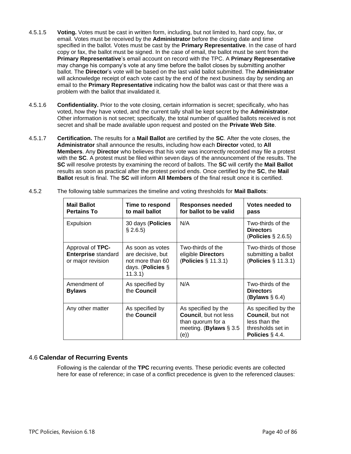- 4.5.1.5 **Voting.** Votes must be cast in written form, including, but not limited to, hard copy, fax, or email. Votes must be received by the **Administrator** before the closing date and time specified in the ballot. Votes must be cast by the **Primary Representative**. In the case of hard copy or fax, the ballot must be signed. In the case of email, the ballot must be sent from the **Primary Representative**'s email account on record with the TPC. A **Primary Representative** may change his company's vote at any time before the ballot closes by submitting another ballot. The **Director**'s vote will be based on the last valid ballot submitted. The **Administrator** will acknowledge receipt of each vote cast by the end of the next business day by sending an email to the **Primary Representative** indicating how the ballot was cast or that there was a problem with the ballot that invalidated it.
- 4.5.1.6 **Confidentiality.** Prior to the vote closing, certain information is secret; specifically, who has voted, how they have voted, and the current tally shall be kept secret by the **Administrator**. Other information is not secret; specifically, the total number of qualified ballots received is not secret and shall be made available upon request and posted on the **Private Web Site**.
- 4.5.1.7 **Certification.** The results for a **Mail Ballot** are certified by the **SC**. After the vote closes, the **Administrator** shall announce the results, including how each **Director** voted, to **All Members**. Any **Director** who believes that his vote was incorrectly recorded may file a protest with the **SC**. A protest must be filed within seven days of the announcement of the results. The **SC** will resolve protests by examining the record of ballots. The **SC** will certify the **Mail Ballot** results as soon as practical after the protest period ends. Once certified by the **SC**, the **Mail Ballot** result is final. The **SC** will inform **All Members** of the final result once it is certified.

| <b>Mail Ballot</b><br><b>Pertains To</b>                            | Time to respond<br>to mail ballot                                                         | Responses needed<br>for ballot to be valid                                                                    | Votes needed to<br>pass                                                                                     |
|---------------------------------------------------------------------|-------------------------------------------------------------------------------------------|---------------------------------------------------------------------------------------------------------------|-------------------------------------------------------------------------------------------------------------|
| Expulsion                                                           | 30 days (Policies<br>$§$ 2.6.5)                                                           | N/A                                                                                                           | Two-thirds of the<br><b>Directors</b><br>(Policies $\S$ 2.6.5)                                              |
| Approval of TPC-<br><b>Enterprise standard</b><br>or major revision | As soon as votes<br>are decisive, but<br>not more than 60<br>days. (Policies §<br>11.3.1) | Two-thirds of the<br>eligible Directors<br>( <b>Policies</b> § 11.3.1)                                        | Two-thirds of those<br>submitting a ballot<br>( <b>Policies</b> § 11.3.1)                                   |
| Amendment of<br><b>Bylaws</b>                                       | As specified by<br>the Council                                                            | N/A                                                                                                           | Two-thirds of the<br><b>Directors</b><br>(Bylaws $\S 6.4$ )                                                 |
| Any other matter                                                    | As specified by<br>the Council                                                            | As specified by the<br><b>Council, but not less</b><br>than quorum for a<br>meeting. (Bylaws $\S$ 3.5<br>(e)) | As specified by the<br><b>Council, but not</b><br>less than the<br>thresholds set in<br>Policies $\S 4.4$ . |

<span id="page-39-0"></span>4.5.2 The following table summarizes the timeline and voting thresholds for **Mail Ballots**:

# 4.6 **Calendar of Recurring Events**

Following is the calendar of the **TPC** recurring events. These periodic events are collected here for ease of reference; in case of a conflict precedence is given to the referenced clauses: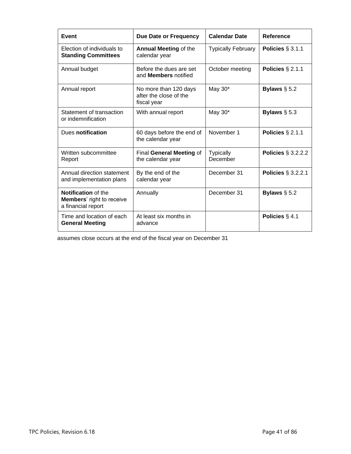| Event                                                                                | Due Date or Frequency                                          | <b>Calendar Date</b>         | Reference                 |
|--------------------------------------------------------------------------------------|----------------------------------------------------------------|------------------------------|---------------------------|
| Election of individuals to<br><b>Standing Committees</b>                             | <b>Annual Meeting of the</b><br>calendar year                  | <b>Typically February</b>    | Policies $\S 3.1.1$       |
| Annual budget                                                                        | Before the dues are set<br>and <b>Members</b> notified         | October meeting              | Policies $\S 2.1.1$       |
| Annual report                                                                        | No more than 120 days<br>after the close of the<br>fiscal year | May 30*                      | Bylaws $\S$ 5.2           |
| Statement of transaction<br>or indemnification                                       | With annual report                                             | May 30*                      | Bylaws $\S$ 5.3           |
| Dues notification                                                                    | 60 days before the end of<br>the calendar year                 | November 1                   | Policies $\S$ 2.1.1       |
| Written subcommittee<br>Report                                                       | Final General Meeting of<br>the calendar year                  | <b>Typically</b><br>December | Policies $\S$ 3.2.2.2     |
| Annual direction statement<br>and implementation plans                               | By the end of the<br>calendar year                             | December 31                  | <b>Policies § 3.2.2.1</b> |
| <b>Notification</b> of the<br><b>Members' right to receive</b><br>a financial report | Annually                                                       | December 31                  | Bylaws $\S$ 5.2           |
| Time and location of each<br><b>General Meeting</b>                                  | At least six months in<br>advance                              |                              | Policies $\S$ 4.1         |

assumes close occurs at the end of the fiscal year on December 31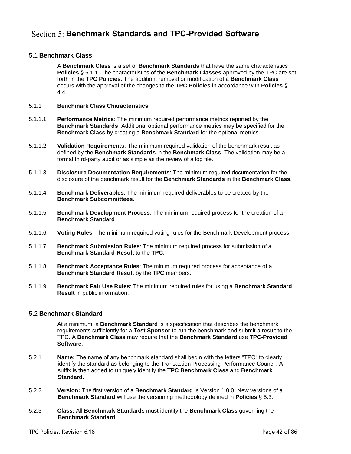# **Section 5: Benchmark Standards and TPC-Provided Software**

## 5.1 **Benchmark Class**

A **Benchmark Class** is a set of **Benchmark Standards** that have the same characteristics **Policies** § [5.1.1.](#page-41-0) The characteristics of the **Benchmark Classes** approved by the TPC are set forth in the **TPC Policies**. The addition, removal or modification of a **Benchmark Class** occurs with the approval of the changes to the **TPC Policies** in accordance with **Policies** § [4.4.](#page-36-1)

#### <span id="page-41-0"></span>5.1.1 **Benchmark Class Characteristics**

- 5.1.1.1 **Performance Metrics**: The minimum required performance metrics reported by the **Benchmark Standards**. Additional optional performance metrics may be specified for the **Benchmark Class** by creating a **Benchmark Standard** for the optional metrics.
- 5.1.1.2 **Validation Requirements**: The minimum required validation of the benchmark result as defined by the **Benchmark Standards** in the **Benchmark Class**. The validation may be a formal third-party audit or as simple as the review of a log file.
- 5.1.1.3 **Disclosure Documentation Requirements**: The minimum required documentation for the disclosure of the benchmark result for the **Benchmark Standards** in the **Benchmark Class**.
- 5.1.1.4 **Benchmark Deliverables**: The minimum required deliverables to be created by the **Benchmark Subcommittees**.
- 5.1.1.5 **Benchmark Development Process**: The minimum required process for the creation of a **Benchmark Standard**.
- 5.1.1.6 **Voting Rules**: The minimum required voting rules for the Benchmark Development process.
- 5.1.1.7 **Benchmark Submission Rules**: The minimum required process for submission of a **Benchmark Standard Result** to the **TPC**.
- 5.1.1.8 **Benchmark Acceptance Rules**: The minimum required process for acceptance of a **Benchmark Standard Result** by the **TPC** members.
- 5.1.1.9 **Benchmark Fair Use Rules**: The minimum required rules for using a **Benchmark Standard Result** in public information.

### 5.2 **Benchmark Standard**

At a minimum, a **Benchmark Standard** is a specification that describes the benchmark requirements sufficiently for a **Test Sponsor** to run the benchmark and submit a result to the TPC. A **Benchmark Class** may require that the **Benchmark Standard** use **TPC-Provided Software**.

- 5.2.1 **Name:** The name of any benchmark standard shall begin with the letters "TPC" to clearly identify the standard as belonging to the Transaction Processing Performance Council. A suffix is then added to uniquely identify the **TPC Benchmark Class** and **Benchmark Standard**.
- 5.2.2 **Version:** The first version of a **Benchmark Standard** is Version 1.0.0. New versions of a **Benchmark Standard** will use the versioning methodology defined in **Policies** § [5.3.](#page-42-0)
- 5.2.3 **Class:** All **Benchmark Standard**s must identify the **Benchmark Class** governing the **Benchmark Standard**.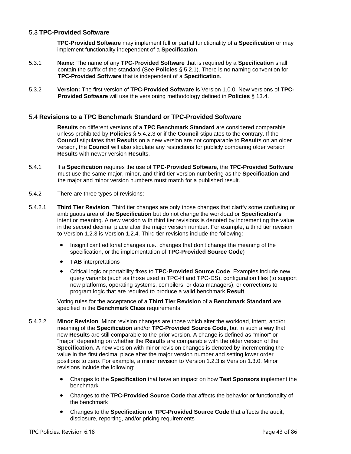# <span id="page-42-0"></span>5.3 **TPC-Provided Software**

**TPC-Provided Software** may implement full or partial functionality of a **Specification** or may implement functionality independent of a **Specification**.

- 5.3.1 **Name:** The name of any **TPC-Provided Software** that is required by a **Specification** shall contain the suffix of the standard (See **Policies** § 5.2.1). There is no naming convention for **TPC-Provided Software** that is independent of a **Specification**.
- 5.3.2 **Version:** The first version of **TPC-Provided Software** is Version 1.0.0. New versions of **TPC-Provided Software** will use the versioning methodology defined in **Policies** § [13.4.](#page-84-0)

## 5.4 **Revisions to a TPC Benchmark Standard or TPC-Provided Software**

**Results** on different versions of a **TPC Benchmark Standard** are considered comparable unless prohibited by **Policies** § [5.4.2.3](#page-43-0) or if the **Council** stipulates to the contrary. If the **Council** stipulates that **Result**s on a new version are not comparable to **Result**s on an older version, the **Council** will also stipulate any restrictions for publicly comparing older version **Result**s with newer version **Resul**ts.

- 5.4.1 If a **Specification** requires the use of **TPC-Provided Software**, the **TPC-Provided Software** must use the same major, minor, and third-tier version numbering as the **Specification** and the major and minor version numbers must match for a published result.
- 5.4.2 There are three types of revisions:
- <span id="page-42-2"></span>5.4.2.1 **Third Tier Revision**. Third tier changes are only those changes that clarify some confusing or ambiguous area of the **Specification** but do not change the workload or **Specification's** intent or meaning. A new version with third tier revisions is denoted by incrementing the value in the second decimal place after the major version number. For example, a third tier revision to Version 1.2.3 is Version 1.2.4. Third tier revisions include the following:
	- Insignificant editorial changes (i.e., changes that don't change the meaning of the specification, or the implementation of **TPC-Provided Source Code**)
	- **TAB** interpretations
	- Critical logic or portability fixes to **TPC-Provided Source Code**. Examples include new query variants (such as those used in TPC-H and TPC-DS), configuration files (to support new platforms, operating systems, compilers, or data managers), or corrections to program logic that are required to produce a valid benchmark **Result**.

Voting rules for the acceptance of a **Third Tier Revision** of a **Benchmark Standard** are specified in the **Benchmark Class** requirements.

- <span id="page-42-1"></span>5.4.2.2 **Minor Revision**. Minor revision changes are those which alter the workload, intent, and/or meaning of the **Specification** and/or **TPC-Provided Source Code**, but in such a way that new **Result**s are still comparable to the prior version. A change is defined as "minor" or "major" depending on whether the **Result**s are comparable with the older version of the **Specification**. A new version with minor revision changes is denoted by incrementing the value in the first decimal place after the major version number and setting lower order positions to zero. For example, a minor revision to Version 1.2.3 is Version 1.3.0. Minor revisions include the following:
	- Changes to the **Specification** that have an impact on how **Test Sponsors** implement the benchmark
	- Changes to the **TPC-Provided Source Code** that affects the behavior or functionality of the benchmark
	- Changes to the **Specification** or **TPC-Provided Source Code** that affects the audit, disclosure, reporting, and/or pricing requirements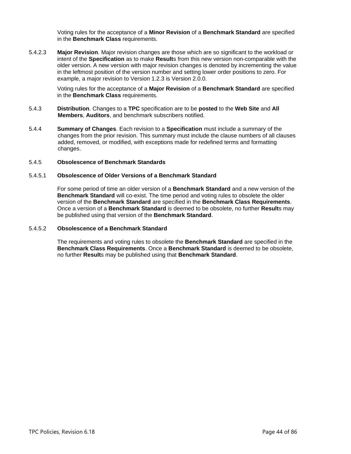Voting rules for the acceptance of a **Minor Revision** of a **Benchmark Standard** are specified in the **Benchmark Class** requirements.

<span id="page-43-0"></span>5.4.2.3 **Major Revision**. Major revision changes are those which are so significant to the workload or intent of the **Specification** as to make **Result**s from this new version non-comparable with the older version. A new version with major revision changes is denoted by incrementing the value in the leftmost position of the version number and setting lower order positions to zero. For example, a major revision to Version 1.2.3 is Version 2.0.0.

> Voting rules for the acceptance of a **Major Revision** of a **Benchmark Standard** are specified in the **Benchmark Class** requirements.

- 5.4.3 **Distribution**. Changes to a **TPC** specification are to be **posted** to the **Web Site** and **All Members**, **Auditors**, and benchmark subscribers notified.
- 5.4.4 **Summary of Changes**. Each revision to a **Specification** must include a summary of the changes from the prior revision. This summary must include the clause numbers of all clauses added, removed, or modified, with exceptions made for redefined terms and formatting changes.

### 5.4.5 **Obsolescence of Benchmark Standards**

#### 5.4.5.1 **Obsolescence of Older Versions of a Benchmark Standard**

For some period of time an older version of a **Benchmark Standard** and a new version of the **Benchmark Standard** will co-exist. The time period and voting rules to obsolete the older version of the **Benchmark Standard** are specified in the **Benchmark Class Requirements**. Once a version of a **Benchmark Standard** is deemed to be obsolete, no further **Result**s may be published using that version of the **Benchmark Standard**.

#### 5.4.5.2 **Obsolescence of a Benchmark Standard**

The requirements and voting rules to obsolete the **Benchmark Standard** are specified in the **Benchmark Class Requirements**. Once a **Benchmark Standard** is deemed to be obsolete, no further **Result**s may be published using that **Benchmark Standard**.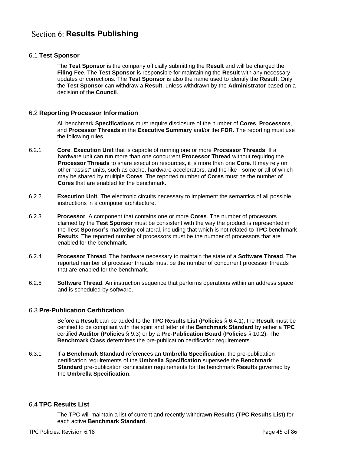# **Section 6: Results Publishing**

## 6.1 **Test Sponsor**

The **Test Sponsor** is the company officially submitting the **Result** and will be charged the **Filing Fee**. The **Test Sponsor** is responsible for maintaining the **Result** with any necessary updates or corrections. The **Test Sponsor** is also the name used to identify the **Result**. Only the **Test Sponsor** can withdraw a **Result**, unless withdrawn by the **Administrator** based on a decision of the **Council**.

## 6.2 **Reporting Processor Information**

All benchmark **Specifications** must require disclosure of the number of **Cores**, **Processors**, and **Processor Threads** in the **Executive Summary** and/or the **FDR**. The reporting must use the following rules.

- 6.2.1 **Core**. **Execution Unit** that is capable of running one or more **Processor Threads**. If a hardware unit can run more than one concurrent **Processor Thread** without requiring the **Processor Threads** to share execution resources, it is more than one **Core**. It may rely on other "assist" units, such as cache, hardware accelerators, and the like - some or all of which may be shared by multiple **Cores**. The reported number of **Cores** must be the number of **Cores** that are enabled for the benchmark.
- 6.2.2 **Execution Unit**. The electronic circuits necessary to implement the semantics of all possible instructions in a computer architecture.
- 6.2.3 **Processor**. A component that contains one or more **Cores**. The number of processors claimed by the **Test Sponsor** must be consistent with the way the product is represented in the **Test Sponsor's** marketing collateral, including that which is not related to **TPC** benchmark **Result**s. The reported number of processors must be the number of processors that are enabled for the benchmark.
- 6.2.4 **Processor Thread**. The hardware necessary to maintain the state of a **Software Thread**. The reported number of processor threads must be the number of concurrent processor threads that are enabled for the benchmark.
- 6.2.5 **Software Thread**. An instruction sequence that performs operations within an address space and is scheduled by software.

### 6.3 **Pre-Publication Certification**

Before a **Result** can be added to the **TPC Results List** (**Policies** § [6.4.1\)](#page-45-0), the **Result** must be certified to be compliant with the spirit and letter of the **Benchmark Standard** by either a **TPC** certified **Auditor** (**Policies** § [9.3\)](#page-63-0) or by a **Pre-Publication Board** (**Policies** § [10.2\)](#page-70-0). The **Benchmark Class** determines the pre-publication certification requirements.

6.3.1 If a **Benchmark Standard** references an **Umbrella Specification**, the pre-publication certification requirements of the **Umbrella Specification** supersede the **Benchmark Standard** pre-publication certification requirements for the benchmark **Result**s governed by the **Umbrella Specification**.

### 6.4 **TPC Results List**

The TPC will maintain a list of current and recently withdrawn **Result**s (**TPC Results List**) for each active **Benchmark Standard**.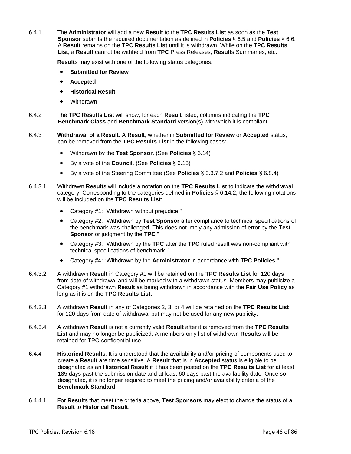<span id="page-45-0"></span>6.4.1 The **Administrator** will add a new **Result** to the **TPC Results List** as soon as the **Test Sponsor** submits the required documentation as defined in **Policies** § [6.5](#page-46-0) and **Policies** § [6.6.](#page-47-0)  A **Result** remains on the **TPC Results List** until it is withdrawn. While on the **TPC Results List**, a **Result** cannot be withheld from **TPC** Press Releases, **Result**s Summaries, etc.

**Result**s may exist with one of the following status categories:

- **Submitted for Review**
- **Accepted**
- **Historical Result**
- Withdrawn
- 6.4.2 The **TPC Results List** will show, for each **Result** listed, columns indicating the **TPC Benchmark Class** and **Benchmark Standard** version(s) with which it is compliant.
- 6.4.3 **Withdrawal of a Result**. A **Result**, whether in **Submitted for Review** or **Accepted** status, can be removed from the **TPC Results List** in the following cases:
	- Withdrawn by the **Test Sponsor**. (See **Policies** § [6.14\)](#page-51-0)
	- By a vote of the **Council**. (See **Policies** § [6.13\)](#page-51-1)
	- By a vote of the Steering Committee (See **Policies** § [3.3.7.2](#page-28-0) and **Policies** § [6.8.4\)](#page-48-0)
- <span id="page-45-2"></span>6.4.3.1 Withdrawn **Result**s will include a notation on the **TPC Results List** to indicate the withdrawal category. Corresponding to the categories defined in **Policies** § [6.14.2,](#page-51-2) the following notations will be included on the **TPC Results List**:
	- Category #1: "Withdrawn without prejudice."
	- Category #2: "Withdrawn by **Test Sponsor** after compliance to technical specifications of the benchmark was challenged. This does not imply any admission of error by the **Test Sponsor** or judgment by the **TPC**."
	- Category #3: "Withdrawn by the **TPC** after the **TPC** ruled result was non-compliant with technical specifications of benchmark."
	- Category #4: "Withdrawn by the **Administrator** in accordance with **TPC Policies**."
- 6.4.3.2 A withdrawn **Result** in Category #1 will be retained on the **TPC Results List** for 120 days from date of withdrawal and will be marked with a withdrawn status. Members may publicize a Category #1 withdrawn **Result** as being withdrawn in accordance with the **Fair Use Policy** as long as it is on the **TPC Results List**.
- 6.4.3.3 A withdrawn **Result** in any of Categories 2, 3, or 4 will be retained on the **TPC Results List** for 120 days from date of withdrawal but may not be used for any new publicity.
- 6.4.3.4 A withdrawn **Result** is not a currently valid **Result** after it is removed from the **TPC Results List** and may no longer be publicized. A members-only list of withdrawn **Result**s will be retained for TPC-confidential use.
- <span id="page-45-1"></span>6.4.4 **Historical Result**s. It is understood that the availability and/or pricing of components used to create a **Result** are time sensitive. A **Result** that is in **Accepted** status is eligible to be designated as an **Historical Result** if it has been posted on the **TPC Results List** for at least 185 days past the submission date and at least 60 days past the availability date. Once so designated, it is no longer required to meet the pricing and/or availability criteria of the **Benchmark Standard**.
- 6.4.4.1 For **Result**s that meet the criteria above, **Test Sponsors** may elect to change the status of a **Result** to **Historical Result**.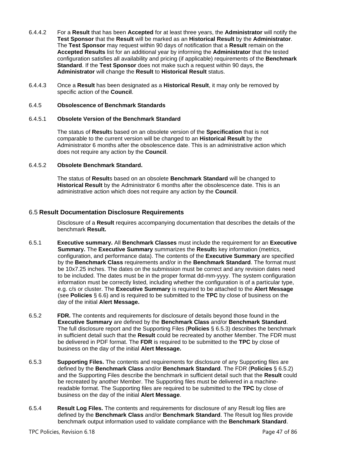- 6.4.4.2 For a **Result** that has been **Accepted** for at least three years, the **Administrator** will notify the **Test Sponsor** that the **Result** will be marked as an **Historical Result** by the **Administrator**. The **Test Sponsor** may request within 90 days of notification that a **Result** remain on the **Accepted Results** list for an additional year by informing the **Administrator** that the tested configuration satisfies all availability and pricing (if applicable) requirements of the **Benchmark Standard**. If the **Test Sponsor** does not make such a request within 90 days, the **Administrator** will change the **Result** to **Historical Result** status.
- 6.4.4.3 Once a **Result** has been designated as a **Historical Result**, it may only be removed by specific action of the **Council**.

#### 6.4.5 **Obsolescence of Benchmark Standards**

#### 6.4.5.1 **Obsolete Version of the Benchmark Standard**

The status of **Result**s based on an obsolete version of the **Specification** that is not comparable to the current version will be changed to an **Historical Result** by the Administrator 6 months after the obsolescence date. This is an administrative action which does not require any action by the **Council**.

### 6.4.5.2 **Obsolete Benchmark Standard.**

The status of **Result**s based on an obsolete **Benchmark Standard** will be changed to **Historical Result** by the Administrator 6 months after the obsolescence date. This is an administrative action which does not require any action by the **Council**.

## <span id="page-46-0"></span>6.5 **Result Documentation Disclosure Requirements**

Disclosure of a **Result** requires accompanying documentation that describes the details of the benchmark **Result.**

- 6.5.1 **Executive summary.** All **Benchmark Classes** must include the requirement for an **Executive Summary.** The **Executive Summary** summarizes the **Result**s key information (metrics, configuration, and performance data). The contents of the **Executive Summary** are specified by the **Benchmark Class** requirements and/or in the **Benchmark Standard**. The format must be 10x7.25 inches. The dates on the submission must be correct and any revision dates need to be included. The dates must be in the proper format dd-mm-yyyy. The system configuration information must be correctly listed, including whether the configuration is of a particular type, e.g. c/s or cluster. The **Executive Summary** is required to be attached to the **Alert Message**  (see **Policies** § [6.6\)](#page-47-0) and is required to be submitted to the **TPC** by close of business on the day of the initial **Alert Message.**
- <span id="page-46-2"></span>6.5.2 **FDR.** The contents and requirements for disclosure of details beyond those found in the **Executive Summary** are defined by the **Benchmark Class** and/or **Benchmark Standard**. The full disclosure report and the Supporting Files (**Policies** § [6.5.3\)](#page-46-1) describes the benchmark in sufficient detail such that the **Result** could be recreated by another Member. The FDR must be delivered in PDF format. The **FDR** is required to be submitted to the **TPC** by close of business on the day of the initial **Alert Message.**
- <span id="page-46-1"></span>6.5.3 **Supporting Files.** The contents and requirements for disclosure of any Supporting files are defined by the **Benchmark Class** and/or **Benchmark Standard**. The FDR (**Policies** § [6.5.2\)](#page-46-2) and the Supporting Files describe the benchmark in sufficient detail such that the **Result** could be recreated by another Member. The Supporting files must be delivered in a machinereadable format. The Supporting files are required to be submitted to the **TPC** by close of business on the day of the initial **Alert Message**.
- 6.5.4 **Result Log Files.** The contents and requirements for disclosure of any Result log files are defined by the **Benchmark Class** and/or **Benchmark Standard**. The Result log files provide benchmark output information used to validate compliance with the **Benchmark Standard**.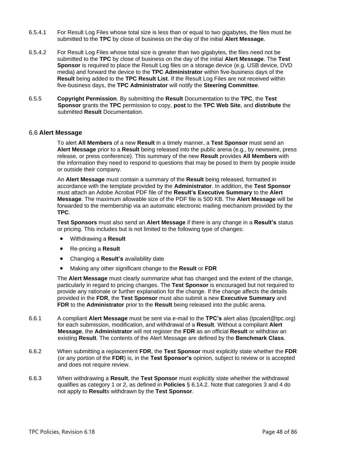- 6.5.4.1 For Result Log Files whose total size is less than or equal to two gigabytes, the files must be submitted to the **TPC** by close of business on the day of the initial **Alert Message**.
- 6.5.4.2 For Result Log Files whose total size is greater than two gigabytes, the files need not be submitted to the **TPC** by close of business on the day of the initial **Alert Message**. The **Test Sponsor** is required to place the Result Log files on a storage device (e.g. USB device, DVD media) and forward the device to the **TPC Administrator** within five-business days of the **Result** being added to the **TPC Result List**. If the Result Log Files are not received within five-business days, the **TPC Administrator** will notify the **Steering Committee**.
- 6.5.5 **Copyright Permission**. By submitting the **Result** Documentation to the **TPC**, the **Test Sponsor** grants the **TPC** permission to copy, **post** to the **TPC Web Site**, and **distribute** the submitted **Result** Documentation.

#### <span id="page-47-0"></span>6.6 **Alert Message**

To alert **All Members** of a new **Result** in a timely manner, a **Test Sponsor** must send an **Alert Message** prior to a **Result** being released into the public arena (e.g., by newswire, press release, or press conference). This summary of the new **Result** provides **All Members** with the information they need to respond to questions that may be posed to them by people inside or outside their company.

An **Alert Message** must contain a summary of the **Result** being released, formatted in accordance with the template provided by the **Administrator**. In addition, the **Test Sponsor** must attach an Adobe Acrobat PDF file of the **Result's Executive Summary** to the **Alert Message**. The maximum allowable size of the PDF file is 500 KB. The **Alert Message** will be forwarded to the membership via an automatic electronic mailing mechanism provided by the **TPC**.

**Test Sponsors** must also send an **Alert Message** if there is any change in a **Result's** status or pricing. This includes but is not limited to the following type of changes:

- Withdrawing a **Result**
- Re-pricing a **Result**
- Changing a **Result's** availability date
- Making any other significant change to the **Result** or **FDR**

The **Alert Message** must clearly summarize what has changed and the extent of the change, particularly in regard to pricing changes. The **Test Sponsor** is encouraged but not required to provide any rationale or further explanation for the change. If the change affects the details provided in the **FDR**, the **Test Sponsor** must also submit a new **Executive Summary** and **FDR** to the **Administrator** prior to the **Result** being released into the public arena.

- 6.6.1 A compliant **Alert Message** must be sent via e-mail to the **TPC's** alert alias (tpcalert@tpc.org) for each submission, modification, and withdrawal of a **Result**. Without a compliant **Alert Message**, the **Administrator** will not register the **FDR** as an official **Result** or withdraw an existing **Result**. The contents of the Alert Message are defined by the **Benchmark Class**.
- 6.6.2 When submitting a replacement **FDR**, the **Test Sponsor** must explicitly state whether the **FDR** (or any portion of the **FDR**) is, in the **Test Sponsor's** opinion, subject to review or is accepted and does not require review.
- 6.6.3 When withdrawing a **Result**, the **Test Sponsor** must explicitly state whether the withdrawal qualifies as category 1 or 2, as defined in **Policies** § [6.14.2.](#page-51-2) Note that categories 3 and 4 do not apply to **Result**s withdrawn by the **Test Sponsor**.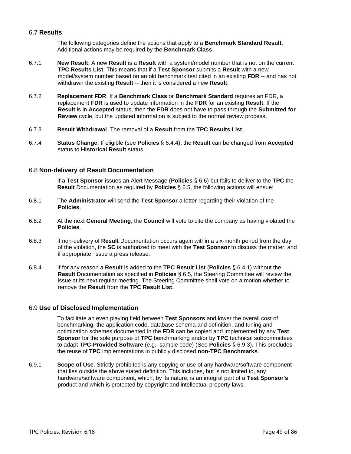## 6.7 **Results**

The following categories define the actions that apply to a **Benchmark Standard Result**. Additional actions may be required by the **Benchmark Class**.

- 6.7.1 **New Result**. A new **Result** is a **Result** with a system/model number that is not on the current **TPC Results List**. This means that if a **Test Sponsor** submits a **Result** with a new model/system number based on an old benchmark test cited in an existing **FDR** -- and has not withdrawn the existing **Result** -- then it is considered a new **Result**.
- 6.7.2 **Replacement FDR**. If a **Benchmark Class** or **Benchmark Standard** requires an FDR, a replacement **FDR** is used to update information in the **FDR** for an existing **Result**. If the **Result** is in **Accepted** status, then the **FDR** does not have to pass through the **Submitted for Review** cycle, but the updated information is subject to the normal review process.
- 6.7.3 **Result Withdrawal**. The removal of a **Result** from the **TPC Results List**.
- 6.7.4 **Status Change**. If eligible (see **Policies** § [6.4.4\)](#page-45-1)**,** the **Result** can be changed from **Accepted** status to **Historical Result** status.

### 6.8 **Non-delivery of Result Documentation**

If a **Test Sponsor** issues an Alert Message (**Policies** § [6.6\)](#page-47-0) but fails to deliver to the **TPC** the **Result** Documentation as required by **Policies** § [6.5,](#page-46-0) the following actions will ensue:

- 6.8.1 The **Administrator** will send the **Test Sponsor** a letter regarding their violation of the **Policies**.
- 6.8.2 At the next **General Meeting**, the **Council** will vote to cite the company as having violated the **Policies**.
- 6.8.3 If non-delivery of **Result** Documentation occurs again within a six-month period from the day of the violation, the **SC** is authorized to meet with the **Test Sponsor** to discuss the matter, and if appropriate, issue a press release.
- <span id="page-48-0"></span>6.8.4 If for any reason a **Result** is added to the **TPC Result List** (**Policies** § [6.4.1\)](#page-45-0) without the **Result** Documentation as specified in **Policies** § [6.5,](#page-46-0) the Steering Committee will review the issue at its next regular meeting. The Steering Committee shall vote on a motion whether to remove the **Result** from the **TPC Result List**.

### 6.9 **Use of Disclosed Implementation**

To facilitate an even playing field between **Test Sponsors** and lower the overall cost of benchmarking, the application code, database schema and definition, and tuning and optimization schemes documented in the **FDR** can be copied and implemented by any **Test Sponsor** for the sole purpose of **TPC** benchmarking and/or by **TPC** technical subcommittees to adapt **TPC-Provided Software** (e.g., sample code) (See **Policies** § 6.9.3). This precludes the reuse of **TPC** implementations in publicly disclosed **non-TPC Benchmarks**.

6.9.1 **Scope of Use**. Strictly prohibited is any copying or use of any hardware/software component that lies outside the above stated definition. This includes, but is not limited to, any hardware/software component, which, by its nature, is an integral part of a **Test Sponsor's**  product and which is protected by copyright and intellectual property laws.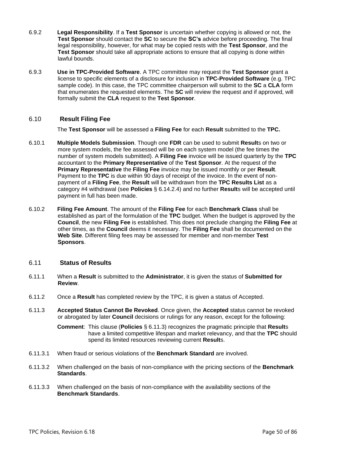- 6.9.2 **Legal Responsibility**. If a **Test Sponsor** is uncertain whether copying is allowed or not, the **Test Sponsor** should contact the **SC** to secure the **SC's** advice before proceeding. The final legal responsibility, however, for what may be copied rests with the **Test Sponsor**, and the **Test Sponsor** should take all appropriate actions to ensure that all copying is done within lawful bounds.
- 6.9.3 **Use in TPC-Provided Software**. A TPC committee may request the **Test Sponsor** grant a license to specific elements of a disclosure for inclusion in **TPC-Provided Software** (e.g. TPC sample code). In this case, the TPC committee chairperson will submit to the **SC** a **CLA** form that enumerates the requested elements. The **SC** will review the request and if approved, will formally submit the **CLA** request to the **Test Sponsor**.

# 6.10 **Result Filing Fee**

The **Test Sponsor** will be assessed a **Filing Fee** for each **Result** submitted to the **TPC.**

- 6.10.1 **Multiple Models Submission**. Though one **FDR** can be used to submit **Result**s on two or more system models, the fee assessed will be on each system model (the fee times the number of system models submitted). A **Filing Fee** invoice will be issued quarterly by the **TPC** accountant to the **Primary Representative** of the **Test Sponsor**. At the request of the **Primary Representative** the **Filing Fee** invoice may be issued monthly or per **Result**. Payment to the **TPC** is due within 90 days of receipt of the invoice. In the event of nonpayment of a **Filing Fee**, the **Result** will be withdrawn from the **TPC Results List** as a category #4 withdrawal (see **Policies** § [6.14.2.4\)](#page-51-3) and no further **Result**s will be accepted until payment in full has been made.
- 6.10.2 **Filing Fee Amount**. The amount of the **Filing Fee** for each **Benchmark Class** shall be established as part of the formulation of the **TPC** budget. When the budget is approved by the **Council**, the new **Filing Fee** is established. This does not preclude changing the **Filing Fee** at other times, as the **Council** deems it necessary. The **Filing Fee** shall be documented on the **Web Site**. Different filing fees may be assessed for member and non-member **Test Sponsors**.

# 6.11 **Status of Results**

- 6.11.1 When a **Result** is submitted to the **Administrator**, it is given the status of **Submitted for Review**.
- 6.11.2 Once a **Result** has completed review by the TPC, it is given a status of Accepted.
- <span id="page-49-0"></span>6.11.3 **Accepted Status Cannot Be Revoked**. Once given, the **Accepted** status cannot be revoked or abrogated by later **Council** decisions or rulings for any reason, except for the following:

**Comment**: This clause (**Policies** § [6.11.3\)](#page-49-0) recognizes the pragmatic principle that **Result**s have a limited competitive lifespan and market relevancy, and that the **TPC** should spend its limited resources reviewing current **Result**s.

- 6.11.3.1 When fraud or serious violations of the **Benchmark Standard** are involved.
- 6.11.3.2 When challenged on the basis of non-compliance with the pricing sections of the **Benchmark Standards**.
- 6.11.3.3 When challenged on the basis of non-compliance with the availability sections of the **Benchmark Standards**.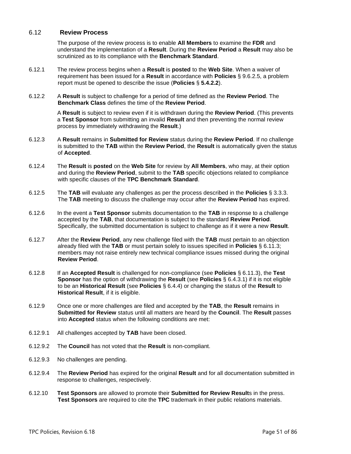## <span id="page-50-0"></span>6.12 **Review Process**

The purpose of the review process is to enable **All Members** to examine the **FDR** and understand the implementation of a **Result**. During the **Review Period** a **Result** may also be scrutinized as to its compliance with the **Benchmark Standard**.

- 6.12.1 The review process begins when a **Result** is **posted** to the **Web Site**. When a waiver of requirement has been issued for a **Result** in accordance with **Policies** § [9.6.2.5,](#page-68-0) a problem report must be opened to describe the issue (**Policies** § **[5.4.2.2](#page-42-1)**).
- 6.12.2 A **Result** is subject to challenge for a period of time defined as the **Review Period**. The **Benchmark Class** defines the time of the **Review Period**.

A **Result** is subject to review even if it is withdrawn during the **Review Period**. (This prevents a **Test Sponsor** from submitting an invalid **Result** and then preventing the normal review process by immediately withdrawing the **Result**.)

- 6.12.3 A **Result** remains in **Submitted for Review** status during the **Review Period**. If no challenge is submitted to the **TAB** within the **Review Period**, the **Result** is automatically given the status of **Accepted**.
- 6.12.4 The **Result** is **posted** on the **Web Site** for review by **All Members**, who may, at their option and during the **Review Period**, submit to the **TAB** specific objections related to compliance with specific clauses of the **TPC Benchmark Standard**.
- 6.12.5 The **TAB** will evaluate any challenges as per the process described in the **Policies** § [3.3.3.](#page-25-0) The **TAB** meeting to discuss the challenge may occur after the **Review Period** has expired.
- 6.12.6 In the event a **Test Sponsor** submits documentation to the **TAB** in response to a challenge accepted by the **TAB**, that documentation is subject to the standard **Review Period**. Specifically, the submitted documentation is subject to challenge as if it were a new **Result**.
- 6.12.7 After the **Review Period**, any new challenge filed with the **TAB** must pertain to an objection already filed with the **TAB** or must pertain solely to issues specified in **Policies** § [6.11.3;](#page-49-0) members may not raise entirely new technical compliance issues missed during the original **Review Period**.
- 6.12.8 If an **Accepted Result** is challenged for non-compliance (see **Policies** § [6.11.3\)](#page-49-0), the **Test Sponsor** has the option of withdrawing the **Result** (see **Policies** § [6.4.3.1\)](#page-45-2) if it is not eligible to be an **Historical Result** (see **Policies** § [6.4.4\)](#page-45-1) or changing the status of the **Result** to **Historical Result**, if it is eligible.
- 6.12.9 Once one or more challenges are filed and accepted by the **TAB**, the **Result** remains in **Submitted for Review** status until all matters are heard by the **Council**. The **Result** passes into **Accepted** status when the following conditions are met:
- 6.12.9.1 All challenges accepted by **TAB** have been closed.
- 6.12.9.2 The **Council** has not voted that the **Result** is non-compliant.
- 6.12.9.3 No challenges are pending.
- 6.12.9.4 The **Review Period** has expired for the original **Result** and for all documentation submitted in response to challenges, respectively.
- 6.12.10 **Test Sponsors** are allowed to promote their **Submitted for Review Result**s in the press. **Test Sponsors** are required to cite the **TPC** trademark in their public relations materials.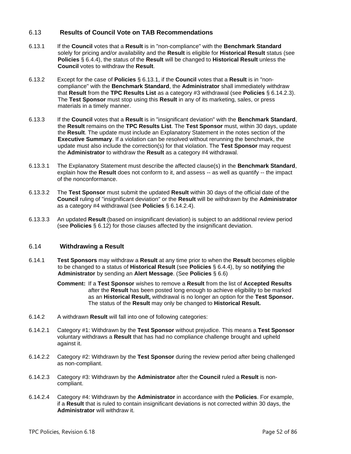# <span id="page-51-1"></span>6.13 **Results of Council Vote on TAB Recommendations**

- <span id="page-51-4"></span>6.13.1 If the **Council** votes that a **Result** is in "non-compliance" with the **Benchmark Standard** solely for pricing and/or availability and the **Result** is eligible for **Historical Result** status (see **Policies** § [6.4.4\)](#page-45-1), the status of the **Result** will be changed to **Historical Result** unless the **Council** votes to withdraw the **Result**.
- 6.13.2 Except for the case of **Policies** § [6.13.1,](#page-51-4) if the **Council** votes that a **Result** is in "noncompliance" with the **Benchmark Standard**, the **Administrator** shall immediately withdraw that **Result** from the **TPC Results List** as a category #3 withdrawal (see **Policies** § [6.14.2.3\)](#page-51-5). The **Test Sponsor** must stop using this **Result** in any of its marketing, sales, or press materials in a timely manner.
- 6.13.3 If the **Council** votes that a **Result** is in "insignificant deviation" with the **Benchmark Standard**, the **Result** remains on the **TPC Results List**. The **Test Sponsor** must, within 30 days, update the **Result**. The update must include an Explanatory Statement in the notes section of the **Executive Summary**. If a violation can be resolved without rerunning the benchmark, the update must also include the correction(s) for that violation. The **Test Sponsor** may request the **Administrator** to withdraw the **Result** as a category #4 withdrawal.
- 6.13.3.1 The Explanatory Statement must describe the affected clause(s) in the **Benchmark Standard**, explain how the **Result** does not conform to it, and assess -- as well as quantify -- the impact of the nonconformance.
- 6.13.3.2 The **Test Sponsor** must submit the updated **Result** within 30 days of the official date of the **Council** ruling of "insignificant deviation" or the **Result** will be withdrawn by the **Administrator** as a category #4 withdrawal (see **Policies** § [6.14.2.4\)](#page-51-3).
- 6.13.3.3 An updated **Result** (based on insignificant deviation) is subject to an additional review period (see **Policies** § [6.12\)](#page-50-0) for those clauses affected by the insignificant deviation.

## <span id="page-51-0"></span>6.14 **Withdrawing a Result**

6.14.1 **Test Sponsors** may withdraw a **Result** at any time prior to when the **Result** becomes eligible to be changed to a status of **Historical Result** (see **Policies** § [6.4.4\)](#page-45-1), by so **notifying** the **Administrator** by sending an **Alert Message**. (See **Policies** § [6.6\)](#page-47-0)

> **Comment:** If a **Test Sponsor** wishes to remove a **Result** from the list of **Accepted Results** after the **Result** has been posted long enough to achieve eligibility to be marked as an **Historical Result,** withdrawal is no longer an option for the **Test Sponsor.**  The status of the **Result** may only be changed to **Historical Result.**

- <span id="page-51-2"></span>6.14.2 A withdrawn **Result** will fall into one of following categories:
- 6.14.2.1 Category #1: Withdrawn by the **Test Sponsor** without prejudice. This means a **Test Sponsor** voluntary withdraws a **Result** that has had no compliance challenge brought and upheld against it.
- 6.14.2.2 Category #2: Withdrawn by the **Test Sponsor** during the review period after being challenged as non-compliant.
- <span id="page-51-5"></span>6.14.2.3 Category #3: Withdrawn by the **Administrator** after the **Council** ruled a **Result** is noncompliant.
- <span id="page-51-3"></span>6.14.2.4 Category #4: Withdrawn by the **Administrator** in accordance with the **Policies**. For example, if a **Result** that is ruled to contain insignificant deviations is not corrected within 30 days, the **Administrator** will withdraw it.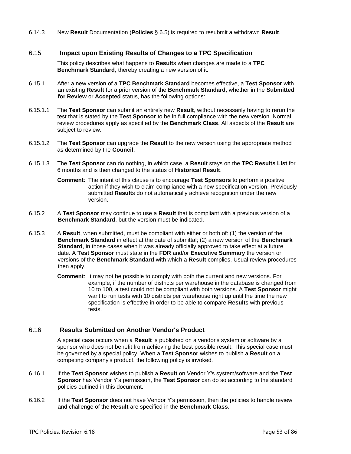6.14.3 New **Result** Documentation (**Policies** § [6.5\)](#page-46-0) is required to resubmit a withdrawn **Result**.

## 6.15 **Impact upon Existing Results of Changes to a TPC Specification**

This policy describes what happens to **Result**s when changes are made to a **TPC Benchmark Standard**, thereby creating a new version of it.

- 6.15.1 After a new version of a **TPC Benchmark Standard** becomes effective, a **Test Sponsor** with an existing **Result** for a prior version of the **Benchmark Standard**, whether in the **Submitted for Review** or **Accepted** status, has the following options:
- 6.15.1.1 The **Test Sponsor** can submit an entirely new **Result**, without necessarily having to rerun the test that is stated by the **Test Sponsor** to be in full compliance with the new version. Normal review procedures apply as specified by the **Benchmark Class**. All aspects of the **Result** are subject to review.
- 6.15.1.2 The **Test Sponsor** can upgrade the **Result** to the new version using the appropriate method as determined by the **Council**.
- 6.15.1.3 The **Test Sponsor** can do nothing, in which case, a **Result** stays on the **TPC Results List** for 6 months and is then changed to the status of **Historical Result**.
	- **Comment**: The intent of this clause is to encourage **Test Sponsors** to perform a positive action if they wish to claim compliance with a new specification version. Previously submitted **Result**s do not automatically achieve recognition under the new version.
- 6.15.2 A **Test Sponsor** may continue to use a **Result** that is compliant with a previous version of a **Benchmark Standard**, but the version must be indicated.
- 6.15.3 A **Result**, when submitted, must be compliant with either or both of: (1) the version of the **Benchmark Standard** in effect at the date of submittal; (2) a new version of the **Benchmark Standard**, in those cases when it was already officially approved to take effect at a future date. A **Test Sponsor** must state in the **FDR** and/or **Executive Summary** the version or versions of the **Benchmark Standard** with which a **Result** complies. Usual review procedures then apply.
	- **Comment**: It may not be possible to comply with both the current and new versions. For example, if the number of districts per warehouse in the database is changed from 10 to 100, a test could not be compliant with both versions. A **Test Sponsor** might want to run tests with 10 districts per warehouse right up until the time the new specification is effective in order to be able to compare **Result**s with previous tests.

# 6.16 **Results Submitted on Another Vendor's Product**

A special case occurs when a **Result** is published on a vendor's system or software by a sponsor who does not benefit from achieving the best possible result. This special case must be governed by a special policy. When a **Test Sponsor** wishes to publish a **Result** on a competing company's product, the following policy is invoked.

- 6.16.1 If the **Test Sponsor** wishes to publish a **Result** on Vendor Y's system/software and the **Test Sponsor** has Vendor Y's permission, the **Test Sponsor** can do so according to the standard policies outlined in this document.
- 6.16.2 If the **Test Sponsor** does not have Vendor Y's permission, then the policies to handle review and challenge of the **Result** are specified in the **Benchmark Class**.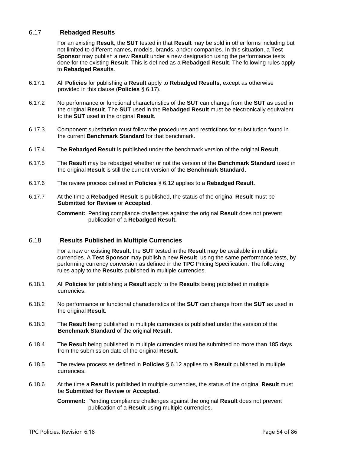# <span id="page-53-0"></span>6.17 **Rebadged Results**

For an existing **Result**, the **SUT** tested in that **Result** may be sold in other forms including but not limited to different names, models, brands, and/or companies. In this situation, a **Test Sponsor** may publish a new **Result** under a new designation using the performance tests done for the existing **Result**. This is defined as a **Rebadged Result**. The following rules apply to **Rebadged Results**.

- 6.17.1 All **Policies** for publishing a **Result** apply to **Rebadged Results**, except as otherwise provided in this clause (**Policies** § [6.17\)](#page-53-0).
- 6.17.2 No performance or functional characteristics of the **SUT** can change from the **SUT** as used in the original **Result**. The **SUT** used in the **Rebadged Result** must be electronically equivalent to the **SUT** used in the original **Result**.
- 6.17.3 Component substitution must follow the procedures and restrictions for substitution found in the current **Benchmark Standard** for that benchmark.
- 6.17.4 The **Rebadged Result** is published under the benchmark version of the original **Result**.
- 6.17.5 The **Result** may be rebadged whether or not the version of the **Benchmark Standard** used in the original **Result** is still the current version of the **Benchmark Standard**.
- 6.17.6 The review process defined in **Policies** § [6.12](#page-50-0) applies to a **Rebadged Result**.
- 6.17.7 At the time a **Rebadged Result** is published, the status of the original **Result** must be **Submitted for Review** or **Accepted**.

**Comment:** Pending compliance challenges against the original **Result** does not prevent publication of a **Rebadged Result.**

### 6.18 **Results Published in Multiple Currencies**

For a new or existing **Result**, the **SUT** tested in the **Result** may be available in multiple currencies. A **Test Sponsor** may publish a new **Result**, using the same performance tests, by performing currency conversion as defined in the **TPC** Pricing Specification. The following rules apply to the **Result**s published in multiple currencies.

- 6.18.1 All **Policies** for publishing a **Result** apply to the **Result**s being published in multiple currencies.
- 6.18.2 No performance or functional characteristics of the **SUT** can change from the **SUT** as used in the original **Result**.
- 6.18.3 The **Result** being published in multiple currencies is published under the version of the **Benchmark Standard** of the original **Result**.
- 6.18.4 The **Result** being published in multiple currencies must be submitted no more than 185 days from the submission date of the original **Result**.
- 6.18.5 The review process as defined in **Policies** § [6.12](#page-50-0) applies to a **Result** published in multiple currencies.
- 6.18.6 At the time a **Result** is published in multiple currencies, the status of the original **Result** must be **Submitted for Review** or **Accepted**.

**Comment:** Pending compliance challenges against the original **Result** does not prevent publication of a **Result** using multiple currencies.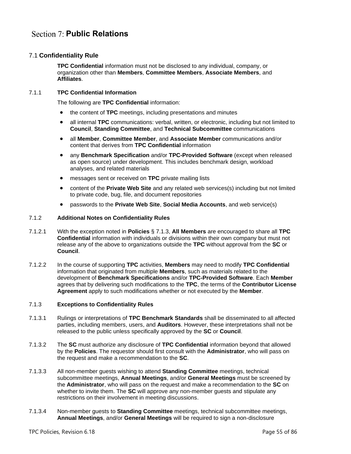# **Section 7: Public Relations**

# 7.1 **Confidentiality Rule**

**TPC Confidential** information must not be disclosed to any individual, company, or organization other than **Members**, **Committee Members**, **Associate Members**, and **Affiliates**.

### 7.1.1 **TPC Confidential Information**

The following are **TPC Confidential** information:

- the content of **TPC** meetings, including presentations and minutes
- all internal **TPC** communications: verbal, written, or electronic, including but not limited to **Council**, **Standing Committee**, and **Technical Subcommittee** communications
- all **Member**, **Committee Member**, and **Associate Member** communications and/or content that derives from **TPC Confidential** information
- any **Benchmark Specification** and/or **TPC-Provided Software** (except when released as open source) under development. This includes benchmark design, workload analyses, and related materials
- messages sent or received on **TPC** private mailing lists
- content of the **Private Web Site** and any related web services(s) including but not limited to private code, bug, file, and document repositories
- passwords to the **Private Web Site**, **Social Media Accounts**, and web service(s)

#### 7.1.2 **Additional Notes on Confidentiality Rules**

- 7.1.2.1 With the exception noted in **Policies** § [7.1.3,](#page-54-0) **All Members** are encouraged to share all **TPC Confidential** information with individuals or divisions within their own company but must not release any of the above to organizations outside the **TPC** without approval from the **SC** or **Council**.
- 7.1.2.2 In the course of supporting **TPC** activities, **Members** may need to modify **TPC Confidential** information that originated from multiple **Members**, such as materials related to the development of **Benchmark Specifications** and/or **TPC-Provided Software**. Each **Member** agrees that by delivering such modifications to the **TPC**, the terms of the **Contributor License Agreement** apply to such modifications whether or not executed by the **Member**.

#### <span id="page-54-0"></span>7.1.3 **Exceptions to Confidentiality Rules**

- 7.1.3.1 Rulings or interpretations of **TPC Benchmark Standards** shall be disseminated to all affected parties, including members, users, and **Auditors**. However, these interpretations shall not be released to the public unless specifically approved by the **SC** or **Council**.
- 7.1.3.2 The **SC** must authorize any disclosure of **TPC Confidential** information beyond that allowed by the **Policies**. The requestor should first consult with the **Administrator**, who will pass on the request and make a recommendation to the **SC**.
- 7.1.3.3 All non-member guests wishing to attend **Standing Committee** meetings, technical subcommittee meetings, **Annual Meetings**, and/or **General Meetings** must be screened by the **Administrator**, who will pass on the request and make a recommendation to the **SC** on whether to invite them. The **SC** will approve any non-member guests and stipulate any restrictions on their involvement in meeting discussions.
- 7.1.3.4 Non-member guests to **Standing Committee** meetings, technical subcommittee meetings, **Annual Meetings**, and/or **General Meetings** will be required to sign a non-disclosure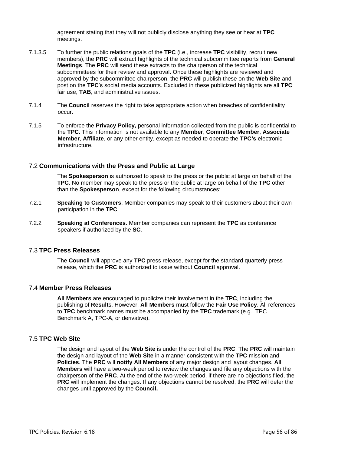agreement stating that they will not publicly disclose anything they see or hear at **TPC** meetings.

- 7.1.3.5 To further the public relations goals of the **TPC** (i.e., increase **TPC** visibility, recruit new members), the **PRC** will extract highlights of the technical subcommittee reports from **General Meetings**. The **PRC** will send these extracts to the chairperson of the technical subcommittees for their review and approval. Once these highlights are reviewed and approved by the subcommittee chairperson, the **PRC** will publish these on the **Web Site** and post on the **TPC**'s social media accounts. Excluded in these publicized highlights are all **TPC** fair use, **TAB**, and administrative issues.
- 7.1.4 The **Council** reserves the right to take appropriate action when breaches of confidentiality occur.
- 7.1.5 To enforce the **Privacy Policy,** personal information collected from the public is confidential to the **TPC**. This information is not available to any **Member**, **Committee Member**, **Associate Member**, **Affiliate**, or any other entity, except as needed to operate the **TPC's** electronic infrastructure.

## 7.2 **Communications with the Press and Public at Large**

The **Spokesperson** is authorized to speak to the press or the public at large on behalf of the **TPC**. No member may speak to the press or the public at large on behalf of the **TPC** other than the **Spokesperson**, except for the following circumstances:

- 7.2.1 **Speaking to Customers**. Member companies may speak to their customers about their own participation in the **TPC**.
- 7.2.2 **Speaking at Conferences**. Member companies can represent the **TPC** as conference speakers if authorized by the **SC**.

### 7.3 **TPC Press Releases**

The **Council** will approve any **TPC** press release, except for the standard quarterly press release, which the **PRC** is authorized to issue without **Council** approval.

### 7.4 **Member Press Releases**

**All Members** are encouraged to publicize their involvement in the **TPC**, including the publishing of **Result**s. However, **All Members** must follow the **Fair Use Policy**. All references to **TPC** benchmark names must be accompanied by the **TPC** trademark (e.g., TPC Benchmark A, TPC-A, or derivative).

## 7.5 **TPC Web Site**

The design and layout of the **Web Site** is under the control of the **PRC**. The **PRC** will maintain the design and layout of the **Web Site** in a manner consistent with the **TPC** mission and **Policies**. The **PRC** will **notify All Members** of any major design and layout changes. **All Members** will have a two-week period to review the changes and file any objections with the chairperson of the **PRC**. At the end of the two-week period, if there are no objections filed, the **PRC** will implement the changes. If any objections cannot be resolved, the **PRC** will defer the changes until approved by the **Council.**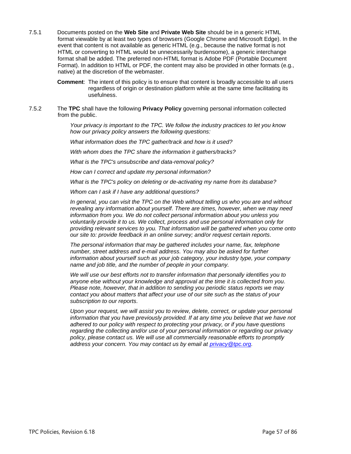7.5.1 Documents posted on the **Web Site** and **Private Web Site** should be in a generic HTML format viewable by at least two types of browsers (Google Chrome and Microsoft Edge). In the event that content is not available as generic HTML (e.g., because the native format is not HTML or converting to HTML would be unnecessarily burdensome), a generic interchange format shall be added. The preferred non-HTML format is Adobe PDF (Portable Document Format). In addition to HTML or PDF, the content may also be provided in other formats (e.g., native) at the discretion of the webmaster.

> **Comment**: The intent of this policy is to ensure that content is broadly accessible to all users regardless of origin or destination platform while at the same time facilitating its usefulness.

7.5.2 The **TPC** shall have the following **Privacy Policy** governing personal information collected from the public.

> *Your privacy is important to the TPC. We follow the industry practices to let you know how our privacy policy answers the following questions:*

*What information does the TPC gather/track and how is it used?*

*With whom does the TPC share the information it gathers/tracks?*

*What is the TPC's unsubscribe and data-removal policy?*

*How can I correct and update my personal information?*

*What is the TPC's policy on deleting or de-activating my name from its database?*

*Whom can I ask if I have any additional questions?*

*In general, you can visit the TPC on the Web without telling us who you are and without revealing any information about yourself. There are times, however, when we may need information from you. We do not collect personal information about you unless you voluntarily provide it to us. We collect, process and use personal information only for providing relevant services to you. That information will be gathered when you come onto our site to: provide feedback in an online survey; and/or request certain reports.*

*The personal information that may be gathered includes your name, fax, telephone number, street address and e-mail address. You may also be asked for further information about yourself such as your job category, your industry type, your company name and job title, and the number of people in your company.*

*We will use our best efforts not to transfer information that personally identifies you to anyone else without your knowledge and approval at the time it is collected from you. Please note, however, that in addition to sending you periodic status reports we may contact you about matters that affect your use of our site such as the status of your subscription to our reports.*

*Upon your request, we will assist you to review, delete, correct, or update your personal information that you have previously provided. If at any time you believe that we have not adhered to our policy with respect to protecting your privacy, or if you have questions regarding the collecting and/or use of your personal information or regarding our privacy policy, please contact us. We will use all commercially reasonable efforts to promptly address your concern. You may contact us by email at [privacy@tpc.org.](mailto:privacy@tpc.org)*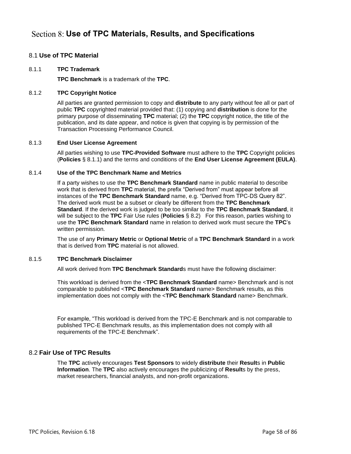# **Use of TPC Materials, Results, and Specifications**

# <span id="page-57-2"></span>8.1 **Use of TPC Material**

### <span id="page-57-0"></span>8.1.1 **TPC Trademark**

**TPC Benchmark** is a trademark of the **TPC**.

## 8.1.2 **TPC Copyright Notice**

All parties are granted permission to copy and **distribute** to any party without fee all or part of public **TPC** copyrighted material provided that: (1) copying and **distribution** is done for the primary purpose of disseminating **TPC** material; (2) the **TPC** copyright notice, the title of the publication, and its date appear, and notice is given that copying is by permission of the Transaction Processing Performance Council.

### 8.1.3 **End User License Agreement**

All parties wishing to use **TPC-Provided Software** must adhere to the **TPC** Copyright policies (**Policies** § [8.1.1\)](#page-57-0) and the terms and conditions of the **End User License Agreement (EULA)**.

### 8.1.4 **Use of the TPC Benchmark Name and Metrics**

If a party wishes to use the **TPC Benchmark Standard** name in public material to describe work that is derived from **TPC** material, the prefix "Derived from" must appear before all instances of the **TPC Benchmark Standard** name, e.g. "Derived from TPC-DS Query 82". The derived work must be a subset or clearly be different from the **TPC Benchmark Standard**. If the derived work is judged to be too similar to the **TPC Benchmark Standard**, it will be subject to the **TPC** Fair Use rules (**Policies** § [8.2\)](#page-57-1) For this reason, parties wishing to use the **TPC Benchmark Standard** name in relation to derived work must secure the **TPC**'s written permission.

The use of any **Primary Metric** or **Optional Metric** of a **TPC Benchmark Standard** in a work that is derived from **TPC** material is not allowed.

### 8.1.5 **TPC Benchmark Disclaimer**

All work derived from **TPC Benchmark Standard**s must have the following disclaimer:

This workload is derived from the <**TPC Benchmark Standard** name> Benchmark and is not comparable to published <**TPC Benchmark Standard** name> Benchmark results, as this implementation does not comply with the <**TPC Benchmark Standard** name> Benchmark.

For example, "This workload is derived from the TPC-E Benchmark and is not comparable to published TPC-E Benchmark results, as this implementation does not comply with all requirements of the TPC-E Benchmark".

# <span id="page-57-1"></span>8.2 **Fair Use of TPC Results**

The **TPC** actively encourages **Test Sponsors** to widely **distribute** their **Result**s in **Public Information**. The **TPC** also actively encourages the publicizing of **Result**s by the press, market researchers, financial analysts, and non-profit organizations.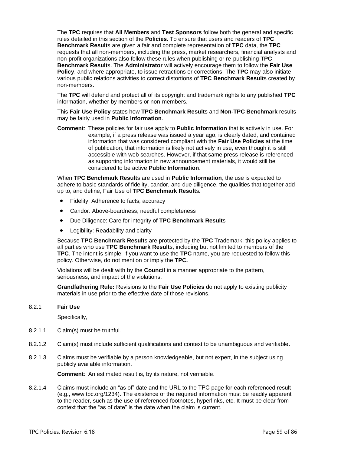The **TPC** requires that **All Members** and **Test Sponsors** follow both the general and specific rules detailed in this section of the **Policies**. To ensure that users and readers of **TPC Benchmark Result**s are given a fair and complete representation of **TPC** data, the **TPC** requests that all non-members, including the press, market researchers, financial analysts and non-profit organizations also follow these rules when publishing or re-publishing **TPC Benchmark Result**s. The **Administrator** will actively encourage them to follow the **Fair Use Policy**, and where appropriate, to issue retractions or corrections. The **TPC** may also initiate various public relations activities to correct distortions of **TPC Benchmark Result**s created by non-members.

The **TPC** will defend and protect all of its copyright and trademark rights to any published **TPC** information, whether by members or non-members.

This **Fair Use Policy** states how **TPC Benchmark Result**s and **Non-TPC Benchmark** results may be fairly used in **Public Information**.

**Comment**: These policies for fair use apply to **Public Information** that is actively in use. For example, if a press release was issued a year ago, is clearly dated, and contained information that was considered compliant with the **Fair Use Policies** at the time of publication, that information is likely not actively in use, even though it is still accessible with web searches. However, if that same press release is referenced as supporting information in new announcement materials, it would still be considered to be active **Public Information**.

When **TPC Benchmark Result**s are used in **Public Information**, the use is expected to adhere to basic standards of fidelity, candor, and due diligence, the qualities that together add up to, and define, Fair Use of **TPC Benchmark Result**s**.**

- Fidelity: Adherence to facts; accuracy
- Candor: Above-boardness; needful completeness
- Due Diligence: Care for integrity of **TPC Benchmark Result**s
- Legibility: Readability and clarity

Because **TPC Benchmark Result**s are protected by the **TPC** Trademark, this policy applies to all parties who use **TPC Benchmark Result**s, including but not limited to members of the **TPC**. The intent is simple: if you want to use the **TPC** name, you are requested to follow this policy. Otherwise, do not mention or imply the **TPC.**

Violations will be dealt with by the **Council** in a manner appropriate to the pattern, seriousness, and impact of the violations.

**Grandfathering Rule:** Revisions to the **Fair Use Policies** do not apply to existing publicity materials in use prior to the effective date of those revisions.

#### <span id="page-58-2"></span>8.2.1 **Fair Use**

Specifically,

- 8.2.1.1 Claim(s) must be truthful.
- <span id="page-58-0"></span>8.2.1.2 Claim(s) must include sufficient qualifications and context to be unambiguous and verifiable.
- 8.2.1.3 Claims must be verifiable by a person knowledgeable, but not expert, in the subject using publicly available information.

**Comment**: An estimated result is, by its nature, not verifiable.

<span id="page-58-1"></span>8.2.1.4 Claims must include an "as of" date and the URL to the TPC page for each referenced result (e.g., www.tpc.org/1234). The existence of the required information must be readily apparent to the reader, such as the use of referenced footnotes, hyperlinks, etc. It must be clear from context that the "as of date" is the date when the claim is current.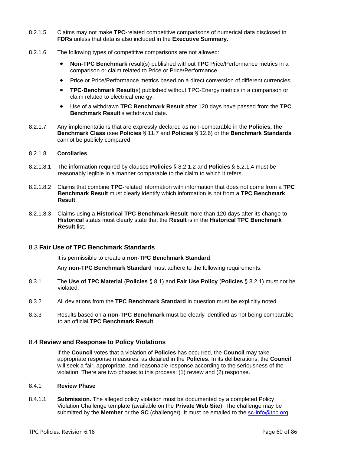- 8.2.1.5 Claims may not make **TPC**-related competitive comparisons of numerical data disclosed in **FDRs** unless that data is also included in the **Executive Summary**.
- 8.2.1.6 The following types of competitive comparisons are not allowed:
	- **Non-TPC Benchmark** result(s) published without **TPC** Price/Performance metrics in a comparison or claim related to Price or Price/Performance.
	- Price or Price/Performance metrics based on a direct conversion of different currencies.
	- **TPC-Benchmark Result**(s) published without TPC-Energy metrics in a comparison or claim related to electrical energy.
	- Use of a withdrawn **TPC Benchmark Result** after 120 days have passed from the **TPC Benchmark Result**'s withdrawal date.
- 8.2.1.7 Any implementations that are expressly declared as non-comparable in the **Policies, the Benchmark Class** (see **Policies** § [11.7](#page-76-0) and **Policies** § [12.6\)](#page-82-0) or the **Benchmark Standards** cannot be publicly compared.

#### 8.2.1.8 **Corollaries**

- 8.2.1.8.1 The information required by clauses **Policies** § [8.2.1.2](#page-58-0) and **Policies** § [8.2.1.4](#page-58-1) must be reasonably legible in a manner comparable to the claim to which it refers.
- 8.2.1.8.2 Claims that combine **TPC**-related information with information that does not come from a **TPC Benchmark Result** must clearly identify which information is not from a **TPC Benchmark Result**.
- 8.2.1.8.3 Claims using a **Historical TPC Benchmark Result** more than 120 days after its change to **Historical** status must clearly state that the **Result** is in the **Historical TPC Benchmark Result** list.

### 8.3 **Fair Use of TPC Benchmark Standards**

It is permissible to create a **non-TPC Benchmark Standard**.

Any **non-TPC Benchmark Standard** must adhere to the following requirements:

- 8.3.1 The **Use of TPC Material** (**Policies** § [8.1\)](#page-57-2) and **Fair Use Policy** (**Policies** § [8.2.1\)](#page-58-2) must not be violated.
- 8.3.2 All deviations from the **TPC Benchmark Standard** in question must be explicitly noted.
- 8.3.3 Results based on a **non-TPC Benchmark** must be clearly identified as not being comparable to an official **TPC Benchmark Result**.

### 8.4 **Review and Response to Policy Violations**

If the **Council** votes that a violation of **Policies** has occurred, the **Council** may take appropriate response measures, as detailed in the **Policies**. In its deliberations, the **Council** will seek a fair, appropriate, and reasonable response according to the seriousness of the violation. There are two phases to this process: (1) review and (2) response.

#### 8.4.1 **Review Phase**

8.4.1.1 **Submission.** The alleged policy violation must be documented by a completed Policy Violation Challenge template (available on the **Private Web Site**). The challenge may be submitted by the **Member** or the **SC** (challenger). It must be emailed to the [sc-info@tpc.org](mailto:sc-info@tpc.org)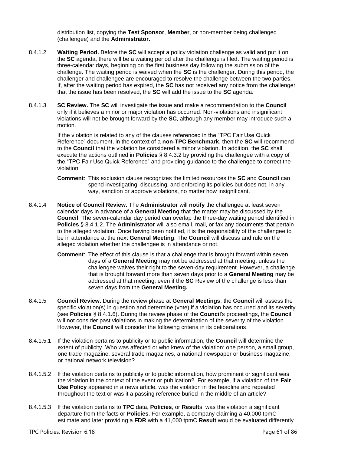distribution list, copying the **Test Sponsor**, **Member**, or non-member being challenged (challengee) and the **Administrator.**

- <span id="page-60-0"></span>8.4.1.2 **Waiting Period.** Before the **SC** will accept a policy violation challenge as valid and put it on the **SC** agenda, there will be a waiting period after the challenge is filed. The waiting period is three-calendar days, beginning on the first business day following the submission of the challenge. The waiting period is waived when the **SC** is the challenger. During this period, the challenger and challengee are encouraged to resolve the challenge between the two parties. If, after the waiting period has expired, the **SC** has not received any notice from the challenger that the issue has been resolved, the **SC** will add the issue to the **SC** agenda.
- 8.4.1.3 **SC Review.** The **SC** will investigate the issue and make a recommendation to the **Council** only if it believes a minor or major violation has occurred. Non-violations and insignificant violations will not be brought forward by the **SC**, although any member may introduce such a motion.

If the violation is related to any of the clauses referenced in the "TPC Fair Use Quick Reference" document, in the context of a **non-TPC Benchmark**, then the **SC** will recommend to the **Council** that the violation be considered a minor violation. In addition, the **SC** shall execute the actions outlined in **Policies** § [8.4.3.2](#page-61-0) by providing the challengee with a copy of the "TPC Fair Use Quick Reference" and providing guidance to the challengee to correct the violation.

- **Comment**: This exclusion clause recognizes the limited resources the **SC** and **Council** can spend investigating, discussing, and enforcing its policies but does not, in any way, sanction or approve violations, no matter how insignificant.
- 8.4.1.4 **Notice of Council Review.** The **Administrator** will **notify** the challengee at least seven calendar days in advance of a **General Meeting** that the matter may be discussed by the **Council**. The seven-calendar day period can overlap the three-day waiting period identified in **Policies** § [8.4.1.2.](#page-60-0) The **Administrator** will also email, mail, or fax any documents that pertain to the alleged violation. Once having been notified, it is the responsibility of the challengee to be in attendance at the next **General Meeting**. The **Council** will discuss and rule on the alleged violation whether the challengee is in attendance or not.
	- **Comment**: The effect of this clause is that a challenge that is brought forward within seven days of a **General Meeting** may not be addressed at that meeting, unless the challengee waives their right to the seven-day requirement. However, a challenge that is brought forward more than seven days prior to a **General Meeting** may be addressed at that meeting, even if the **SC** Review of the challenge is less than seven days from the **General Meeting.**
- 8.4.1.5 **Council Review.** During the review phase at **General Meetings**, the **Council** will assess the specific violation(s) in question and determine (vote) if a violation has occurred and its severity (see **Policies** § [8.4.1.6\)](#page-61-1). During the review phase of the **Council**'s proceedings, the **Council** will not consider past violations in making the determination of the severity of the violation. However, the **Council** will consider the following criteria in its deliberations.
- 8.4.1.5.1 If the violation pertains to publicity or to public information, the **Council** will determine the extent of publicity. Who was affected or who knew of the violation: one person, a small group, one trade magazine, several trade magazines, a national newspaper or business magazine, or national network television?
- 8.4.1.5.2 If the violation pertains to publicity or to public information, how prominent or significant was the violation in the context of the event or publication? For example, if a violation of the **Fair Use Policy** appeared in a news article, was the violation in the headline and repeated throughout the text or was it a passing reference buried in the middle of an article?
- 8.4.1.5.3 If the violation pertains to **TPC** data, **Policies**, or **Result**s, was the violation a significant departure from the facts or **Policies**. For example, a company claiming a 40,000 tpmC estimate and later providing a **FDR** with a 41,000 tpmC **Result** would be evaluated differently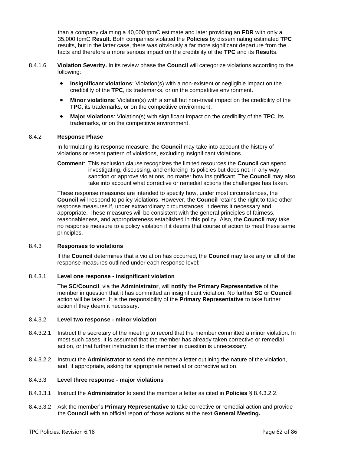than a company claiming a 40,000 tpmC estimate and later providing an **FDR** with only a 35,000 tpmC **Result**. Both companies violated the **Policies** by disseminating estimated **TPC** results, but in the latter case, there was obviously a far more significant departure from the facts and therefore a more serious impact on the credibility of the **TPC** and its **Result**s.

- <span id="page-61-1"></span>8.4.1.6 **Violation Severity.** In its review phase the **Council** will categorize violations according to the following:
	- **Insignificant violations**: Violation(s) with a non-existent or negligible impact on the credibility of the **TPC**, its trademarks, or on the competitive environment.
	- **Minor violations**: Violation(s) with a small but non-trivial impact on the credibility of the **TPC**, its trademarks, or on the competitive environment.
	- **Major violations**: Violation(s) with significant impact on the credibility of the **TPC**, its trademarks, or on the competitive environment.

### 8.4.2 **Response Phase**

In formulating its response measure, the **Council** may take into account the history of violations or recent pattern of violations, excluding insignificant violations.

**Comment**: This exclusion clause recognizes the limited resources the **Council** can spend investigating, discussing, and enforcing its policies but does not, in any way, sanction or approve violations, no matter how insignificant. The **Council** may also take into account what corrective or remedial actions the challengee has taken.

These response measures are intended to specify how, under most circumstances, the **Council** will respond to policy violations. However, the **Council** retains the right to take other response measures if, under extraordinary circumstances, it deems it necessary and appropriate. These measures will be consistent with the general principles of fairness, reasonableness, and appropriateness established in this policy. Also, the **Council** may take no response measure to a policy violation if it deems that course of action to meet these same principles.

### 8.4.3 **Responses to violations**

If the **Council** determines that a violation has occurred, the **Council** may take any or all of the response measures outlined under each response level:

### 8.4.3.1 **Level one response - insignificant violation**

The **SC**/**Council**, via the **Administrator**, will **notify** the **Primary Representative** of the member in question that it has committed an insignificant violation. No further **SC** or **Council** action will be taken. It is the responsibility of the **Primary Representative** to take further action if they deem it necessary.

### <span id="page-61-0"></span>8.4.3.2 **Level two response - minor violation**

- 8.4.3.2.1 Instruct the secretary of the meeting to record that the member committed a minor violation. In most such cases, it is assumed that the member has already taken corrective or remedial action, or that further instruction to the member in question is unnecessary.
- <span id="page-61-2"></span>8.4.3.2.2 Instruct the **Administrator** to send the member a letter outlining the nature of the violation, and, if appropriate, asking for appropriate remedial or corrective action.

### 8.4.3.3 **Level three response - major violations**

- 8.4.3.3.1 Instruct the **Administrator** to send the member a letter as cited in **Policies** § [8.4.3.2.2.](#page-61-2)
- 8.4.3.3.2 Ask the member's **Primary Representative** to take corrective or remedial action and provide the **Council** with an official report of those actions at the next **General Meeting.**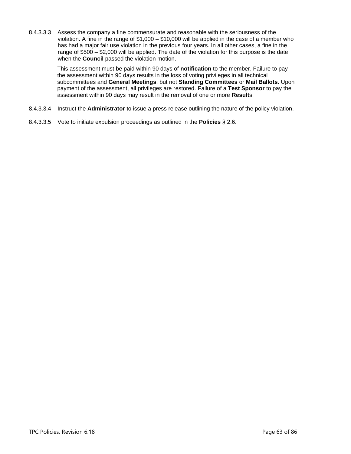8.4.3.3.3 Assess the company a fine commensurate and reasonable with the seriousness of the violation. A fine in the range of \$1,000 – \$10,000 will be applied in the case of a member who has had a major fair use violation in the previous four years. In all other cases, a fine in the range of \$500 – \$2,000 will be applied. The date of the violation for this purpose is the date when the **Council** passed the violation motion.

> This assessment must be paid within 90 days of **notification** to the member. Failure to pay the assessment within 90 days results in the loss of voting privileges in all technical subcommittees and **General Meetings**, but not **Standing Committees** or **Mail Ballots**. Upon payment of the assessment, all privileges are restored. Failure of a **Test Sponsor** to pay the assessment within 90 days may result in the removal of one or more **Result**s.

- 8.4.3.3.4 Instruct the **Administrator** to issue a press release outlining the nature of the policy violation.
- 8.4.3.3.5 Vote to initiate expulsion proceedings as outlined in the **Policies** § [2.6.](#page-20-2)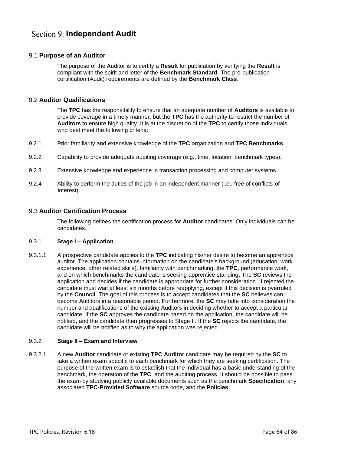# **Section 9: Independent Audit**

# 9.1 **Purpose of an Auditor**

The purpose of the Auditor is to certify a **Result** for publication by verifying the **Result** is compliant with the spirit and letter of the **Benchmark Standard**. The pre-publication certification (Audit) requirements are defined by the **Benchmark Class**.

# 9.2 **Auditor Qualifications**

The **TPC** has the responsibility to ensure that an adequate number of **Auditors** is available to provide coverage in a timely manner, but the **TPC** has the authority to restrict the number of **Auditors** to ensure high quality. It is at the discretion of the **TPC** to certify those individuals who best meet the following criteria:

- 9.2.1 Prior familiarity and extensive knowledge of the **TPC** organization and **TPC Benchmarks**.
- 9.2.2 Capability to provide adequate auditing coverage (e.g., time, location, benchmark types).
- 9.2.3 Extensive knowledge and experience in transaction processing and computer systems.
- 9.2.4 Ability to perform the duties of the job in an independent manner (i.e., free of conflicts-ofinterest).

## <span id="page-63-0"></span>9.3 **Auditor Certification Process**

The following defines the certification process for **Auditor** candidates. Only individuals can be candidates.

### 9.3.1 **Stage I – Application**

9.3.1.1 A prospective candidate applies to the **TPC** indicating his/her desire to become an apprentice auditor. The application contains information on the candidate's background (education, work experience, other related skills), familiarity with benchmarking, the **TPC**, performance work, and on which benchmarks the candidate is seeking apprentice standing. The **SC** reviews the application and decides if the candidate is appropriate for further consideration. If rejected the candidate must wait at least six months before reapplying, except if this decision is overruled by the **Council**. The goal of this process is to accept candidates that the **SC** believes can become Auditors in a reasonable period. Furthermore, the **SC** may take into consideration the number and qualifications of the existing Auditors in deciding whether to accept a particular candidate. If the **SC** approves the candidate based on the application, the candidate will be notified, and the candidate then progresses to Stage II. If the **SC** rejects the candidate, the candidate will be notified as to why the application was rejected.

### 9.3.2 **Stage II – Exam and Interview**

9.3.2.1 A new **Auditor** candidate or existing **TPC Auditor** candidate may be required by the **SC** to take a written exam specific to each benchmark for which they are seeking certification. The purpose of the written exam is to establish that the individual has a basic understanding of the benchmark, the operation of the **TPC**, and the auditing process. It should be possible to pass the exam by studying publicly available documents such as the benchmark **Specification**, any associated **TPC-Provided Software** source code, and the **Policies**.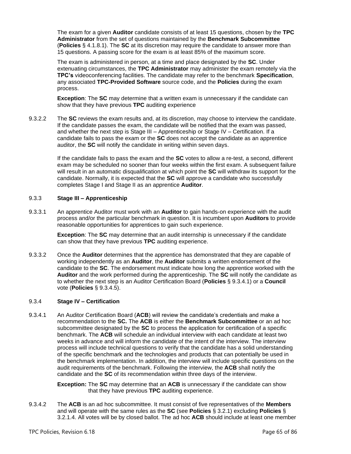The exam for a given **Auditor** candidate consists of at least 15 questions, chosen by the **TPC Administrator** from the set of questions maintained by the **Benchmark Subcommittee** (**Policies** § [4.1.8.1\)](#page-33-0). The **SC** at its discretion may require the candidate to answer more than 15 questions. A passing score for the exam is at least 85% of the maximum score.

The exam is administered in person, at a time and place designated by the **SC**. Under extenuating circumstances, the **TPC Administrator** may administer the exam remotely via the **TPC's** videoconferencing facilities. The candidate may refer to the benchmark **Specification**, any associated **TPC-Provided Software** source code, and the **Policies** during the exam process.

**Exception**: The **SC** may determine that a written exam is unnecessary if the candidate can show that they have previous **TPC** auditing experience

9.3.2.2 The **SC** reviews the exam results and, at its discretion, may choose to interview the candidate. If the candidate passes the exam, the candidate will be notified that the exam was passed, and whether the next step is Stage III – Apprenticeship or Stage IV – Certification. If a candidate fails to pass the exam or the **SC** does not accept the candidate as an apprentice auditor, the **SC** will notify the candidate in writing within seven days.

> If the candidate fails to pass the exam and the **SC** votes to allow a re-test, a second, different exam may be scheduled no sooner than four weeks within the first exam. A subsequent failure will result in an automatic disqualification at which point the **SC** will withdraw its support for the candidate. Normally, it is expected that the **SC** will approve a candidate who successfully completes Stage I and Stage II as an apprentice **Auditor**.

## 9.3.3 **Stage III – Apprenticeship**

9.3.3.1 An apprentice Auditor must work with an **Auditor** to gain hands-on experience with the audit process and/or the particular benchmark in question. It is incumbent upon **Auditors** to provide reasonable opportunities for apprentices to gain such experience.

> **Exception**: The **SC** may determine that an audit internship is unnecessary if the candidate can show that they have previous **TPC** auditing experience.

9.3.3.2 Once the **Auditor** determines that the apprentice has demonstrated that they are capable of working independently as an **Auditor**, the **Auditor** submits a written endorsement of the candidate to the **SC**. The endorsement must indicate how long the apprentice worked with the **Auditor** and the work performed during the apprenticeship. The **SC** will notify the candidate as to whether the next step is an Auditor Certification Board (**Policies** § [9.3.4.1\)](#page-64-0) or a **Council** vote (**Policies** § [9.3.4.5\)](#page-65-1).

### 9.3.4 **Stage IV – Certification**

<span id="page-64-0"></span>9.3.4.1 An Auditor Certification Board (**ACB**) will review the candidate's credentials and make a recommendation to the **SC.** The **ACB** is either the **Benchmark Subcommittee** or an ad hoc subcommittee designated by the **SC** to process the application for certification of a specific benchmark. The **ACB** will schedule an individual interview with each candidate at least two weeks in advance and will inform the candidate of the intent of the interview. The interview process will include technical questions to verify that the candidate has a solid understanding of the specific benchmark and the technologies and products that can potentially be used in the benchmark implementation. In addition, the interview will include specific questions on the audit requirements of the benchmark. Following the interview, the **ACB** shall notify the candidate and the **SC** of its recommendation within three days of the interview.

> **Exception:** The **SC** may determine that an **ACB** is unnecessary if the candidate can show that they have previous **TPC** auditing experience.

9.3.4.2 The **ACB** is an ad hoc subcommittee. It must consist of five representatives of the **Members** and will operate with the same rules as the **SC** (see **Policies** § [3.2.1\)](#page-23-2) excluding **Policies** § [3.2.1.4.](#page-23-3) All votes will be by closed ballot. The ad hoc **ACB** should include at least one member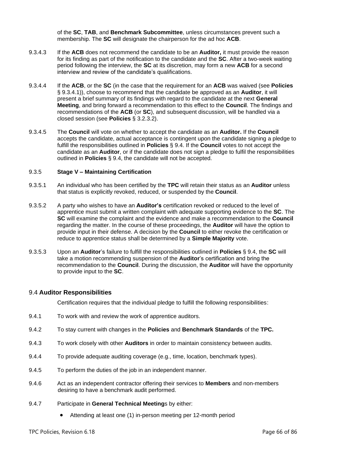of the **SC**, **TAB**, and **Benchmark Subcommittee**, unless circumstances prevent such a membership. The **SC** will designate the chairperson for the ad hoc **ACB**.

- 9.3.4.3 If the **ACB** does not recommend the candidate to be an **Auditor,** it must provide the reason for its finding as part of the notification to the candidate and the **SC**. After a two-week waiting period following the interview, the **SC** at its discretion, may form a new **ACB** for a second interview and review of the candidate's qualifications.
- 9.3.4.4 If the **ACB**, or the **SC** (in the case that the requirement for an **ACB** was waived (see **Policies** § [9.3.4.1\)](#page-64-0)), choose to recommend that the candidate be approved as an **Auditor**, it will present a brief summary of its findings with regard to the candidate at the next **General Meeting**, and bring forward a recommendation to this effect to the **Council**. The findings and recommendations of the **ACB** (or **SC**), and subsequent discussion, will be handled via a closed session (see **Policies** § [3.2.3.2\)](#page-24-0).
- <span id="page-65-1"></span>9.3.4.5 The **Council** will vote on whether to accept the candidate as an **Auditor.** If the **Council** accepts the candidate, actual acceptance is contingent upon the candidate signing a pledge to fulfill the responsibilities outlined in **Policies** § [9.4.](#page-65-2) If the **Council** votes to not accept the candidate as an **Auditor**, or if the candidate does not sign a pledge to fulfil the responsibilities outlined in **Policies** § 9.4, the candidate will not be accepted.

#### <span id="page-65-0"></span>9.3.5 **Stage V – Maintaining Certification**

- 9.3.5.1 An individual who has been certified by the **TPC** will retain their status as an **Auditor** unless that status is explicitly revoked, reduced, or suspended by the **Council**.
- 9.3.5.2 A party who wishes to have an **Auditor's** certification revoked or reduced to the level of apprentice must submit a written complaint with adequate supporting evidence to the **SC**. The **SC** will examine the complaint and the evidence and make a recommendation to the **Council** regarding the matter. In the course of these proceedings, the **Auditor** will have the option to provide input in their defense. A decision by the **Council** to either revoke the certification or reduce to apprentice status shall be determined by a **Simple Majority** vote.
- 9.3.5.3 Upon an **Auditor**'s failure to fulfill the responsibilities outlined in **Policies** § 9.4, the **SC** will take a motion recommending suspension of the **Auditor**'s certification and bring the recommendation to the **Council**. During the discussion, the **Auditor** will have the opportunity to provide input to the **SC**.

### <span id="page-65-2"></span>9.4 **Auditor Responsibilities**

Certification requires that the individual pledge to fulfill the following responsibilities:

- 9.4.1 To work with and review the work of apprentice auditors.
- 9.4.2 To stay current with changes in the **Policies** and **Benchmark Standards** of the **TPC.**
- 9.4.3 To work closely with other **Auditors** in order to maintain consistency between audits.
- 9.4.4 To provide adequate auditing coverage (e.g., time, location, benchmark types).
- 9.4.5 To perform the duties of the job in an independent manner.
- 9.4.6 Act as an independent contractor offering their services to **Members** and non-members desiring to have a benchmark audit performed.
- 9.4.7 Participate in **General Technical Meeting**s by either:
	- Attending at least one (1) in-person meeting per 12-month period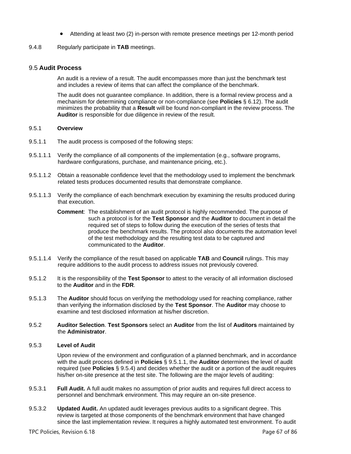- Attending at least two (2) in-person with remote presence meetings per 12-month period
- 9.4.8 Regularly participate in **TAB** meetings.

## 9.5 **Audit Process**

An audit is a review of a result. The audit encompasses more than just the benchmark test and includes a review of items that can affect the compliance of the benchmark.

The audit does not guarantee compliance. In addition, there is a formal review process and a mechanism for determining compliance or non-compliance (see **Policies** § [6.12\)](#page-50-0). The audit minimizes the probability that a **Result** will be found non-compliant in the review process. The **Auditor** is responsible for due diligence in review of the result.

### 9.5.1 **Overview**

- <span id="page-66-0"></span>9.5.1.1 The audit process is composed of the following steps:
- 9.5.1.1.1 Verify the compliance of all components of the implementation (e.g., software programs, hardware configurations, purchase, and maintenance pricing, etc.).
- 9.5.1.1.2 Obtain a reasonable confidence level that the methodology used to implement the benchmark related tests produces documented results that demonstrate compliance.
- <span id="page-66-1"></span>9.5.1.1.3 Verify the compliance of each benchmark execution by examining the results produced during that execution.
	- **Comment**: The establishment of an audit protocol is highly recommended. The purpose of such a protocol is for the **Test Sponsor** and the **Auditor** to document in detail the required set of steps to follow during the execution of the series of tests that produce the benchmark results. The protocol also documents the automation level of the test methodology and the resulting test data to be captured and communicated to the **Auditor**.
- 9.5.1.1.4 Verify the compliance of the result based on applicable **TAB** and **Council** rulings. This may require additions to the audit process to address issues not previously covered.
- 9.5.1.2 It is the responsibility of the **Test Sponsor** to attest to the veracity of all information disclosed to the **Auditor** and in the **FDR**.
- 9.5.1.3 The **Auditor** should focus on verifying the methodology used for reaching compliance, rather than verifying the information disclosed by the **Test Sponsor**. The **Auditor** may choose to examine and test disclosed information at his/her discretion.
- 9.5.2 **Auditor Selection**. **Test Sponsors** select an **Auditor** from the list of **Auditors** maintained by the **Administrator**.

### 9.5.3 **Level of Audit**

Upon review of the environment and configuration of a planned benchmark, and in accordance with the audit process defined in **Policies** § [9.5.1.1,](#page-66-0) the **Auditor** determines the level of audit required (see **Policies** § [9.5.4\)](#page-67-0) and decides whether the audit or a portion of the audit requires his/her on-site presence at the test site. The following are the major levels of auditing:

- 9.5.3.1 **Full Audit.** A full audit makes no assumption of prior audits and requires full direct access to personnel and benchmark environment. This may require an on-site presence.
- 9.5.3.2 **Updated Audit.** An updated audit leverages previous audits to a significant degree. This review is targeted at those components of the benchmark environment that have changed since the last implementation review. It requires a highly automated test environment. To audit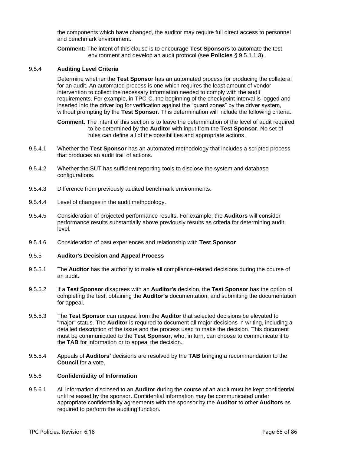the components which have changed, the auditor may require full direct access to personnel and benchmark environment.

**Comment:** The intent of this clause is to encourage **Test Sponsors** to automate the test environment and develop an audit protocol (see **Policies** § [9.5.1.1.3\)](#page-66-1).

#### <span id="page-67-0"></span>9.5.4 **Auditing Level Criteria**

Determine whether the **Test Sponsor** has an automated process for producing the collateral for an audit. An automated process is one which requires the least amount of vendor intervention to collect the necessary information needed to comply with the audit requirements. For example, in TPC-C, the beginning of the checkpoint interval is logged and inserted into the driver log for verification against the "guard zones" by the driver system, without prompting by the **Test Sponsor**. This determination will include the following criteria.

**Comment**: The intent of this section is to leave the determination of the level of audit required to be determined by the **Auditor** with input from the **Test Sponsor**. No set of rules can define all of the possibilities and appropriate actions.

- 9.5.4.1 Whether the **Test Sponsor** has an automated methodology that includes a scripted process that produces an audit trail of actions.
- 9.5.4.2 Whether the SUT has sufficient reporting tools to disclose the system and database configurations.
- 9.5.4.3 Difference from previously audited benchmark environments.
- 9.5.4.4 Level of changes in the audit methodology.
- 9.5.4.5 Consideration of projected performance results. For example, the **Auditors** will consider performance results substantially above previously results as criteria for determining audit level.
- 9.5.4.6 Consideration of past experiences and relationship with **Test Sponsor**.
- 9.5.5 **Auditor's Decision and Appeal Process**
- 9.5.5.1 The **Auditor** has the authority to make all compliance-related decisions during the course of an audit.
- 9.5.5.2 If a **Test Sponsor** disagrees with an **Auditor's** decision, the **Test Sponsor** has the option of completing the test, obtaining the **Auditor's** documentation, and submitting the documentation for appeal.
- <span id="page-67-1"></span>9.5.5.3 The **Test Sponsor** can request from the **Auditor** that selected decisions be elevated to "major" status. The **Auditor** is required to document all major decisions in writing, including a detailed description of the issue and the process used to make the decision. This document must be communicated to the **Test Sponsor**, who, in turn, can choose to communicate it to the **TAB** for information or to appeal the decision.
- 9.5.5.4 Appeals of **Auditors'** decisions are resolved by the **TAB** bringing a recommendation to the **Council** for a vote.

#### <span id="page-67-2"></span>9.5.6 **Confidentiality of Information**

9.5.6.1 All information disclosed to an **Auditor** during the course of an audit must be kept confidential until released by the sponsor. Confidential information may be communicated under appropriate confidentiality agreements with the sponsor by the **Auditor** to other **Auditors** as required to perform the auditing function.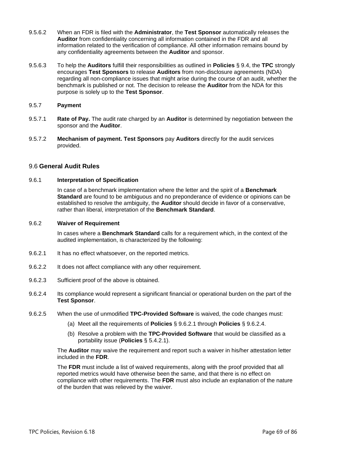- 9.5.6.2 When an FDR is filed with the **Administrator**, the **Test Sponsor** automatically releases the **Auditor** from confidentiality concerning all information contained in the FDR and all information related to the verification of compliance. All other information remains bound by any confidentiality agreements between the **Auditor** and sponsor.
- 9.5.6.3 To help the **Auditors** fulfill their responsibilities as outlined in **Policies** § [9.4,](#page-65-2) the **TPC** strongly encourages **Test Sponsors** to release **Auditors** from non-disclosure agreements (NDA) regarding all non-compliance issues that might arise during the course of an audit, whether the benchmark is published or not. The decision to release the **Auditor** from the NDA for this purpose is solely up to the **Test Sponsor**.
- 9.5.7 **Payment**
- 9.5.7.1 **Rate of Pay.** The audit rate charged by an **Auditor** is determined by negotiation between the sponsor and the **Auditor**.
- 9.5.7.2 **Mechanism of payment. Test Sponsors** pay **Auditors** directly for the audit services provided.

# 9.6 **General Audit Rules**

### 9.6.1 **Interpretation of Specification**

In case of a benchmark implementation where the letter and the spirit of a **Benchmark Standard** are found to be ambiguous and no preponderance of evidence or opinions can be established to resolve the ambiguity, the **Auditor** should decide in favor of a conservative, rather than liberal, interpretation of the **Benchmark Standard**.

### 9.6.2 **Waiver of Requirement**

In cases where a **Benchmark Standard** calls for a requirement which, in the context of the audited implementation, is characterized by the following:

- <span id="page-68-1"></span>9.6.2.1 It has no effect whatsoever, on the reported metrics.
- 9.6.2.2 It does not affect compliance with any other requirement.
- 9.6.2.3 Sufficient proof of the above is obtained.
- <span id="page-68-2"></span>9.6.2.4 Its compliance would represent a significant financial or operational burden on the part of the **Test Sponsor**.
- <span id="page-68-0"></span>9.6.2.5 When the use of unmodified **TPC-Provided Software** is waived, the code changes must:
	- (a) Meet all the requirements of **Policies** § [9.6.2.1](#page-68-1) through **Policies** § [9.6.2.4.](#page-68-2)
	- (b) Resolve a problem with the **TPC-Provided Software** that would be classified as a portability issue (**Policies** § [5.4.2.1\)](#page-42-2).

The **Auditor** may waive the requirement and report such a waiver in his/her attestation letter included in the **FDR**.

The **FDR** must include a list of waived requirements, along with the proof provided that all reported metrics would have otherwise been the same, and that there is no effect on compliance with other requirements. The **FDR** must also include an explanation of the nature of the burden that was relieved by the waiver.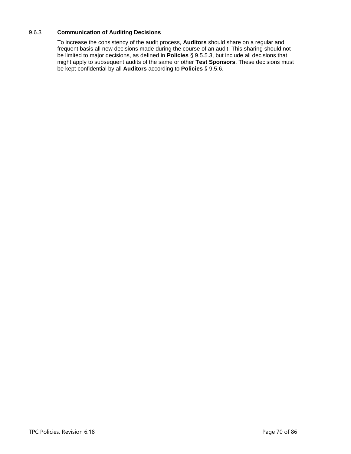# 9.6.3 **Communication of Auditing Decisions**

To increase the consistency of the audit process, **Auditors** should share on a regular and frequent basis all new decisions made during the course of an audit. This sharing should not be limited to major decisions, as defined in **Policies** § [9.5.5.3,](#page-67-1) but include all decisions that might apply to subsequent audits of the same or other **Test Sponsors**. These decisions must be kept confidential by all **Auditors** according to **Policies** § [9.5.6.](#page-67-2)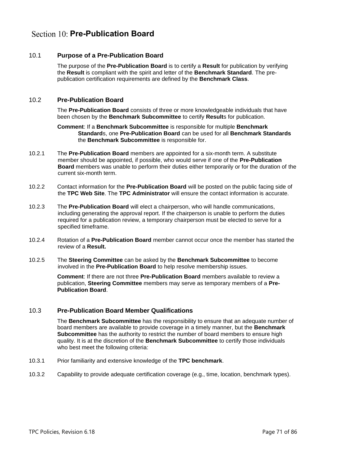# **Section 10: Pre-Publication Board**

# 10.1 **Purpose of a Pre-Publication Board**

<span id="page-70-1"></span>The purpose of the **Pre-Publication Board** is to certify a **Result** for publication by verifying the **Result** is compliant with the spirit and letter of the **Benchmark Standard**. The prepublication certification requirements are defined by the **Benchmark Class**.

# <span id="page-70-0"></span>10.2 **Pre-Publication Board**

The **Pre-Publication Board** consists of three or more knowledgeable individuals that have been chosen by the **Benchmark Subcommittee** to certify **Result**s for publication.

#### **Comment**: If a **Benchmark Subcommittee** is responsible for multiple **Benchmark Standard**s, one **Pre-Publication Board** can be used for all **Benchmark Standards** the **Benchmark Subcommittee** is responsible for.

- 10.2.1 The **Pre-Publication Board** members are appointed for a six-month term. A substitute member should be appointed, if possible, who would serve if one of the **Pre-Publication Board** members was unable to perform their duties either temporarily or for the duration of the current six-month term.
- 10.2.2 Contact information for the **Pre-Publication Board** will be posted on the public facing side of the **TPC Web Site**. The **TPC Administrator** will ensure the contact information is accurate.
- 10.2.3 The **Pre-Publication Board** will elect a chairperson, who will handle communications, including generating the approval report. If the chairperson is unable to perform the duties required for a publication review, a temporary chairperson must be elected to serve for a specified timeframe.
- 10.2.4 Rotation of a **Pre-Publication Board** member cannot occur once the member has started the review of a **Result.**
- 10.2.5 The **Steering Committee** can be asked by the **Benchmark Subcommittee** to become involved in the **Pre-Publication Board** to help resolve membership issues.

**Comment**: If there are not three **Pre-Publication Board** members available to review a publication, **Steering Committee** members may serve as temporary members of a **Pre-Publication Board**.

# 10.3 **Pre-Publication Board Member Qualifications**

The **Benchmark Subcommittee** has the responsibility to ensure that an adequate number of board members are available to provide coverage in a timely manner, but the **Benchmark Subcommittee** has the authority to restrict the number of board members to ensure high quality. It is at the discretion of the **Benchmark Subcommittee** to certify those individuals who best meet the following criteria:

- 10.3.1 Prior familiarity and extensive knowledge of the **TPC benchmark**.
- 10.3.2 Capability to provide adequate certification coverage (e.g., time, location, benchmark types).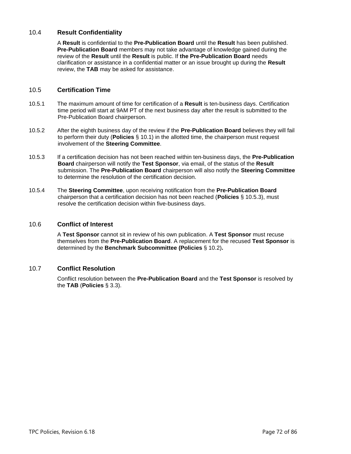# 10.4 **Result Confidentiality**

A **Result** is confidential to the **Pre-Publication Board** until the **Result** has been published. **Pre-Publication Board** members may not take advantage of knowledge gained during the review of the **Result** until the **Result** is public. If **the Pre-Publication Board** needs clarification or assistance in a confidential matter or an issue brought up during the **Result** review, the **TAB** may be asked for assistance.

## 10.5 **Certification Time**

- 10.5.1 The maximum amount of time for certification of a **Result** is ten-business days. Certification time period will start at 9AM PT of the next business day after the result is submitted to the Pre-Publication Board chairperson.
- 10.5.2 After the eighth business day of the review if the **Pre-Publication Board** believes they will fail to perform their duty (**Policies** § [10.1\)](#page-70-1) in the allotted time, the chairperson must request involvement of the **Steering Committee**.
- <span id="page-71-0"></span>10.5.3 If a certification decision has not been reached within ten-business days, the **Pre-Publication Board** chairperson will notify the **Test Sponsor**, via email, of the status of the **Result** submission. The **Pre-Publication Board** chairperson will also notify the **Steering Committee** to determine the resolution of the certification decision.
- 10.5.4 The **Steering Committee**, upon receiving notification from the **Pre-Publication Board** chairperson that a certification decision has not been reached (**Policies** § [10.5.3\)](#page-71-0), must resolve the certification decision within five-business days.

## 10.6 **Conflict of Interest**

A **Test Sponsor** cannot sit in review of his own publication. A **Test Sponsor** must recuse themselves from the **Pre-Publication Board**. A replacement for the recused **Test Sponsor** is determined by the **Benchmark Subcommittee (Policies** § [10.2\)](#page-70-0)**.**

### 10.7 **Conflict Resolution**

Conflict resolution between the **Pre-Publication Board** and the **Test Sponsor** is resolved by the **TAB** (**Policies** § [3.3\)](#page-25-1).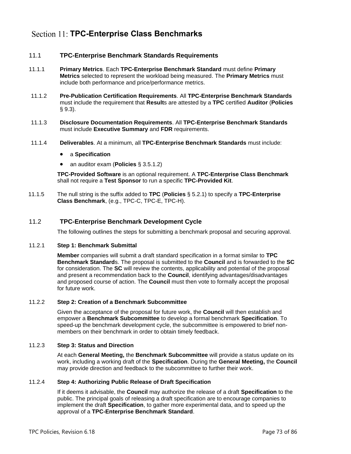# Section 11: **TPC-Enterprise Class Benchmarks**

# 11.1 **TPC-Enterprise Benchmark Standards Requirements**

- 11.1.1 **Primary Metrics**. Each **TPC-Enterprise Benchmark Standard** must define **Primary Metrics** selected to represent the workload being measured. The **Primary Metrics** must include both performance and price/performance metrics.
- 11.1.2 **Pre-Publication Certification Requirements**. All **TPC-Enterprise Benchmark Standards** must include the requirement that **Result**s are attested by a **TPC** certified **Auditor** (**Policies** § [9.3\)](#page-63-0).
- 11.1.3 **Disclosure Documentation Requirements**. All **TPC-Enterprise Benchmark Standards** must include **Executive Summary** and **FDR** requirements.
- 11.1.4 **Deliverables**. At a minimum, all **TPC-Enterprise Benchmark Standards** must include:
	- a **Specification**
	- an auditor exam (**Policies** § [3.5.1.2\)](#page-29-0)

**TPC-Provided Software** is an optional requirement. A **TPC-Enterprise Class Benchmark** shall not require a **Test Sponsor** to run a specific **TPC-Provided Kit**.

11.1.5 The null string is the suffix added to **TPC** (**Policies** § [5.2.1\)](#page-41-0) to specify a **TPC-Enterprise Class Benchmark**, (e.g., TPC-C, TPC-E, TPC-H).

# 11.2 **TPC-Enterprise Benchmark Development Cycle**

The following outlines the steps for submitting a benchmark proposal and securing approval.

#### 11.2.1 **Step 1: Benchmark Submittal**

**Member** companies will submit a draft standard specification in a format similar to **TPC Benchmark Standard**s. The proposal is submitted to the **Council** and is forwarded to the **SC** for consideration. The **SC** will review the contents, applicability and potential of the proposal and present a recommendation back to the **Council**, identifying advantages/disadvantages and proposed course of action. The **Council** must then vote to formally accept the proposal for future work.

## 11.2.2 **Step 2: Creation of a Benchmark Subcommittee**

Given the acceptance of the proposal for future work, the **Council** will then establish and empower a **Benchmark Subcommittee** to develop a formal benchmark **Specification**. To speed-up the benchmark development cycle, the subcommittee is empowered to brief nonmembers on their benchmark in order to obtain timely feedback.

## 11.2.3 **Step 3: Status and Direction**

At each **General Meeting,** the **Benchmark Subcommittee** will provide a status update on its work, including a working draft of the **Specification**. During the **General Meeting,** the **Council** may provide direction and feedback to the subcommittee to further their work.

## 11.2.4 **Step 4: Authorizing Public Release of Draft Specification**

If it deems it advisable, the **Council** may authorize the release of a draft **Specification** to the public. The principal goals of releasing a draft specification are to encourage companies to implement the draft **Specification**, to gather more experimental data, and to speed up the approval of a **TPC-Enterprise Benchmark Standard**.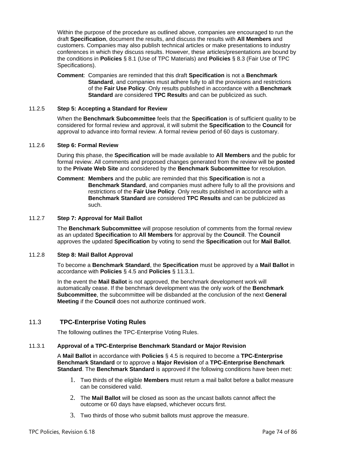Within the purpose of the procedure as outlined above, companies are encouraged to run the draft **Specification**, document the results, and discuss the results with **All Members** and customers. Companies may also publish technical articles or make presentations to industry conferences in which they discuss results. However, these articles/presentations are bound by the conditions in **Policies** § [8.1](#page-57-0) (Use of TPC Materials) and **Policies** § [8.3](#page-59-0) (Fair Use of TPC Specifications).

**Comment**: Companies are reminded that this draft **Specification** is not a **Benchmark Standard**, and companies must adhere fully to all the provisions and restrictions of the **Fair Use Policy**. Only results published in accordance with a **Benchmark Standard** are considered **TPC Result**s and can be publicized as such.

#### 11.2.5 **Step 5: Accepting a Standard for Review**

When the **Benchmark Subcommittee** feels that the **Specification** is of sufficient quality to be considered for formal review and approval, it will submit the **Specification** to the **Council** for approval to advance into formal review. A formal review period of 60 days is customary.

#### 11.2.6 **Step 6: Formal Review**

During this phase, the **Specification** will be made available to **All Members** and the public for formal review. All comments and proposed changes generated from the review will be **posted** to the **Private Web Site** and considered by the **Benchmark Subcommittee** for resolution.

**Comment**: **Members** and the public are reminded that this **Specification** is not a **Benchmark Standard**, and companies must adhere fully to all the provisions and restrictions of the **Fair Use Policy**. Only results published in accordance with a **Benchmark Standard** are considered **TPC Results** and can be publicized as such.

#### 11.2.7 **Step 7: Approval for Mail Ballot**

The **Benchmark Subcommittee** will propose resolution of comments from the formal review as an updated **Specification** to **All Members** for approval by the **Council**. The **Council** approves the updated **Specification** by voting to send the **Specification** out for **Mail Ballot**.

## <span id="page-73-1"></span>11.2.8 **Step 8: Mail Ballot Approval**

To become a **Benchmark Standard**, the **Specification** must be approved by a **Mail Ballot** in accordance with **Policies** § [4.5](#page-36-0) and **Policies** § [11.3.1.](#page-73-0)

In the event the **Mail Ballot** is not approved, the benchmark development work will automatically cease. If the benchmark development was the only work of the **Benchmark Subcommittee**, the subcommittee will be disbanded at the conclusion of the next **General Meeting** if the **Council** does not authorize continued work.

# 11.3 **TPC-Enterprise Voting Rules**

The following outlines the TPC-Enterprise Voting Rules.

## <span id="page-73-0"></span>11.3.1 **Approval of a TPC-Enterprise Benchmark Standard or Major Revision**

A **Mail Ballot** in accordance with **Policies** § [4.5](#page-36-0) is required to become a **TPC-Enterprise Benchmark Standard** or to approve a **Major Revision** of a **TPC-Enterprise Benchmark Standard**. The **Benchmark Standard** is approved if the following conditions have been met:

- 1. Two thirds of the eligible **Members** must return a mail ballot before a ballot measure can be considered valid.
- 2. The **Mail Ballot** will be closed as soon as the uncast ballots cannot affect the outcome or 60 days have elapsed, whichever occurs first.
- 3. Two thirds of those who submit ballots must approve the measure.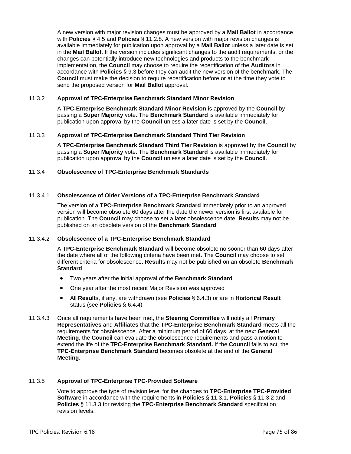A new version with major revision changes must be approved by a **Mail Ballot** in accordance with **Policies** § [4.5](#page-36-0) and **Policies** § [11.2.8.](#page-73-1) A new version with major revision changes is available immediately for publication upon approval by a **Mail Ballot** unless a later date is set in the **Mail Ballot**. If the version includes significant changes to the audit requirements, or the changes can potentially introduce new technologies and products to the benchmark implementation, the **Council** may choose to require the recertification of the **Auditors** in accordance with **Policies** § [9.3](#page-63-0) before they can audit the new version of the benchmark. The **Council** must make the decision to require recertification before or at the time they vote to send the proposed version for **Mail Ballot** approval.

#### <span id="page-74-0"></span>11.3.2 **Approval of TPC-Enterprise Benchmark Standard Minor Revision**

A **TPC-Enterprise Benchmark Standard Minor Revision** is approved by the **Council** by passing a **Super Majority** vote. The **Benchmark Standard** is available immediately for publication upon approval by the **Council** unless a later date is set by the **Council**.

#### <span id="page-74-1"></span>11.3.3 **Approval of TPC-Enterprise Benchmark Standard Third Tier Revision**

A **TPC-Enterprise Benchmark Standard Third Tier Revision** is approved by the **Council** by passing a **Super Majority** vote. The **Benchmark Standard** is available immediately for publication upon approval by the **Council** unless a later date is set by the **Council**.

11.3.4 **Obsolescence of TPC-Enterprise Benchmark Standards**

#### 11.3.4.1 **Obsolescence of Older Versions of a TPC-Enterprise Benchmark Standard**

The version of a **TPC-Enterprise Benchmark Standard** immediately prior to an approved version will become obsolete 60 days after the date the newer version is first available for publication. The **Council** may choose to set a later obsolescence date. **Result**s may not be published on an obsolete version of the **Benchmark Standard**.

#### 11.3.4.2 **Obsolescence of a TPC-Enterprise Benchmark Standard**

A **TPC-Enterprise Benchmark Standard** will become obsolete no sooner than 60 days after the date where all of the following criteria have been met. The **Council** may choose to set different criteria for obsolescence. **Result**s may not be published on an obsolete **Benchmark Standard**.

- Two years after the initial approval of the **Benchmark Standard**
- One year after the most recent Major Revision was approved
- All **Result**s, if any, are withdrawn (see **Policies** § [6.4.3\)](#page-45-0) or are in **Historical Result** status (see **Policies** § [6.4.4\)](#page-45-1)
- 11.3.4.3 Once all requirements have been met, the **Steering Committee** will notify all **Primary Representatives** and **Affiliates** that the **TPC-Enterprise Benchmark Standard** meets all the requirements for obsolescence. After a minimum period of 60 days, at the next **General Meeting**, the **Council** can evaluate the obsolescence requirements and pass a motion to extend the life of the **TPC-Enterprise Benchmark Standard.** If the **Council** fails to act, the **TPC-Enterprise Benchmark Standard** becomes obsolete at the end of the **General Meeting**.

## 11.3.5 **Approval of TPC-Enterprise TPC-Provided Software**

Vote to approve the type of revision level for the changes to **TPC-Enterprise TPC-Provided Software** in accordance with the requirements in **Policies** § [11.3.1,](#page-73-0) **Policies** § [11.3.2](#page-74-0) and **Policies** § [11.3.3](#page-74-1) for revising the **TPC-Enterprise Benchmark Standard** specification revision levels.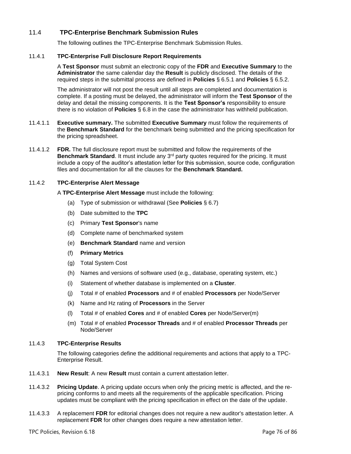# 11.4 **TPC-Enterprise Benchmark Submission Rules**

The following outlines the TPC-Enterprise Benchmark Submission Rules.

## 11.4.1 **TPC-Enterprise Full Disclosure Report Requirements**

A **Test Sponsor** must submit an electronic copy of the **FDR** and **Executive Summary** to the **Administrator** the same calendar day the **Result** is publicly disclosed. The details of the required steps in the submittal process are defined in **Policies** § [6.5.1](#page-46-0) and **Policies** § [6.5.2.](#page-46-1)

The administrator will not post the result until all steps are completed and documentation is complete. If a posting must be delayed, the administrator will inform the **Test Sponsor** of the delay and detail the missing components. It is the **Test Sponsor's** responsibility to ensure there is no violation of **Policies** § [6.8](#page-48-0) in the case the administrator has withheld publication.

- 11.4.1.1 **Executive summary.** The submitted **Executive Summary** must follow the requirements of the **Benchmark Standard** for the benchmark being submitted and the pricing specification for the pricing spreadsheet.
- 11.4.1.2 **FDR.** The full disclosure report must be submitted and follow the requirements of the **Benchmark Standard**. It must include any 3<sup>rd</sup> party quotes required for the pricing. It must include a copy of the auditor's attestation letter for this submission, source code, configuration files and documentation for all the clauses for the **Benchmark Standard.**

# 11.4.2 **TPC-Enterprise Alert Message**

A **TPC-Enterprise Alert Message** must include the following:

- (a) Type of submission or withdrawal (See **Policies** § [6.7\)](#page-48-1)
- (b) Date submitted to the **TPC**
- (c) Primary **Test Sponsor**'s name
- (d) Complete name of benchmarked system
- (e) **Benchmark Standard** name and version
- (f) **Primary Metrics**
- (g) Total System Cost
- (h) Names and versions of software used (e.g., database, operating system, etc.)
- (i) Statement of whether database is implemented on a **Cluster**.
- (j) Total # of enabled **Processors** and # of enabled **Processors** per Node/Server
- (k) Name and Hz rating of **Processors** in the Server
- (l) Total # of enabled **Cores** and # of enabled **Cores** per Node/Server(m)
- (m) Total # of enabled **Processor Threads** and # of enabled **Processor Threads** per Node/Server

## 11.4.3 **TPC-Enterprise Results**

The following categories define the additional requirements and actions that apply to a TPC-Enterprise Result.

- 11.4.3.1 **New Result**: A new **Result** must contain a current attestation letter.
- 11.4.3.2 **Pricing Update**. A pricing update occurs when only the pricing metric is affected, and the repricing conforms to and meets all the requirements of the applicable specification. Pricing updates must be compliant with the pricing specification in effect on the date of the update.
- 11.4.3.3 A replacement **FDR** for editorial changes does not require a new auditor's attestation letter. A replacement **FDR** for other changes does require a new attestation letter.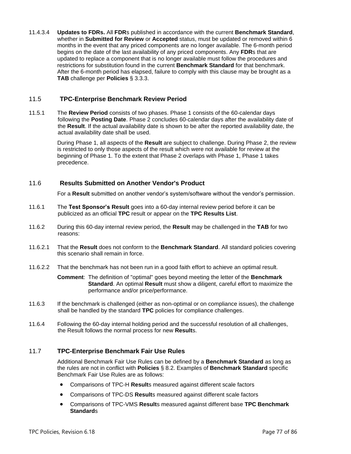11.4.3.4 **Updates to FDRs.** All **FDR**s published in accordance with the current **Benchmark Standard**, whether in **Submitted for Review** or **Accepted** status, must be updated or removed within 6 months in the event that any priced components are no longer available. The 6-month period begins on the date of the last availability of any priced components. Any **FDR**s that are updated to replace a component that is no longer available must follow the procedures and restrictions for substitution found in the current **Benchmark Standard** for that benchmark. After the 6-month period has elapsed, failure to comply with this clause may be brought as a **TAB** challenge per **Policies** § [3.3.3.](#page-25-0)

# 11.5 **TPC-Enterprise Benchmark Review Period**

11.5.1 The **Review Period** consists of two phases. Phase 1 consists of the 60-calendar days following the **Posting Date**. Phase 2 concludes 60-calendar days after the availability date of the **Result**. If the actual availability date is shown to be after the reported availability date, the actual availability date shall be used.

> During Phase 1, all aspects of the **Result** are subject to challenge. During Phase 2, the review is restricted to only those aspects of the result which were not available for review at the beginning of Phase 1. To the extent that Phase 2 overlaps with Phase 1, Phase 1 takes precedence.

# 11.6 **Results Submitted on Another Vendor's Product**

For a **Result** submitted on another vendor's system/software without the vendor's permission.

- 11.6.1 The **Test Sponsor's Result** goes into a 60-day internal review period before it can be publicized as an official **TPC** result or appear on the **TPC Results List**.
- 11.6.2 During this 60-day internal review period, the **Result** may be challenged in the **TAB** for two reasons:
- 11.6.2.1 That the **Result** does not conform to the **Benchmark Standard**. All standard policies covering this scenario shall remain in force.
- 11.6.2.2 That the benchmark has not been run in a good faith effort to achieve an optimal result.

**Comment**: The definition of "optimal" goes beyond meeting the letter of the **Benchmark Standard**. An optimal **Result** must show a diligent, careful effort to maximize the performance and/or price/performance.

- 11.6.3 If the benchmark is challenged (either as non-optimal or on compliance issues), the challenge shall be handled by the standard **TPC** policies for compliance challenges.
- 11.6.4 Following the 60-day internal holding period and the successful resolution of all challenges, the Result follows the normal process for new **Result**s.

# 11.7 **TPC-Enterprise Benchmark Fair Use Rules**

Additional Benchmark Fair Use Rules can be defined by a **Benchmark Standard** as long as the rules are not in conflict with **Policies** § [8.2.](#page-57-1) Examples of **Benchmark Standard** specific Benchmark Fair Use Rules are as follows:

- Comparisons of TPC-H **Result**s measured against different scale factors
- Comparisons of TPC-DS **Result**s measured against different scale factors
- Comparisons of TPC-VMS **Result**s measured against different base **TPC Benchmark Standard**s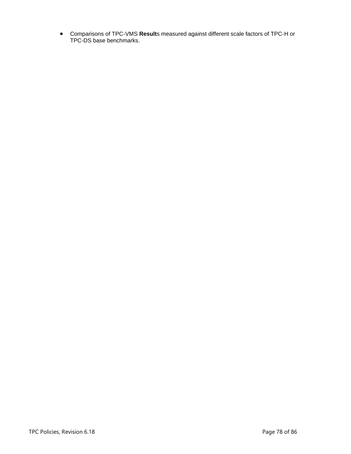• Comparisons of TPC-VMS **Result**s measured against different scale factors of TPC-H or TPC-DS base benchmarks.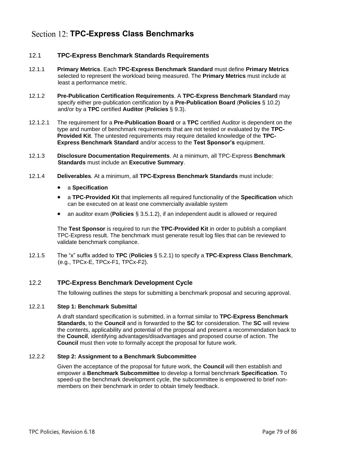# **TPC-Express Class Benchmarks**

# 12.1 **TPC-Express Benchmark Standards Requirements**

- 12.1.1 **Primary Metrics**. Each **TPC-Express Benchmark Standard** must define **Primary Metrics** selected to represent the workload being measured. The **Primary Metrics** must include at least a performance metric.
- 12.1.2 **Pre-Publication Certification Requirements**. A **TPC-Express Benchmark Standard** may specify either pre-publication certification by a **Pre-Publication Board** (**Policies** § [10.2\)](#page-70-0) and/or by a **TPC** certified **Auditor** (**Policies** § [9.3\)](#page-63-0).
- 12.1.2.1 The requirement for a **Pre-Publication Board** or a **TPC** certified Auditor is dependent on the type and number of benchmark requirements that are not tested or evaluated by the **TPC-Provided Kit**. The untested requirements may require detailed knowledge of the **TPC-Express Benchmark Standard** and/or access to the **Test Sponsor's** equipment.
- 12.1.3 **Disclosure Documentation Requirements**. At a minimum, all TPC-Express **Benchmark Standards** must include an **Executive Summary**.
- 12.1.4 **Deliverables**. At a minimum, all **TPC-Express Benchmark Standards** must include:
	- a **Specification**
	- a **TPC-Provided Kit** that implements all required functionality of the **Specification** which can be executed on at least one commercially available system
	- an auditor exam (**Policies** § [3.5.1.2\)](#page-29-0), if an independent audit is allowed or required

The **Test Sponsor** is required to run the **TPC-Provided Kit** in order to publish a compliant TPC-Express result. The benchmark must generate result log files that can be reviewed to validate benchmark compliance.

12.1.5 The "x" suffix added to **TPC** (**Policies** § [5.2.1\)](#page-41-0) to specify a **TPC-Express Class Benchmark**, (e.g., TPCx-E, TPCx-F1, TPCx-F2).

# 12.2 **TPC-Express Benchmark Development Cycle**

The following outlines the steps for submitting a benchmark proposal and securing approval.

# 12.2.1 **Step 1: Benchmark Submittal**

A draft standard specification is submitted, in a format similar to **TPC-Express Benchmark Standards**, to the **Council** and is forwarded to the **SC** for consideration. The **SC** will review the contents, applicability and potential of the proposal and present a recommendation back to the **Council**, identifying advantages/disadvantages and proposed course of action. The **Council** must then vote to formally accept the proposal for future work.

# 12.2.2 **Step 2: Assignment to a Benchmark Subcommittee**

Given the acceptance of the proposal for future work, the **Council** will then establish and empower a **Benchmark Subcommittee** to develop a formal benchmark **Specification**. To speed-up the benchmark development cycle, the subcommittee is empowered to brief nonmembers on their benchmark in order to obtain timely feedback.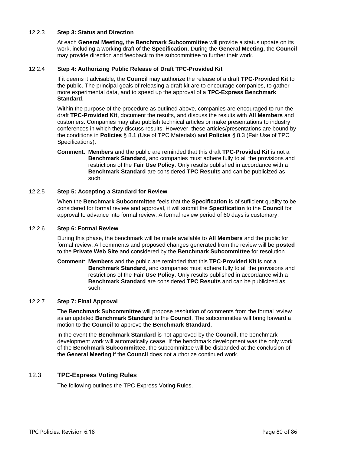#### 12.2.3 **Step 3: Status and Direction**

At each **General Meeting,** the **Benchmark Subcommittee** will provide a status update on its work, including a working draft of the **Specification**. During the **General Meeting,** the **Council** may provide direction and feedback to the subcommittee to further their work.

#### 12.2.4 **Step 4: Authorizing Public Release of Draft TPC-Provided Kit**

If it deems it advisable, the **Council** may authorize the release of a draft **TPC-Provided Kit** to the public. The principal goals of releasing a draft kit are to encourage companies, to gather more experimental data, and to speed up the approval of a **TPC-Express Benchmark Standard**.

Within the purpose of the procedure as outlined above, companies are encouraged to run the draft **TPC-Provided Kit**, document the results, and discuss the results with **All Members** and customers. Companies may also publish technical articles or make presentations to industry conferences in which they discuss results. However, these articles/presentations are bound by the conditions in **Policies** § [8.1](#page-57-0) (Use of TPC Materials) and **Policies** § [8.3](#page-59-0) (Fair Use of TPC Specifications).

**Comment**: **Members** and the public are reminded that this draft **TPC-Provided Kit** is not a **Benchmark Standard**, and companies must adhere fully to all the provisions and restrictions of the **Fair Use Policy**. Only results published in accordance with a **Benchmark Standard** are considered **TPC Result**s and can be publicized as such.

#### 12.2.5 **Step 5: Accepting a Standard for Review**

When the **Benchmark Subcommittee** feels that the **Specification** is of sufficient quality to be considered for formal review and approval, it will submit the **Specification** to the **Council** for approval to advance into formal review. A formal review period of 60 days is customary.

#### 12.2.6 **Step 6: Formal Review**

During this phase, the benchmark will be made available to **All Members** and the public for formal review. All comments and proposed changes generated from the review will be **posted** to the **Private Web Site** and considered by the **Benchmark Subcommittee** for resolution.

**Comment**: **Members** and the public are reminded that this **TPC-Provided Kit** is not a **Benchmark Standard**, and companies must adhere fully to all the provisions and restrictions of the **Fair Use Policy**. Only results published in accordance with a **Benchmark Standard** are considered **TPC Results** and can be publicized as such.

## 12.2.7 **Step 7: Final Approval**

The **Benchmark Subcommittee** will propose resolution of comments from the formal review as an updated **Benchmark Standard** to the **Council**. The subcommittee will bring forward a motion to the **Council** to approve the **Benchmark Standard**.

In the event the **Benchmark Standard** is not approved by the **Council**, the benchmark development work will automatically cease. If the benchmark development was the only work of the **Benchmark Subcommittee**, the subcommittee will be disbanded at the conclusion of the **General Meeting** if the **Council** does not authorize continued work.

# 12.3 **TPC-Express Voting Rules**

The following outlines the TPC Express Voting Rules.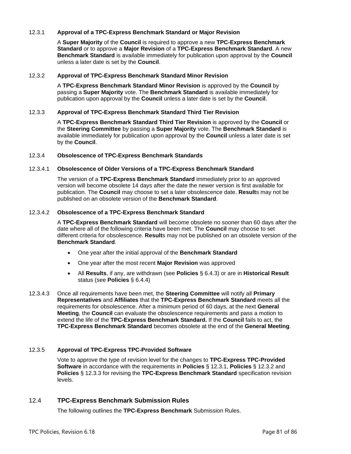## <span id="page-80-0"></span>12.3.1 **Approval of a TPC-Express Benchmark Standard or Major Revision**

A **Super Majority** of the **Council** is required to approve a new **TPC-Express Benchmark Standard** or to approve a **Major Revision** of a **TPC-Express Benchmark Standard**. A new **Benchmark Standard** is available immediately for publication upon approval by the **Council** unless a later date is set by the **Council**.

## <span id="page-80-1"></span>12.3.2 **Approval of TPC-Express Benchmark Standard Minor Revision**

A **TPC-Express Benchmark Standard Minor Revision** is approved by the **Council** by passing a **Super Majority** vote. The **Benchmark Standard** is available immediately for publication upon approval by the **Council** unless a later date is set by the **Council**.

#### <span id="page-80-2"></span>12.3.3 **Approval of TPC-Express Benchmark Standard Third Tier Revision**

A **TPC-Express Benchmark Standard Third Tier Revision** is approved by the **Council** or the **Steering Committee** by passing a **Super Majority** vote. The **Benchmark Standard** is available immediately for publication upon approval by the **Council** unless a later date is set by the **Council**.

#### 12.3.4 **Obsolescence of TPC-Express Benchmark Standards**

#### 12.3.4.1 **Obsolescence of Older Versions of a TPC-Express Benchmark Standard**

The version of a **TPC-Express Benchmark Standard** immediately prior to an approved version will become obsolete 14 days after the date the newer version is first available for publication. The **Council** may choose to set a later obsolescence date. **Result**s may not be published on an obsolete version of the **Benchmark Standard**.

#### 12.3.4.2 **Obsolescence of a TPC-Express Benchmark Standard**

A **TPC-Express Benchmark Standard** will become obsolete no sooner than 60 days after the date where all of the following criteria have been met. The **Council** may choose to set different criteria for obsolescence. **Result**s may not be published on an obsolete version of the **Benchmark Standard**.

- One year after the initial approval of the **Benchmark Standard**
- One year after the most recent **Major Revision** was approved
- All **Results**, if any, are withdrawn (see **Policies** § [6.4.3\)](#page-45-0) or are in **Historical Result** status (see **Policies** § [6.4.4\)](#page-45-1)
- 12.3.4.3 Once all requirements have been met, the **Steering Committee** will notify all **Primary Representatives** and **Affiliates** that the **TPC-Express Benchmark Standard** meets all the requirements for obsolescence. After a minimum period of 60 days, at the next **General Meeting**, the **Council** can evaluate the obsolescence requirements and pass a motion to extend the life of the **TPC-Express Benchmark Standard.** If the **Council** fails to act, the **TPC-Express Benchmark Standard** becomes obsolete at the end of the **General Meeting**.

## 12.3.5 **Approval of TPC-Express TPC-Provided Software**

Vote to approve the type of revision level for the changes to **TPC-Express TPC-Provided Software** in accordance with the requirements in **Policies** § [12.3.1,](#page-80-0) **Policies** § [12.3.2](#page-80-1) and **Policies** § [12.3.3](#page-80-2) for revising the **TPC-Express Benchmark Standard** specification revision levels.

# 12.4 **TPC-Express Benchmark Submission Rules**

The following outlines the **TPC-Express Benchmark** Submission Rules.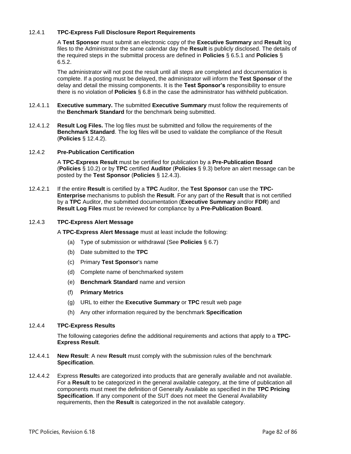# 12.4.1 **TPC-Express Full Disclosure Report Requirements**

A **Test Sponsor** must submit an electronic copy of the **Executive Summary** and **Result** log files to the Administrator the same calendar day the **Result** is publicly disclosed. The details of the required steps in the submittal process are defined in **Policies** § [6.5.1](#page-46-0) and **Policies** § [6.5.2.](#page-46-1)

The administrator will not post the result until all steps are completed and documentation is complete. If a posting must be delayed, the administrator will inform the **Test Sponsor** of the delay and detail the missing components. It is the **Test Sponsor's** responsibility to ensure there is no violation of **Policies** § [6.8](#page-48-0) in the case the administrator has withheld publication.

- 12.4.1.1 **Executive summary.** The submitted **Executive Summary** must follow the requirements of the **Benchmark Standard** for the benchmark being submitted.
- 12.4.1.2 **Result Log Files.** The log files must be submitted and follow the requirements of the **Benchmark Standard**. The log files will be used to validate the compliance of the Result (**Policies** § [12.4.2\)](#page-81-0).

## <span id="page-81-0"></span>12.4.2 **Pre-Publication Certification**

A **TPC-Express Result** must be certified for publication by a **Pre-Publication Board** (**Policies** § [10.2\)](#page-70-0) or by **TPC** certified **Auditor** (**Policies** § [9.3\)](#page-63-0) before an alert message can be posted by the **Test Sponsor** (**Policies** § [12.4.3\)](#page-81-1).

12.4.2.1 If the entire **Result** is certified by a **TPC** Auditor, the **Test Sponsor** can use the **TPC-Enterprise** mechanisms to publish the **Result**. For any part of the **Result** that is not certified by a **TPC** Auditor, the submitted documentation (**Executive Summary** and/or **FDR**) and **Result Log Files** must be reviewed for compliance by a **Pre-Publication Board**.

## <span id="page-81-1"></span>12.4.3 **TPC-Express Alert Message**

A **TPC-Express Alert Message** must at least include the following:

- (a) Type of submission or withdrawal (See **Policies** § [6.7\)](#page-48-1)
- (b) Date submitted to the **TPC**
- (c) Primary **Test Sponsor**'s name
- (d) Complete name of benchmarked system
- (e) **Benchmark Standard** name and version
- (f) **Primary Metrics**
- (g) URL to either the **Executive Summary** or **TPC** result web page
- (h) Any other information required by the benchmark **Specification**

#### 12.4.4 **TPC-Express Results**

The following categories define the additional requirements and actions that apply to a **TPC-Express Result**.

- 12.4.4.1 **New Result**: A new **Result** must comply with the submission rules of the benchmark **Specification**.
- 12.4.4.2 Express **Result**s are categorized into products that are generally available and not available. For a **Result** to be categorized in the general available category, at the time of publication all components must meet the definition of Generally Available as specified in the **TPC Pricing Specification**. If any component of the SUT does not meet the General Availability requirements, then the **Result** is categorized in the not available category.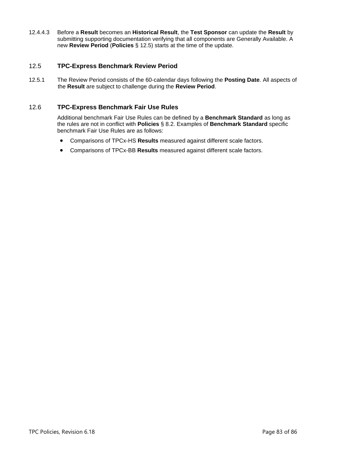12.4.4.3 Before a **Result** becomes an **Historical Result**, the **Test Sponsor** can update the **Result** by submitting supporting documentation verifying that all components are Generally Available. A new **Review Period** (**Policies** § [12.5\)](#page-82-0) starts at the time of the update.

# <span id="page-82-0"></span>12.5 **TPC-Express Benchmark Review Period**

12.5.1 The Review Period consists of the 60-calendar days following the **Posting Date**. All aspects of the **Result** are subject to challenge during the **Review Period**.

# 12.6 **TPC-Express Benchmark Fair Use Rules**

Additional benchmark Fair Use Rules can be defined by a **Benchmark Standard** as long as the rules are not in conflict with **Policies** § [8.2.](#page-57-1) Examples of **Benchmark Standard** specific benchmark Fair Use Rules are as follows:

- Comparisons of TPCx-HS **Results** measured against different scale factors.
- Comparisons of TPCx-BB **Results** measured against different scale factors.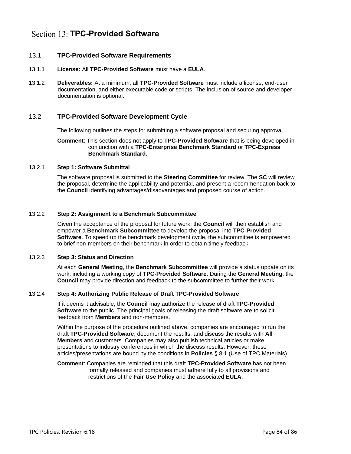# Section 13: **TPC-Provided Software**

# 13.1 **TPC-Provided Software Requirements**

- <span id="page-83-0"></span>13.1.1 **License:** All **TPC-Provided Software** must have a **EULA**.
- 13.1.2 **Deliverables:** At a minimum, all **TPC-Provided Software** must include a license, end-user documentation, and either executable code or scripts. The inclusion of source and developer documentation is optional.

# 13.2 **TPC-Provided Software Development Cycle**

The following outlines the steps for submitting a software proposal and securing approval.

#### **Comment**: This section does not apply to **TPC-Provided Software** that is being developed in conjunction with a **TPC-Enterprise Benchmark Standard** or **TPC-Express Benchmark Standard**.

## 13.2.1 **Step 1: Software Submittal**

The software proposal is submitted to the **Steering Committee** for review. The **SC** will review the proposal, determine the applicability and potential, and present a recommendation back to the **Council** identifying advantages/disadvantages and proposed course of action.

## 13.2.2 **Step 2: Assignment to a Benchmark Subcommittee**

Given the acceptance of the proposal for future work, the **Council** will then establish and empower a **Benchmark Subcommittee** to develop the proposal into **TPC-Provided Software**. To speed up the benchmark development cycle, the subcommittee is empowered to brief non-members on their benchmark in order to obtain timely feedback.

## 13.2.3 **Step 3: Status and Direction**

At each **General Meeting**, the **Benchmark Subcommittee** will provide a status update on its work, including a working copy of **TPC-Provided Software**. During the **General Meeting**, the **Council** may provide direction and feedback to the subcommittee to further their work.

## 13.2.4 **Step 4: Authorizing Public Release of Draft TPC-Provided Software**

If it deems it advisable, the **Council** may authorize the release of draft **TPC-Provided Software** to the public. The principal goals of releasing the draft software are to solicit feedback from **Members** and non-members.

Within the purpose of the procedure outlined above, companies are encouraged to run the draft **TPC-Provided Software**, document the results, and discuss the results with **All Members** and customers. Companies may also publish technical articles or make presentations to industry conferences in which the discuss results. However, these articles/presentations are bound by the conditions in **Policies** § [8.1](#page-57-0) (Use of TPC Materials).

#### **Comment**: Companies are reminded that this draft **TPC-Provided Software** has not been formally released and companies must adhere fully to all provisions and restrictions of the **Fair Use Policy** and the associated **EULA**.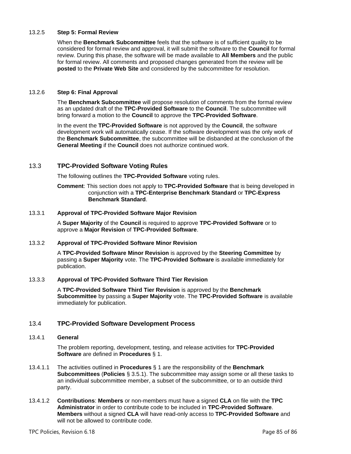## 13.2.5 **Step 5: Formal Review**

When the **Benchmark Subcommittee** feels that the software is of sufficient quality to be considered for formal review and approval, it will submit the software to the **Council** for formal review. During this phase, the software will be made available to **All Members** and the public for formal review. All comments and proposed changes generated from the review will be **posted** to the **Private Web Site** and considered by the subcommittee for resolution.

#### 13.2.6 **Step 6: Final Approval**

The **Benchmark Subcommittee** will propose resolution of comments from the formal review as an updated draft of the **TPC-Provided Software** to the **Council**. The subcommittee will bring forward a motion to the **Council** to approve the **TPC-Provided Software**.

In the event the **TPC-Provided Software** is not approved by the **Council**, the software development work will automatically cease. If the software development was the only work of the **Benchmark Subcommittee**, the subcommittee will be disbanded at the conclusion of the **General Meeting** if the **Council** does not authorize continued work.

# 13.3 **TPC-Provided Software Voting Rules**

The following outlines the **TPC-Provided Software** voting rules.

**Comment**: This section does not apply to **TPC-Provided Software** that is being developed in conjunction with a **TPC-Enterprise Benchmark Standard** or **TPC-Express Benchmark Standard**.

## 13.3.1 **Approval of TPC-Provided Software Major Revision**

A **Super Majority** of the **Council** is required to approve **TPC-Provided Software** or to approve a **Major Revision** of **TPC-Provided Software**.

## 13.3.2 **Approval of TPC-Provided Software Minor Revision**

A **TPC-Provided Software Minor Revision** is approved by the **Steering Committee** by passing a **Super Majority** vote. The **TPC-Provided Software** is available immediately for publication.

## 13.3.3 **Approval of TPC-Provided Software Third Tier Revision**

A **TPC-Provided Software Third Tier Revision** is approved by the **Benchmark Subcommittee** by passing a **Super Majority** vote. The **TPC-Provided Software** is available immediately for publication.

## 13.4 **TPC-Provided Software Development Process**

## 13.4.1 **General**

The problem reporting, development, testing, and release activities for **TPC-Provided Software** are defined in **Procedures** § 1.

- 13.4.1.1 The activities outlined in **Procedures** § 1 are the responsibility of the **Benchmark Subcommittees** (**Policies** § [3.5.1\)](#page-28-0). The subcommittee may assign some or all these tasks to an individual subcommittee member, a subset of the subcommittee, or to an outside third party.
- 13.4.1.2 **Contributions**: **Members** or non-members must have a signed **CLA** on file with the **TPC Administrator** in order to contribute code to be included in **TPC-Provided Software**. **Members** without a signed **CLA** will have read-only access to **TPC-Provided Software** and will not be allowed to contribute code.